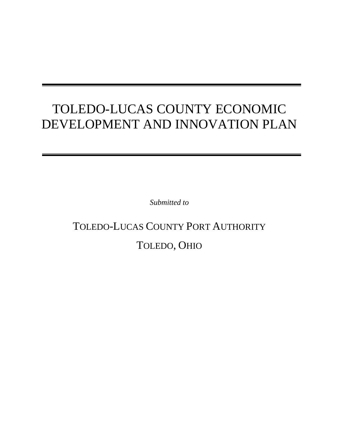## TOLEDO-LUCAS COUNTY ECONOMIC DEVELOPMENT AND INNOVATION PLAN

*Submitted to* 

# TOLEDO-LUCAS COUNTY PORT AUTHORITY TOLEDO, OHIO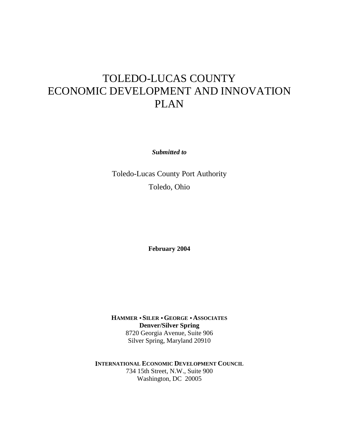## TOLEDO-LUCAS COUNTY ECONOMIC DEVELOPMENT AND INNOVATION PLAN

*Submitted to* 

Toledo-Lucas County Port Authority Toledo, Ohio

**February 2004** 

**HAMMER** • **SILER** • **GEORGE** • **ASSOCIATES Denver/Silver Spring**  8720 Georgia Avenue, Suite 906 Silver Spring, Maryland 20910

**INTERNATIONAL ECONOMIC DEVELOPMENT COUNCIL**  734 15th Street, N.W., Suite 900 Washington, DC 20005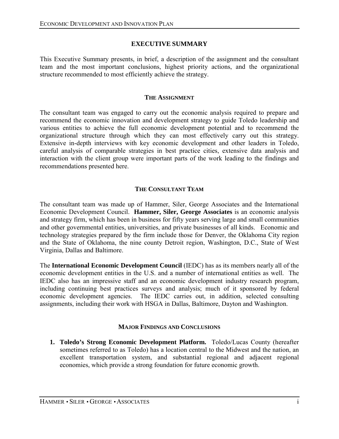## **EXECUTIVE SUMMARY**

This Executive Summary presents, in brief, a description of the assignment and the consultant team and the most important conclusions, highest priority actions, and the organizational structure recommended to most efficiently achieve the strategy.

#### **THE ASSIGNMENT**

The consultant team was engaged to carry out the economic analysis required to prepare and recommend the economic innovation and development strategy to guide Toledo leadership and various entities to achieve the full economic development potential and to recommend the organizational structure through which they can most effectively carry out this strategy. Extensive in-depth interviews with key economic development and other leaders in Toledo, careful analysis of comparable strategies in best practice cities, extensive data analysis and interaction with the client group were important parts of the work leading to the findings and recommendations presented here.

## **THE CONSULTANT TEAM**

The consultant team was made up of Hammer, Siler, George Associates and the International Economic Development Council. **Hammer, Siler, George Associates** is an economic analysis and strategy firm, which has been in business for fifty years serving large and small communities and other governmental entities, universities, and private businesses of all kinds. Economic and technology strategies prepared by the firm include those for Denver, the Oklahoma City region and the State of Oklahoma, the nine county Detroit region, Washington, D.C., State of West Virginia, Dallas and Baltimore.

The **International Economic Development Council** (IEDC) has as its members nearly all of the economic development entities in the U.S. and a number of international entities as well. The IEDC also has an impressive staff and an economic development industry research program, including continuing best practices surveys and analysis; much of it sponsored by federal economic development agencies. The IEDC carries out, in addition, selected consulting assignments, including their work with HSGA in Dallas, Baltimore, Dayton and Washington.

## **MAJOR FINDINGS AND CONCLUSIONS**

**1. Toledo's Strong Economic Development Platform.** Toledo/Lucas County (hereafter sometimes referred to as Toledo) has a location central to the Midwest and the nation, an excellent transportation system, and substantial regional and adjacent regional economies, which provide a strong foundation for future economic growth.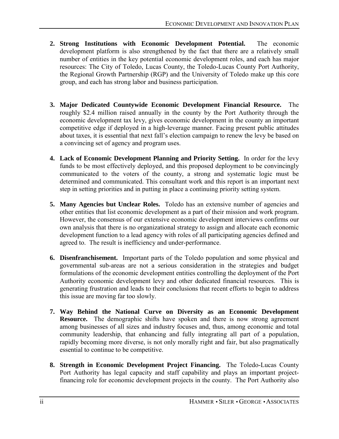- **2. Strong Institutions with Economic Development Potential.** The economic development platform is also strengthened by the fact that there are a relatively small number of entities in the key potential economic development roles, and each has major resources: The City of Toledo, Lucas County, the Toledo-Lucas County Port Authority, the Regional Growth Partnership (RGP) and the University of Toledo make up this core group, and each has strong labor and business participation.
- **3. Major Dedicated Countywide Economic Development Financial Resource.** The roughly \$2.4 million raised annually in the county by the Port Authority through the economic development tax levy, gives economic development in the county an important competitive edge if deployed in a high-leverage manner. Facing present public attitudes about taxes, it is essential that next fall's election campaign to renew the levy be based on a convincing set of agency and program uses.
- **4. Lack of Economic Development Planning and Priority Setting.** In order for the levy funds to be most effectively deployed, and this proposed deployment to be convincingly communicated to the voters of the county, a strong and systematic logic must be determined and communicated. This consultant work and this report is an important next step in setting priorities and in putting in place a continuing priority setting system.
- **5. Many Agencies but Unclear Roles.** Toledo has an extensive number of agencies and other entities that list economic development as a part of their mission and work program. However, the consensus of our extensive economic development interviews confirms our own analysis that there is no organizational strategy to assign and allocate each economic development function to a lead agency with roles of all participating agencies defined and agreed to. The result is inefficiency and under-performance.
- **6. Disenfranchisement.** Important parts of the Toledo population and some physical and governmental sub-areas are not a serious consideration in the strategies and budget formulations of the economic development entities controlling the deployment of the Port Authority economic development levy and other dedicated financial resources. This is generating frustration and leads to their conclusions that recent efforts to begin to address this issue are moving far too slowly.
- **7. Way Behind the National Curve on Diversity as an Economic Development Resource.** The demographic shifts have spoken and there is now strong agreement among businesses of all sizes and industry focuses and, thus, among economic and total community leadership, that enhancing and fully integrating all part of a population, rapidly becoming more diverse, is not only morally right and fair, but also pragmatically essential to continue to be competitive.
- **8. Strength in Economic Development Project Financing.** The Toledo-Lucas County Port Authority has legal capacity and staff capability and plays an important projectfinancing role for economic development projects in the county. The Port Authority also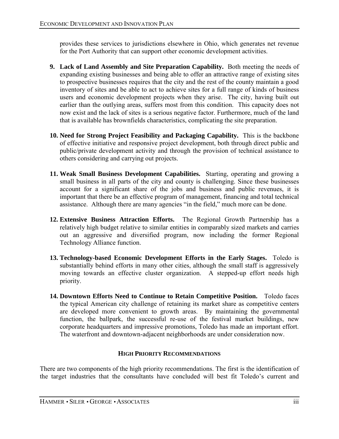provides these services to jurisdictions elsewhere in Ohio, which generates net revenue for the Port Authority that can support other economic development activities.

- **9. Lack of Land Assembly and Site Preparation Capability.** Both meeting the needs of expanding existing businesses and being able to offer an attractive range of existing sites to prospective businesses requires that the city and the rest of the county maintain a good inventory of sites and be able to act to achieve sites for a full range of kinds of business users and economic development projects when they arise. The city, having built out earlier than the outlying areas, suffers most from this condition. This capacity does not now exist and the lack of sites is a serious negative factor. Furthermore, much of the land that is available has brownfields characteristics, complicating the site preparation.
- **10. Need for Strong Project Feasibility and Packaging Capability.** This is the backbone of effective initiative and responsive project development, both through direct public and public/private development activity and through the provision of technical assistance to others considering and carrying out projects.
- **11. Weak Small Business Development Capabilities.** Starting, operating and growing a small business in all parts of the city and county is challenging. Since these businesses account for a significant share of the jobs and business and public revenues, it is important that there be an effective program of management, financing and total technical assistance. Although there are many agencies "in the field," much more can be done.
- **12. Extensive Business Attraction Efforts.** The Regional Growth Partnership has a relatively high budget relative to similar entities in comparably sized markets and carries out an aggressive and diversified program, now including the former Regional Technology Alliance function.
- **13. Technology-based Economic Development Efforts in the Early Stages.** Toledo is substantially behind efforts in many other cities, although the small staff is aggressively moving towards an effective cluster organization. A stepped-up effort needs high priority.
- **14. Downtown Efforts Need to Continue to Retain Competitive Position.** Toledo faces the typical American city challenge of retaining its market share as competitive centers are developed more convenient to growth areas. By maintaining the governmental function, the ballpark, the successful re-use of the festival market buildings, new corporate headquarters and impressive promotions, Toledo has made an important effort. The waterfront and downtown-adjacent neighborhoods are under consideration now.

## **HIGH PRIORITY RECOMMENDATIONS**

There are two components of the high priority recommendations. The first is the identification of the target industries that the consultants have concluded will best fit Toledo's current and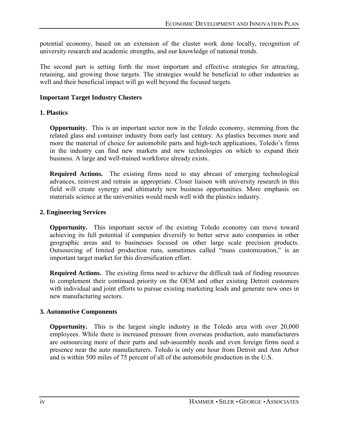potential economy, based on an extension of the cluster work done locally, recognition of university research and academic strengths, and our knowledge of national trends.

The second part is setting forth the most important and effective strategies for attracting, retaining, and growing those targets. The strategies would be beneficial to other industries as well and their beneficial impact will go well beyond the focused targets.

## **Important Target Industry Clusters**

## **1. Plastics**

**Opportunity.** This is an important sector now in the Toledo economy, stemming from the related glass and container industry from early last century. As plastics becomes more and more the material of choice for automobile parts and high-tech applications, Toledo's firms in the industry can find new markets and new technologies on which to expand their business. A large and well-trained workforce already exists.

**Required Actions.** The existing firms need to stay abreast of emerging technological advances, reinvest and retrain as appropriate. Closer liaison with university research in this field will create synergy and ultimately new business opportunities. More emphasis on materials science at the universities would mesh well with the plastics industry.

## **2. Engineering Services**

**Opportunity.** This important sector of the existing Toledo economy can move toward achieving its full potential if companies diversify to better serve auto companies in other geographic areas and to businesses focused on other large scale precision products. Outsourcing of limited production runs, sometimes called "mass customization," is an important target market for this diversification effort.

**Required Actions.** The existing firms need to achieve the difficult task of finding resources to complement their continued priority on the OEM and other existing Detroit customers with individual and joint efforts to pursue existing marketing leads and generate new ones in new manufacturing sectors.

## **3. Automotive Components**

**Opportunity.** This is the largest single industry in the Toledo area with over 20,000 employees. While there is increased pressure from overseas production, auto manufacturers are outsourcing more of their parts and sub-assembly needs and even foreign firms need a presence near the auto manufacturers. Toledo is only one hour from Detroit and Ann Arbor and is within 500 miles of 75 percent of all of the automobile production in the U.S.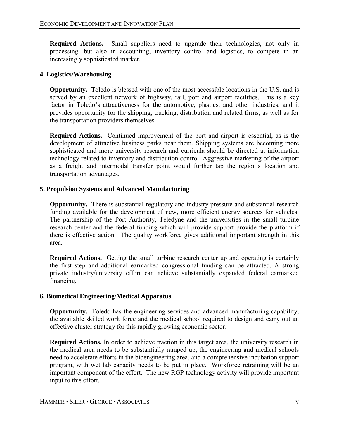**Required Actions.** Small suppliers need to upgrade their technologies, not only in processing, but also in accounting, inventory control and logistics, to compete in an increasingly sophisticated market.

## **4. Logistics/Warehousing**

**Opportunity.** Toledo is blessed with one of the most accessible locations in the U.S. and is served by an excellent network of highway, rail, port and airport facilities. This is a key factor in Toledo's attractiveness for the automotive, plastics, and other industries, and it provides opportunity for the shipping, trucking, distribution and related firms, as well as for the transportation providers themselves.

**Required Actions.** Continued improvement of the port and airport is essential, as is the development of attractive business parks near them. Shipping systems are becoming more sophisticated and more university research and curricula should be directed at information technology related to inventory and distribution control. Aggressive marketing of the airport as a freight and intermodal transfer point would further tap the region's location and transportation advantages.

## **5. Propulsion Systems and Advanced Manufacturing**

**Opportunity.** There is substantial regulatory and industry pressure and substantial research funding available for the development of new, more efficient energy sources for vehicles. The partnership of the Port Authority, Teledyne and the universities in the small turbine research center and the federal funding which will provide support provide the platform if there is effective action. The quality workforce gives additional important strength in this area.

**Required Actions.** Getting the small turbine research center up and operating is certainly the first step and additional earmarked congressional funding can be attracted. A strong private industry/university effort can achieve substantially expanded federal earmarked financing.

## **6. Biomedical Engineering/Medical Apparatus**

**Opportunity.** Toledo has the engineering services and advanced manufacturing capability, the available skilled work force and the medical school required to design and carry out an effective cluster strategy for this rapidly growing economic sector.

**Required Actions.** In order to achieve traction in this target area, the university research in the medical area needs to be substantially ramped up, the engineering and medical schools need to accelerate efforts in the bioengineering area, and a comprehensive incubation support program, with wet lab capacity needs to be put in place. Workforce retraining will be an important component of the effort. The new RGP technology activity will provide important input to this effort.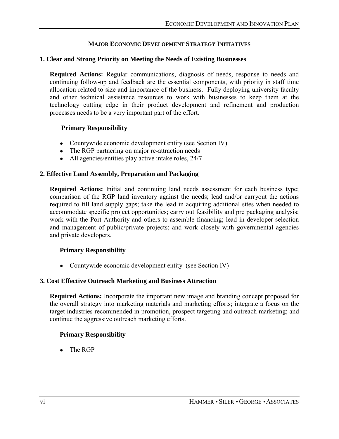## **MAJOR ECONOMIC DEVELOPMENT STRATEGY INITIATIVES**

## **1. Clear and Strong Priority on Meeting the Needs of Existing Businesses**

**Required Actions:** Regular communications, diagnosis of needs, response to needs and continuing follow-up and feedback are the essential components, with priority in staff time allocation related to size and importance of the business. Fully deploying university faculty and other technical assistance resources to work with businesses to keep them at the technology cutting edge in their product development and refinement and production processes needs to be a very important part of the effort.

## **Primary Responsibility**

- Countywide economic development entity (see Section IV)
- The RGP partnering on major re-attraction needs
- All agencies/entities play active intake roles, 24/7

## **2. Effective Land Assembly, Preparation and Packaging**

**Required Actions:** Initial and continuing land needs assessment for each business type; comparison of the RGP land inventory against the needs; lead and/or carryout the actions required to fill land supply gaps; take the lead in acquiring additional sites when needed to accommodate specific project opportunities; carry out feasibility and pre packaging analysis; work with the Port Authority and others to assemble financing; lead in developer selection and management of public/private projects; and work closely with governmental agencies and private developers.

## **Primary Responsibility**

• Countywide economic development entity (see Section IV)

## **3. Cost Effective Outreach Marketing and Business Attraction**

**Required Actions:** Incorporate the important new image and branding concept proposed for the overall strategy into marketing materials and marketing efforts; integrate a focus on the target industries recommended in promotion, prospect targeting and outreach marketing; and continue the aggressive outreach marketing efforts.

## **Primary Responsibility**

 $\bullet$  The RGP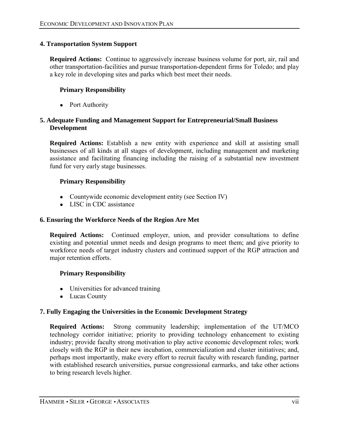## **4. Transportation System Support**

**Required Actions:** Continue to aggressively increase business volume for port, air, rail and other transportation-facilities and pursue transportation-dependent firms for Toledo; and play a key role in developing sites and parks which best meet their needs.

## **Primary Responsibility**

• Port Authority

## **5. Adequate Funding and Management Support for Entrepreneurial/Small Business Development**

**Required Actions:** Establish a new entity with experience and skill at assisting small businesses of all kinds at all stages of development, including management and marketing assistance and facilitating financing including the raising of a substantial new investment fund for very early stage businesses.

## **Primary Responsibility**

- Countywide economic development entity (see Section IV)
- LISC in CDC assistance

## **6. Ensuring the Workforce Needs of the Region Are Met**

**Required Actions:** Continued employer, union, and provider consultations to define existing and potential unmet needs and design programs to meet them; and give priority to workforce needs of target industry clusters and continued support of the RGP attraction and major retention efforts.

## **Primary Responsibility**

- Universities for advanced training
- Lucas County

## **7. Fully Engaging the Universities in the Economic Development Strategy**

**Required Actions:** Strong community leadership; implementation of the UT/MCO technology corridor initiative; priority to providing technology enhancement to existing industry; provide faculty strong motivation to play active economic development roles; work closely with the RGP in their new incubation, commercialization and cluster initiatives; and, perhaps most importantly, make every effort to recruit faculty with research funding, partner with established research universities, pursue congressional earmarks, and take other actions to bring research levels higher.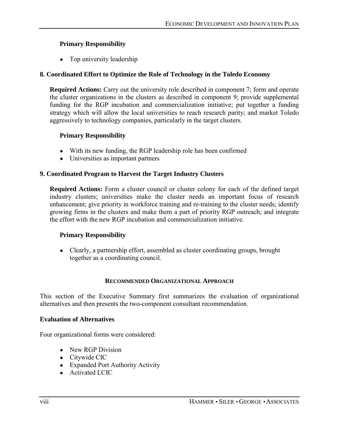## **Primary Responsibility**

• Top university leadership

## **8. Coordinated Effort to Optimize the Role of Technology in the Toledo Economy**

**Required Actions:** Carry out the university role described in component 7; form and operate the cluster organizations in the clusters as described in component 9; provide supplemental funding for the RGP incubation and commercialization initiative; put together a funding strategy which will allow the local universities to reach research parity; and market Toledo aggressively to technology companies, particularly in the target clusters.

## **Primary Responsibility**

- With its new funding, the RGP leadership role has been confirmed
- Universities as important partners

## **9. Coordinated Program to Harvest the Target Industry Clusters**

**Required Actions:** Form a cluster council or cluster colony for each of the defined target industry clusters; universities make the cluster needs an important focus of research enhancement; give priority in workforce training and re-training to the cluster needs; identify growing firms in the clusters and make them a part of priority RGP outreach; and integrate the effort with the new RGP incubation and commercialization initiative.

## **Primary Responsibility**

• Clearly, a partnership effort, assembled as cluster coordinating groups, brought together as a coordinating council.

## **RECOMMENDED ORGANIZATIONAL APPROACH**

This section of the Executive Summary first summarizes the evaluation of organizational alternatives and then presents the two-component consultant recommendation.

## **Evaluation of Alternatives**

Four organizational forms were considered:

- New RGP Division
- Citywide CIC
- Expanded Port Authority Activity
- Activated LCIC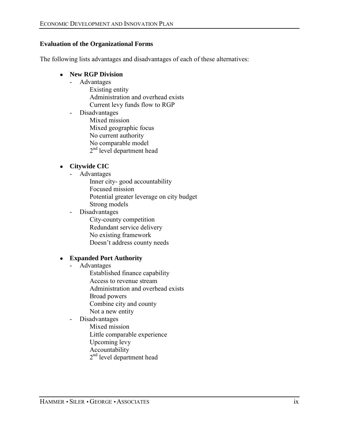## **Evaluation of the Organizational Forms**

The following lists advantages and disadvantages of each of these alternatives:

## ● **New RGP Division**

- Advantages
	- Existing entity Administration and overhead exists Current levy funds flow to RGP
- Disadvantages Mixed mission Mixed geographic focus No current authority No comparable model 2<sup>nd</sup> level department head

## ● **Citywide CIC**

- Advantages
	- Inner city- good accountability Focused mission Potential greater leverage on city budget Strong models
- Disadvantages
	- City-county competition Redundant service delivery No existing framework Doesn't address county needs

## ● **Expanded Port Authority**

- Advantages
	- Established finance capability Access to revenue stream Administration and overhead exists Broad powers Combine city and county
	- Not a new entity
- Disadvantages
	- Mixed mission
	- Little comparable experience
	- Upcoming levy
	- Accountability
	- 2<sup>nd</sup> level department head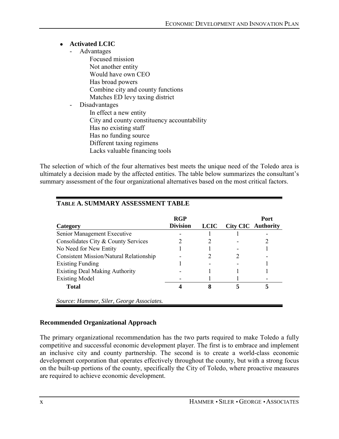## ● **Activated LCIC**

- Advantages
	- Focused mission Not another entity Would have own CEO Has broad powers Combine city and county functions Matches ED levy taxing district
- Disadvantages In effect a new entity City and county constituency accountability Has no existing staff Has no funding source Different taxing regimens Lacks valuable financing tools

The selection of which of the four alternatives best meets the unique need of the Toledo area is ultimately a decision made by the affected entities. The table below summarizes the consultant's summary assessment of the four organizational alternatives based on the most critical factors.

| Category                                       | <b>RGP</b><br><b>Division</b> | <b>LCIC</b> | Port<br><b>City CIC</b> Authority |
|------------------------------------------------|-------------------------------|-------------|-----------------------------------|
| Senior Management Executive                    |                               |             |                                   |
| Consolidates City & County Services            |                               |             |                                   |
| No Need for New Entity                         |                               |             |                                   |
| <b>Consistent Mission/Natural Relationship</b> |                               |             |                                   |
| <b>Existing Funding</b>                        |                               |             |                                   |
| <b>Existing Deal Making Authority</b>          |                               |             |                                   |
| <b>Existing Model</b>                          |                               |             |                                   |
| <b>Total</b>                                   |                               |             |                                   |
| Source: Hammer, Siler, George Associates.      |                               |             |                                   |

## **TABLE A. SUMMARY ASSESSMENT TABLE**

## **Recommended Organizational Approach**

The primary organizational recommendation has the two parts required to make Toledo a fully competitive and successful economic development player. The first is to embrace and implement an inclusive city and county partnership. The second is to create a world-class economic development corporation that operates effectively throughout the county, but with a strong focus on the built-up portions of the county, specifically the City of Toledo, where proactive measures are required to achieve economic development.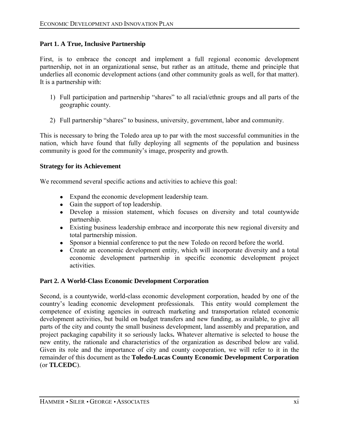## **Part 1. A True, Inclusive Partnership**

First, is to embrace the concept and implement a full regional economic development partnership, not in an organizational sense, but rather as an attitude, theme and principle that underlies all economic development actions (and other community goals as well, for that matter). It is a partnership with:

- 1) Full participation and partnership "shares" to all racial/ethnic groups and all parts of the geographic county.
- 2) Full partnership "shares" to business, university, government, labor and community.

This is necessary to bring the Toledo area up to par with the most successful communities in the nation, which have found that fully deploying all segments of the population and business community is good for the community's image, prosperity and growth.

## **Strategy for its Achievement**

We recommend several specific actions and activities to achieve this goal:

- Expand the economic development leadership team.
- Gain the support of top leadership.
- Develop a mission statement, which focuses on diversity and total countywide partnership.
- Existing business leadership embrace and incorporate this new regional diversity and total partnership mission.
- Sponsor a biennial conference to put the new Toledo on record before the world.
- Create an economic development entity, which will incorporate diversity and a total economic development partnership in specific economic development project activities.

## **Part 2. A World-Class Economic Development Corporation**

Second, is a countywide, world-class economic development corporation, headed by one of the country's leading economic development professionals. This entity would complement the competence of existing agencies in outreach marketing and transportation related economic development activities, but build on budget transfers and new funding, as available, to give all parts of the city and county the small business development, land assembly and preparation, and project packaging capability it so seriously lacks**.** Whatever alternative is selected to house the new entity, the rationale and characteristics of the organization as described below are valid. Given its role and the importance of city and county cooperation, we will refer to it in the remainder of this document as the **Toledo-Lucas County Economic Development Corporation**  (or **TLCEDC**).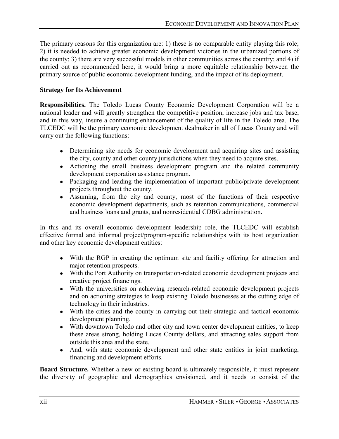The primary reasons for this organization are: 1) these is no comparable entity playing this role; 2) it is needed to achieve greater economic development victories in the urbanized portions of the county; 3) there are very successful models in other communities across the country; and 4) if carried out as recommended here, it would bring a more equitable relationship between the primary source of public economic development funding, and the impact of its deployment.

## **Strategy for Its Achievement**

**Responsibilities.** The Toledo Lucas County Economic Development Corporation will be a national leader and will greatly strengthen the competitive position, increase jobs and tax base, and in this way, insure a continuing enhancement of the quality of life in the Toledo area. The TLCEDC will be the primary economic development dealmaker in all of Lucas County and will carry out the following functions:

- Determining site needs for economic development and acquiring sites and assisting the city, county and other county jurisdictions when they need to acquire sites.
- Actioning the small business development program and the related community development corporation assistance program.
- Packaging and leading the implementation of important public/private development projects throughout the county.
- Assuming, from the city and county, most of the functions of their respective economic development departments, such as retention communications, commercial and business loans and grants, and nonresidential CDBG administration.

In this and its overall economic development leadership role, the TLCEDC will establish effective formal and informal project/program-specific relationships with its host organization and other key economic development entities:

- With the RGP in creating the optimum site and facility offering for attraction and major retention prospects.
- With the Port Authority on transportation-related economic development projects and creative project financings.
- With the universities on achieving research-related economic development projects and on actioning strategies to keep existing Toledo businesses at the cutting edge of technology in their industries.
- With the cities and the county in carrying out their strategic and tactical economic development planning.
- With downtown Toledo and other city and town center development entities, to keep these areas strong, holding Lucas County dollars, and attracting sales support from outside this area and the state.
- And, with state economic development and other state entities in joint marketing, financing and development efforts.

**Board Structure.** Whether a new or existing board is ultimately responsible, it must represent the diversity of geographic and demographics envisioned, and it needs to consist of the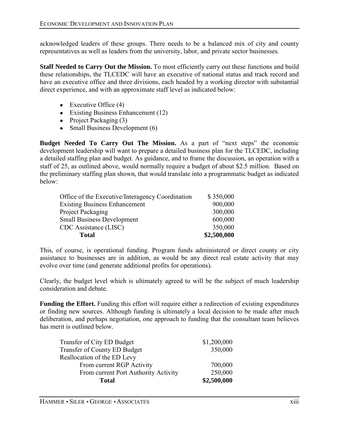acknowledged leaders of these groups. There needs to be a balanced mix of city and county representatives as well as leaders from the university, labor, and private sector businesses.

**Staff Needed to Carry Out the Mission.** To most efficiently carry out these functions and build these relationships, the TLCEDC will have an executive of national status and track record and have an executive office and three divisions, each headed by a working director with substantial direct experience, and with an approximate staff level as indicated below:

- $\bullet$  Executive Office (4)
- Existing Business Enhancement (12)
- Project Packaging  $(3)$
- Small Business Development  $(6)$

**Budget Needed To Carry Out The Mission.** As a part of "next steps" the economic development leadership will want to prepare a detailed business plan for the TLCEDC, including a detailed staffing plan and budget. As guidance, and to frame the discussion, an operation with a staff of 25, as outlined above, would normally require a budget of about \$2.5 million. Based on the preliminary staffing plan shown, that would translate into a programmatic budget as indicated below:

| Office of the Executive/Interagency Coordination | \$350,000   |
|--------------------------------------------------|-------------|
| <b>Existing Business Enhancement</b>             | 900,000     |
| Project Packaging                                | 300,000     |
| <b>Small Business Development</b>                | 600,000     |
| CDC Assistance (LISC)                            | 350,000     |
| <b>Total</b>                                     | \$2,500,000 |

This, of course, is operational funding. Program funds administered or direct county or city assistance to businesses are in addition, as would be any direct real estate activity that may evolve over time (and generate additional profits for operations).

Clearly, the budget level which is ultimately agreed to will be the subject of much leadership consideration and debate.

**Funding the Effort.** Funding this effort will require either a redirection of existing expenditures or finding new sources. Although funding is ultimately a local decision to be made after much deliberation, and perhaps negotiation, one approach to funding that the consultant team believes has merit is outlined below.

| <b>Total</b>                         | \$2,500,000 |
|--------------------------------------|-------------|
| From current Port Authority Activity | 250,000     |
| From current RGP Activity            | 700,000     |
| Reallocation of the ED Levy          |             |
| Transfer of County ED Budget         | 350,000     |
| Transfer of City ED Budget           | \$1,200,000 |
|                                      |             |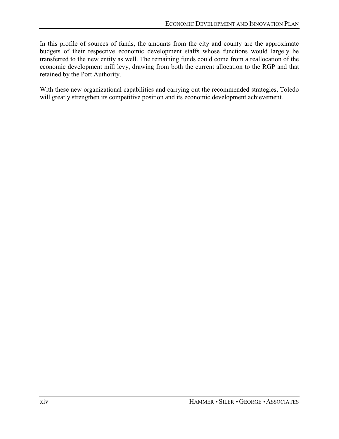In this profile of sources of funds, the amounts from the city and county are the approximate budgets of their respective economic development staffs whose functions would largely be transferred to the new entity as well. The remaining funds could come from a reallocation of the economic development mill levy, drawing from both the current allocation to the RGP and that retained by the Port Authority.

With these new organizational capabilities and carrying out the recommended strategies, Toledo will greatly strengthen its competitive position and its economic development achievement.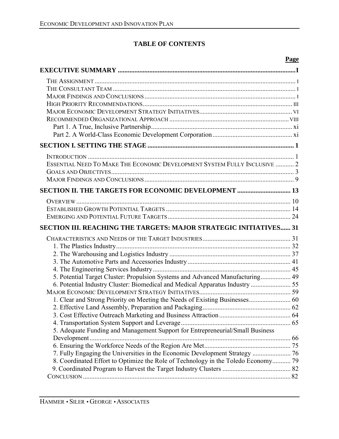## **TABLE OF CONTENTS**

## **Page**

| ESSENTIAL NEED TO MAKE THE ECONOMIC DEVELOPMENT SYSTEM FULLY INCLUSIVE  2         |  |
|-----------------------------------------------------------------------------------|--|
|                                                                                   |  |
|                                                                                   |  |
| SECTION II. THE TARGETS FOR ECONOMIC DEVELOPMENT  13                              |  |
|                                                                                   |  |
|                                                                                   |  |
|                                                                                   |  |
| <b>SECTION III. REACHING THE TARGETS: MAJOR STRATEGIC INITIATIVES 31</b>          |  |
|                                                                                   |  |
|                                                                                   |  |
|                                                                                   |  |
|                                                                                   |  |
|                                                                                   |  |
|                                                                                   |  |
| 5. Potential Target Cluster: Propulsion Systems and Advanced Manufacturing 49     |  |
| 6. Potential Industry Cluster: Biomedical and Medical Apparatus Industry  55      |  |
|                                                                                   |  |
| 1. Clear and Strong Priority on Meeting the Needs of Existing Businesses 60       |  |
|                                                                                   |  |
|                                                                                   |  |
|                                                                                   |  |
| 5. Adequate Funding and Management Support for Entrepreneurial/Small Business     |  |
|                                                                                   |  |
| 7. Fully Engaging the Universities in the Economic Development Strategy  76       |  |
| 8. Coordinated Effort to Optimize the Role of Technology in the Toledo Economy 79 |  |
|                                                                                   |  |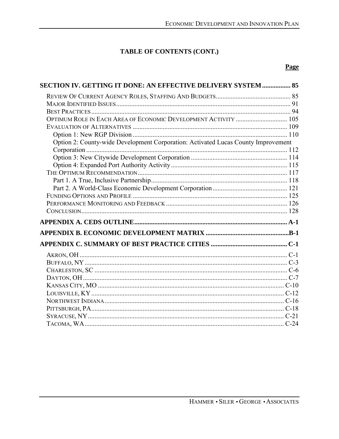## TABLE OF CONTENTS (CONT.)

## Page

| <b>SECTION IV. GETTING IT DONE: AN EFFECTIVE DELIVERY SYSTEM  85</b>              |  |
|-----------------------------------------------------------------------------------|--|
|                                                                                   |  |
|                                                                                   |  |
|                                                                                   |  |
| OPTIMUM ROLE IN EACH AREA OF ECONOMIC DEVELOPMENT ACTIVITY  105                   |  |
|                                                                                   |  |
|                                                                                   |  |
| Option 2: County-wide Development Corporation: Activated Lucas County Improvement |  |
|                                                                                   |  |
|                                                                                   |  |
|                                                                                   |  |
|                                                                                   |  |
|                                                                                   |  |
|                                                                                   |  |
|                                                                                   |  |
|                                                                                   |  |
|                                                                                   |  |
|                                                                                   |  |
|                                                                                   |  |
|                                                                                   |  |
|                                                                                   |  |
|                                                                                   |  |
|                                                                                   |  |
|                                                                                   |  |
|                                                                                   |  |
|                                                                                   |  |
|                                                                                   |  |
|                                                                                   |  |
|                                                                                   |  |
|                                                                                   |  |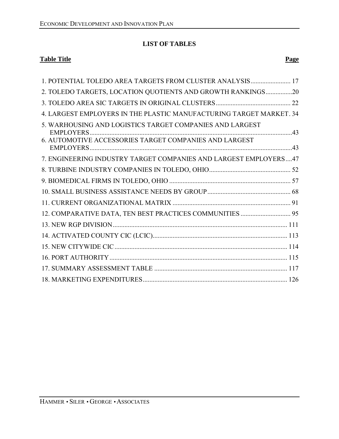## **LIST OF TABLES**

## **Table Title Page**

| 1. POTENTIAL TOLEDO AREA TARGETS FROM CLUSTER ANALYSIS 17           |
|---------------------------------------------------------------------|
|                                                                     |
| 2. TOLEDO TARGETS, LOCATION QUOTIENTS AND GROWTH RANKINGS20         |
|                                                                     |
| 4. LARGEST EMPLOYERS IN THE PLASTIC MANUFACTURING TARGET MARKET. 34 |
| 5. WARHOUSING AND LOGISTICS TARGET COMPANIES AND LARGEST            |
| <b>EMPLOYERS.</b>                                                   |
| 6. AUTOMOTIVE ACCESSORIES TARGET COMPANIES AND LARGEST              |
| 7. ENGINEERING INDUSTRY TARGET COMPANIES AND LARGEST EMPLOYERS47    |
|                                                                     |
|                                                                     |
|                                                                     |
|                                                                     |
| 12. COMPARATIVE DATA, TEN BEST PRACTICES COMMUNITIES  95            |
|                                                                     |
|                                                                     |
|                                                                     |
|                                                                     |
|                                                                     |
|                                                                     |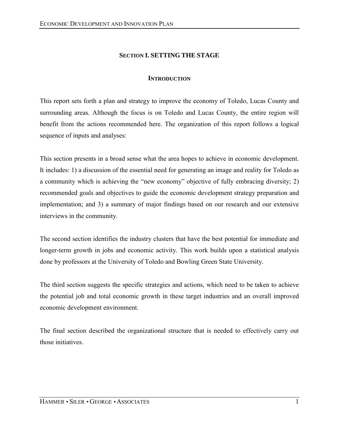## **SECTION I. SETTING THE STAGE**

## **INTRODUCTION**

This report sets forth a plan and strategy to improve the economy of Toledo, Lucas County and surrounding areas. Although the focus is on Toledo and Lucas County, the entire region will benefit from the actions recommended here. The organization of this report follows a logical sequence of inputs and analyses:

This section presents in a broad sense what the area hopes to achieve in economic development. It includes: 1) a discussion of the essential need for generating an image and reality for Toledo as a community which is achieving the "new economy" objective of fully embracing diversity; 2) recommended goals and objectives to guide the economic development strategy preparation and implementation; and 3) a summary of major findings based on our research and our extensive interviews in the community.

The second section identifies the industry clusters that have the best potential for immediate and longer-term growth in jobs and economic activity. This work builds upon a statistical analysis done by professors at the University of Toledo and Bowling Green State University.

The third section suggests the specific strategies and actions, which need to be taken to achieve the potential job and total economic growth in these target industries and an overall improved economic development environment.

The final section described the organizational structure that is needed to effectively carry out those initiatives.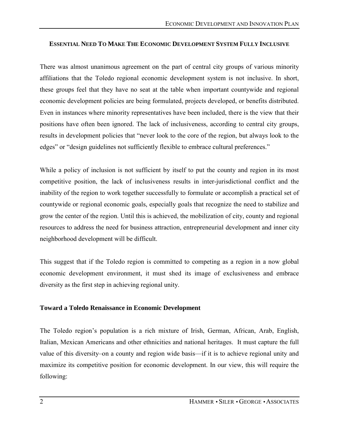## **ESSENTIAL NEED TO MAKE THE ECONOMIC DEVELOPMENT SYSTEM FULLY INCLUSIVE**

There was almost unanimous agreement on the part of central city groups of various minority affiliations that the Toledo regional economic development system is not inclusive. In short, these groups feel that they have no seat at the table when important countywide and regional economic development policies are being formulated, projects developed, or benefits distributed. Even in instances where minority representatives have been included, there is the view that their positions have often been ignored. The lack of inclusiveness, according to central city groups, results in development policies that "never look to the core of the region, but always look to the edges" or "design guidelines not sufficiently flexible to embrace cultural preferences."

While a policy of inclusion is not sufficient by itself to put the county and region in its most competitive position, the lack of inclusiveness results in inter-jurisdictional conflict and the inability of the region to work together successfully to formulate or accomplish a practical set of countywide or regional economic goals, especially goals that recognize the need to stabilize and grow the center of the region. Until this is achieved, the mobilization of city, county and regional resources to address the need for business attraction, entrepreneurial development and inner city neighborhood development will be difficult.

This suggest that if the Toledo region is committed to competing as a region in a now global economic development environment, it must shed its image of exclusiveness and embrace diversity as the first step in achieving regional unity.

## **Toward a Toledo Renaissance in Economic Development**

The Toledo region's population is a rich mixture of Irish, German, African, Arab, English, Italian, Mexican Americans and other ethnicities and national heritages. It must capture the full value of this diversity-on a county and region wide basis—if it is to achieve regional unity and maximize its competitive position for economic development. In our view, this will require the following: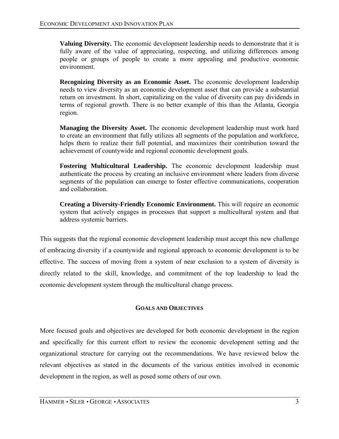**Valuing Diversity.** The economic development leadership needs to demonstrate that it is fully aware of the value of appreciating, respecting, and utilizing differences among people or groups of people to create a more appealing and productive economic environment.

**Recognizing Diversity as an Economic Asset.** The economic development leadership needs to view diversity as an economic development asset that can provide a substantial return on investment. In short, capitalizing on the value of diversity can pay dividends in terms of regional growth. There is no better example of this than the Atlanta, Georgia region.

**Managing the Diversity Asset.** The economic development leadership must work hard to create an environment that fully utilizes all segments of the population and workforce, helps them to realize their full potential, and maximizes their contribution toward the achievement of countywide and regional economic development goals.

**Fostering Multicultural Leadership.** The economic development leadership must authenticate the process by creating an inclusive environment where leaders from diverse segments of the population can emerge to foster effective communications, cooperation and collaboration.

**Creating a Diversity-Friendly Economic Environment.** This will require an economic system that actively engages in processes that support a multicultural system and that address systemic barriers.

This suggests that the regional economic development leadership must accept this new challenge of embracing diversity if a countywide and regional approach to economic development is to be effective. The success of moving from a system of near exclusion to a system of diversity is directly related to the skill, knowledge, and commitment of the top leadership to lead the economic development system through the multicultural change process.

## **GOALS AND OBJECTIVES**

More focused goals and objectives are developed for both economic development in the region and specifically for this current effort to review the economic development setting and the organizational structure for carrying out the recommendations. We have reviewed below the relevant objectives as stated in the documents of the various entities involved in economic development in the region, as well as posed some others of our own.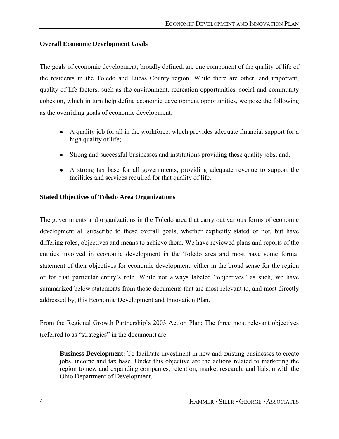## **Overall Economic Development Goals**

The goals of economic development, broadly defined, are one component of the quality of life of the residents in the Toledo and Lucas County region. While there are other, and important, quality of life factors, such as the environment, recreation opportunities, social and community cohesion, which in turn help define economic development opportunities, we pose the following as the overriding goals of economic development:

- A quality job for all in the workforce, which provides adequate financial support for a high quality of life;
- Strong and successful businesses and institutions providing these quality jobs; and,
- A strong tax base for all governments, providing adequate revenue to support the facilities and services required for that quality of life.

## **Stated Objectives of Toledo Area Organizations**

The governments and organizations in the Toledo area that carry out various forms of economic development all subscribe to these overall goals, whether explicitly stated or not, but have differing roles, objectives and means to achieve them. We have reviewed plans and reports of the entities involved in economic development in the Toledo area and most have some formal statement of their objectives for economic development, either in the broad sense for the region or for that particular entity's role. While not always labeled "objectives" as such, we have summarized below statements from those documents that are most relevant to, and most directly addressed by, this Economic Development and Innovation Plan.

From the Regional Growth Partnership's 2003 Action Plan: The three most relevant objectives (referred to as "strategies" in the document) are:

**Business Development:** To facilitate investment in new and existing businesses to create jobs, income and tax base. Under this objective are the actions related to marketing the region to new and expanding companies, retention, market research, and liaison with the Ohio Department of Development.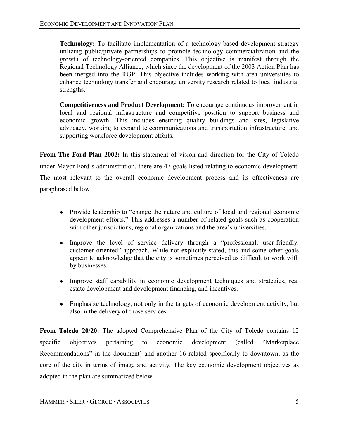**Technology:** To facilitate implementation of a technology-based development strategy utilizing public/private partnerships to promote technology commercialization and the growth of technology-oriented companies. This objective is manifest through the Regional Technology Alliance, which since the development of the 2003 Action Plan has been merged into the RGP. This objective includes working with area universities to enhance technology transfer and encourage university research related to local industrial strengths.

**Competitiveness and Product Development:** To encourage continuous improvement in local and regional infrastructure and competitive position to support business and economic growth. This includes ensuring quality buildings and sites, legislative advocacy, working to expand telecommunications and transportation infrastructure, and supporting workforce development efforts.

**From The Ford Plan 2002:** In this statement of vision and direction for the City of Toledo under Mayor Fordís administration, there are 47 goals listed relating to economic development. The most relevant to the overall economic development process and its effectiveness are paraphrased below.

- Provide leadership to "change the nature and culture of local and regional economic development efforts." This addresses a number of related goals such as cooperation with other jurisdictions, regional organizations and the area's universities.
- Improve the level of service delivery through a "professional, user-friendly, customer-oriented" approach. While not explicitly stated, this and some other goals appear to acknowledge that the city is sometimes perceived as difficult to work with by businesses.
- Improve staff capability in economic development techniques and strategies, real estate development and development financing, and incentives.
- Emphasize technology, not only in the targets of economic development activity, but also in the delivery of those services.

**From Toledo 20/20:** The adopted Comprehensive Plan of the City of Toledo contains 12 specific objectives pertaining to economic development (called "Marketplace" Recommendations" in the document) and another 16 related specifically to downtown, as the core of the city in terms of image and activity. The key economic development objectives as adopted in the plan are summarized below.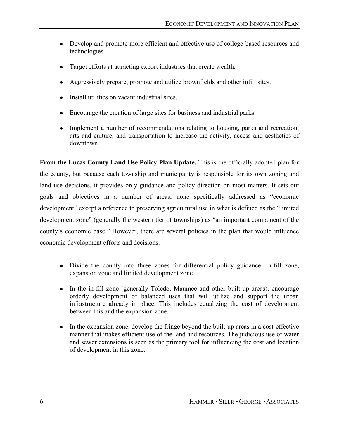- Develop and promote more efficient and effective use of college-based resources and technologies.
- Target efforts at attracting export industries that create wealth.
- Aggressively prepare, promote and utilize brownfields and other infill sites.
- Install utilities on vacant industrial sites.
- Encourage the creation of large sites for business and industrial parks.
- Implement a number of recommendations relating to housing, parks and recreation, arts and culture, and transportation to increase the activity, access and aesthetics of downtown.

**From the Lucas County Land Use Policy Plan Update.** This is the officially adopted plan for the county, but because each township and municipality is responsible for its own zoning and land use decisions, it provides only guidance and policy direction on most matters. It sets out goals and objectives in a number of areas, none specifically addressed as "economic development" except a reference to preserving agricultural use in what is defined as the "limited development zone" (generally the western tier of townships) as "an important component of the county's economic base." However, there are several policies in the plan that would influence economic development efforts and decisions.

- Divide the county into three zones for differential policy guidance: in-fill zone, expansion zone and limited development zone.
- In the in-fill zone (generally Toledo, Maumee and other built-up areas), encourage orderly development of balanced uses that will utilize and support the urban infrastructure already in place. This includes equalizing the cost of development between this and the expansion zone.
- In the expansion zone, develop the fringe beyond the built-up areas in a cost-effective manner that makes efficient use of the land and resources. The judicious use of water and sewer extensions is seen as the primary tool for influencing the cost and location of development in this zone.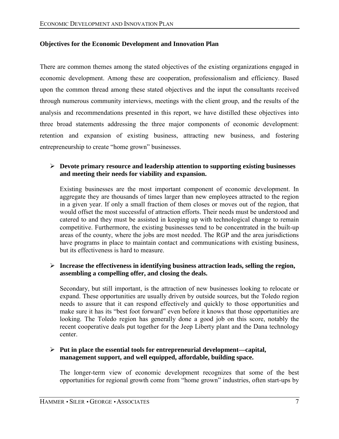## **Objectives for the Economic Development and Innovation Plan**

There are common themes among the stated objectives of the existing organizations engaged in economic development. Among these are cooperation, professionalism and efficiency. Based upon the common thread among these stated objectives and the input the consultants received through numerous community interviews, meetings with the client group, and the results of the analysis and recommendations presented in this report, we have distilled these objectives into three broad statements addressing the three major components of economic development: retention and expansion of existing business, attracting new business, and fostering entrepreneurship to create "home grown" businesses.

## ! **Devote primary resource and leadership attention to supporting existing businesses and meeting their needs for viability and expansion.**

Existing businesses are the most important component of economic development. In aggregate they are thousands of times larger than new employees attracted to the region in a given year. If only a small fraction of them closes or moves out of the region, that would offset the most successful of attraction efforts. Their needs must be understood and catered to and they must be assisted in keeping up with technological change to remain competitive. Furthermore, the existing businesses tend to be concentrated in the built-up areas of the county, where the jobs are most needed. The RGP and the area jurisdictions have programs in place to maintain contact and communications with existing business, but its effectiveness is hard to measure.

#### ! **Increase the effectiveness in identifying business attraction leads, selling the region, assembling a compelling offer, and closing the deals.**

Secondary, but still important, is the attraction of new businesses looking to relocate or expand. These opportunities are usually driven by outside sources, but the Toledo region needs to assure that it can respond effectively and quickly to those opportunities and make sure it has its "best foot forward" even before it knows that those opportunities are looking. The Toledo region has generally done a good job on this score, notably the recent cooperative deals put together for the Jeep Liberty plant and the Dana technology center.

#### ! **Put in place the essential tools for entrepreneurial development—capital, management support, and well equipped, affordable, building space.**

The longer-term view of economic development recognizes that some of the best opportunities for regional growth come from "home grown" industries, often start-ups by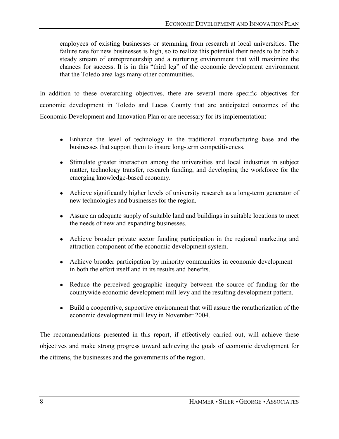employees of existing businesses or stemming from research at local universities. The failure rate for new businesses is high, so to realize this potential their needs to be both a steady stream of entrepreneurship and a nurturing environment that will maximize the chances for success. It is in this "third leg" of the economic development environment that the Toledo area lags many other communities.

In addition to these overarching objectives, there are several more specific objectives for economic development in Toledo and Lucas County that are anticipated outcomes of the Economic Development and Innovation Plan or are necessary for its implementation:

- Enhance the level of technology in the traditional manufacturing base and the businesses that support them to insure long-term competitiveness.
- Stimulate greater interaction among the universities and local industries in subject matter, technology transfer, research funding, and developing the workforce for the emerging knowledge-based economy.
- Achieve significantly higher levels of university research as a long-term generator of new technologies and businesses for the region.
- Assure an adequate supply of suitable land and buildings in suitable locations to meet the needs of new and expanding businesses.
- Achieve broader private sector funding participation in the regional marketing and attraction component of the economic development system.
- Achieve broader participation by minority communities in economic development in both the effort itself and in its results and benefits.
- Reduce the perceived geographic inequity between the source of funding for the countywide economic development mill levy and the resulting development pattern.
- Build a cooperative, supportive environment that will assure the reauthorization of the economic development mill levy in November 2004.

The recommendations presented in this report, if effectively carried out, will achieve these objectives and make strong progress toward achieving the goals of economic development for the citizens, the businesses and the governments of the region.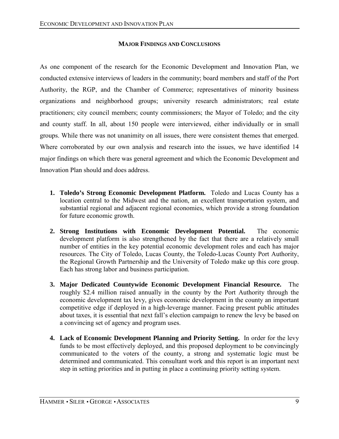## **MAJOR FINDINGS AND CONCLUSIONS**

As one component of the research for the Economic Development and Innovation Plan, we conducted extensive interviews of leaders in the community; board members and staff of the Port Authority, the RGP, and the Chamber of Commerce; representatives of minority business organizations and neighborhood groups; university research administrators; real estate practitioners; city council members; county commissioners; the Mayor of Toledo; and the city and county staff. In all, about 150 people were interviewed, either individually or in small groups. While there was not unanimity on all issues, there were consistent themes that emerged. Where corroborated by our own analysis and research into the issues, we have identified 14 major findings on which there was general agreement and which the Economic Development and Innovation Plan should and does address.

- **1. Toledo's Strong Economic Development Platform.** Toledo and Lucas County has a location central to the Midwest and the nation, an excellent transportation system, and substantial regional and adjacent regional economies, which provide a strong foundation for future economic growth.
- **2. Strong Institutions with Economic Development Potential.** The economic development platform is also strengthened by the fact that there are a relatively small number of entities in the key potential economic development roles and each has major resources. The City of Toledo, Lucas County, the Toledo-Lucas County Port Authority, the Regional Growth Partnership and the University of Toledo make up this core group. Each has strong labor and business participation.
- **3. Major Dedicated Countywide Economic Development Financial Resource.** The roughly \$2.4 million raised annually in the county by the Port Authority through the economic development tax levy, gives economic development in the county an important competitive edge if deployed in a high-leverage manner. Facing present public attitudes about taxes, it is essential that next fall's election campaign to renew the levy be based on a convincing set of agency and program uses.
- **4. Lack of Economic Development Planning and Priority Setting.** In order for the levy funds to be most effectively deployed, and this proposed deployment to be convincingly communicated to the voters of the county, a strong and systematic logic must be determined and communicated. This consultant work and this report is an important next step in setting priorities and in putting in place a continuing priority setting system.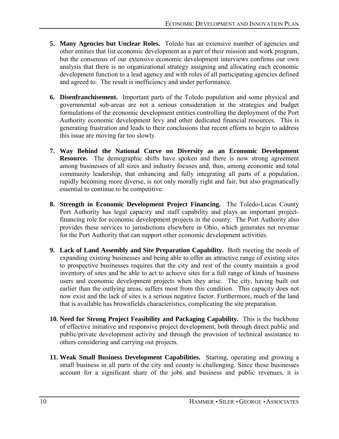- **5. Many Agencies but Unclear Roles.** Toledo has an extensive number of agencies and other entities that list economic development as a part of their mission and work program, but the consensus of our extensive economic development interviews confirms our own analysis that there is no organizational strategy assigning and allocating each economic development function to a lead agency and with roles of all participating agencies defined and agreed to. The result is inefficiency and under performance.
- **6. Disenfranchisement.** Important parts of the Toledo population and some physical and governmental sub-areas are not a serious consideration in the strategies and budget formulations of the economic development entities controlling the deployment of the Port Authority economic development levy and other dedicated financial resources. This is generating frustration and leads to their conclusions that recent efforts to begin to address this issue are moving far too slowly.
- **7. Way Behind the National Curve on Diversity as an Economic Development Resource.** The demographic shifts have spoken and there is now strong agreement among businesses of all sizes and industry focuses and, thus, among economic and total community leadership, that enhancing and fully integrating all parts of a population, rapidly becoming more diverse, is not only morally right and fair, but also pragmatically essential to continue to be competitive.
- **8. Strength in Economic Development Project Financing.** The Toledo-Lucas County Port Authority has legal capacity and staff capability and plays an important projectfinancing role for economic development projects in the county. The Port Authority also provides these services to jurisdictions elsewhere in Ohio, which generates net revenue for the Port Authority that can support other economic development activities.
- **9. Lack of Land Assembly and Site Preparation Capability.** Both meeting the needs of expanding existing businesses and being able to offer an attractive range of existing sites to prospective businesses requires that the city and rest of the county maintain a good inventory of sites and be able to act to achieve sites for a full range of kinds of business users and economic development projects when they arise. The city, having built out earlier than the outlying areas, suffers most from this condition. This capacity does not now exist and the lack of sites is a serious negative factor. Furthermore, much of the land that is available has brownfields characteristics, complicating the site preparation.
- **10. Need for Strong Project Feasibility and Packaging Capability.** This is the backbone of effective initiative and responsive project development, both through direct public and public/private development activity and through the provision of technical assistance to others considering and carrying out projects.
- **11. Weak Small Business Development Capabilities.** Starting, operating and growing a small business in all parts of the city and county is challenging. Since these businesses account for a significant share of the jobs and business and public revenues, it is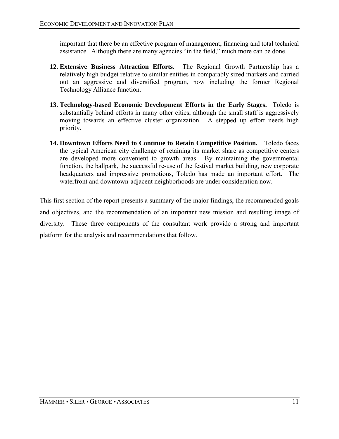important that there be an effective program of management, financing and total technical assistance. Although there are many agencies "in the field," much more can be done.

- **12. Extensive Business Attraction Efforts.** The Regional Growth Partnership has a relatively high budget relative to similar entities in comparably sized markets and carried out an aggressive and diversified program, now including the former Regional Technology Alliance function.
- **13. Technology-based Economic Development Efforts in the Early Stages.** Toledo is substantially behind efforts in many other cities, although the small staff is aggressively moving towards an effective cluster organization. A stepped up effort needs high priority.
- **14. Downtown Efforts Need to Continue to Retain Competitive Position.** Toledo faces the typical American city challenge of retaining its market share as competitive centers are developed more convenient to growth areas. By maintaining the governmental function, the ballpark, the successful re-use of the festival market building, new corporate headquarters and impressive promotions, Toledo has made an important effort. The waterfront and downtown-adjacent neighborhoods are under consideration now.

This first section of the report presents a summary of the major findings, the recommended goals and objectives, and the recommendation of an important new mission and resulting image of diversity. These three components of the consultant work provide a strong and important platform for the analysis and recommendations that follow.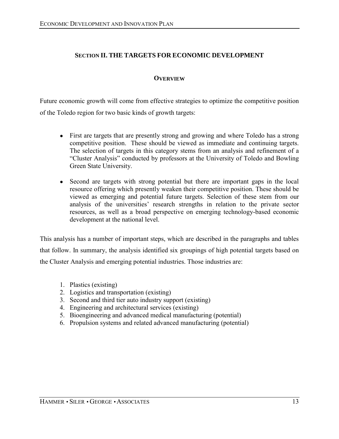## **SECTION II. THE TARGETS FOR ECONOMIC DEVELOPMENT**

## **OVERVIEW**

Future economic growth will come from effective strategies to optimize the competitive position of the Toledo region for two basic kinds of growth targets:

- First are targets that are presently strong and growing and where Toledo has a strong competitive position. These should be viewed as immediate and continuing targets. The selection of targets in this category stems from an analysis and refinement of a ìCluster Analysisî conducted by professors at the University of Toledo and Bowling Green State University.
- Second are targets with strong potential but there are important gaps in the local resource offering which presently weaken their competitive position. These should be viewed as emerging and potential future targets. Selection of these stem from our analysis of the universities' research strengths in relation to the private sector resources, as well as a broad perspective on emerging technology-based economic development at the national level.

This analysis has a number of important steps, which are described in the paragraphs and tables that follow. In summary, the analysis identified six groupings of high potential targets based on the Cluster Analysis and emerging potential industries. Those industries are:

- 1. Plastics (existing)
- 2. Logistics and transportation (existing)
- 3. Second and third tier auto industry support (existing)
- 4. Engineering and architectural services (existing)
- 5. Bioengineering and advanced medical manufacturing (potential)
- 6. Propulsion systems and related advanced manufacturing (potential)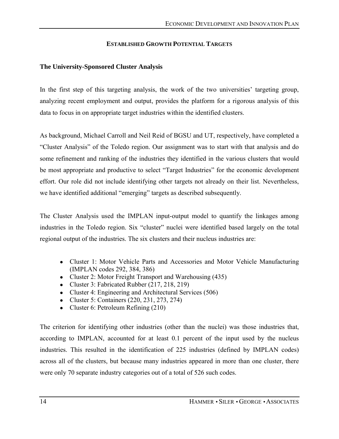#### **ESTABLISHED GROWTH POTENTIAL TARGETS**

#### **The University-Sponsored Cluster Analysis**

In the first step of this targeting analysis, the work of the two universities' targeting group, analyzing recent employment and output, provides the platform for a rigorous analysis of this data to focus in on appropriate target industries within the identified clusters.

As background, Michael Carroll and Neil Reid of BGSU and UT, respectively, have completed a ìCluster Analysisî of the Toledo region. Our assignment was to start with that analysis and do some refinement and ranking of the industries they identified in the various clusters that would be most appropriate and productive to select "Target Industries" for the economic development effort. Our role did not include identifying other targets not already on their list. Nevertheless, we have identified additional "emerging" targets as described subsequently.

The Cluster Analysis used the IMPLAN input-output model to quantify the linkages among industries in the Toledo region. Six "cluster" nuclei were identified based largely on the total regional output of the industries. The six clusters and their nucleus industries are:

- Cluster 1: Motor Vehicle Parts and Accessories and Motor Vehicle Manufacturing (IMPLAN codes 292, 384, 386)
- Cluster 2: Motor Freight Transport and Warehousing (435)
- Cluster 3: Fabricated Rubber (217, 218, 219)
- Cluster 4: Engineering and Architectural Services (506)
- Cluster 5: Containers (220, 231, 273, 274)
- Cluster 6: Petroleum Refining (210)

The criterion for identifying other industries (other than the nuclei) was those industries that, according to IMPLAN, accounted for at least 0.1 percent of the input used by the nucleus industries. This resulted in the identification of 225 industries (defined by IMPLAN codes) across all of the clusters, but because many industries appeared in more than one cluster, there were only 70 separate industry categories out of a total of 526 such codes.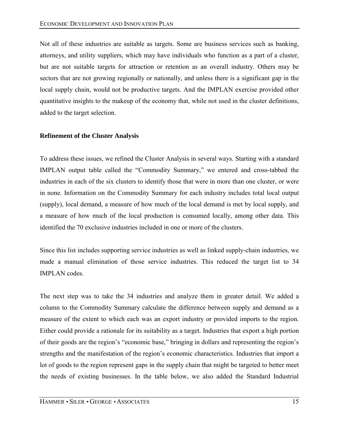Not all of these industries are suitable as targets. Some are business services such as banking, attorneys, and utility suppliers, which may have individuals who function as a part of a cluster, but are not suitable targets for attraction or retention as an overall industry. Others may be sectors that are not growing regionally or nationally, and unless there is a significant gap in the local supply chain, would not be productive targets. And the IMPLAN exercise provided other quantitative insights to the makeup of the economy that, while not used in the cluster definitions, added to the target selection.

#### **Refinement of the Cluster Analysis**

To address these issues, we refined the Cluster Analysis in several ways. Starting with a standard IMPLAN output table called the "Commodity Summary," we entered and cross-tabbed the industries in each of the six clusters to identify those that were in more than one cluster, or were in none. Information on the Commodity Summary for each industry includes total local output (supply), local demand, a measure of how much of the local demand is met by local supply, and a measure of how much of the local production is consumed locally, among other data. This identified the 70 exclusive industries included in one or more of the clusters.

Since this list includes supporting service industries as well as linked supply-chain industries, we made a manual elimination of those service industries. This reduced the target list to 34 IMPLAN codes.

The next step was to take the 34 industries and analyze them in greater detail. We added a column to the Commodity Summary calculate the difference between supply and demand as a measure of the extent to which each was an export industry or provided imports to the region. Either could provide a rationale for its suitability as a target. Industries that export a high portion of their goods are the region's "economic base," bringing in dollars and representing the region's strengths and the manifestation of the region's economic characteristics. Industries that import a lot of goods to the region represent gaps in the supply chain that might be targeted to better meet the needs of existing businesses. In the table below, we also added the Standard Industrial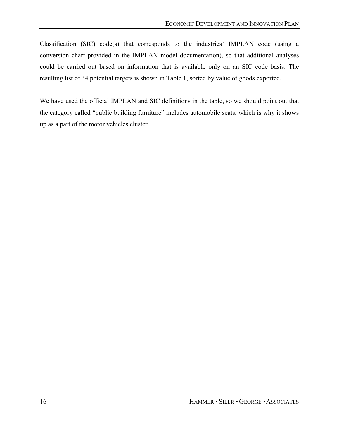Classification (SIC) code(s) that corresponds to the industries' IMPLAN code (using a conversion chart provided in the IMPLAN model documentation), so that additional analyses could be carried out based on information that is available only on an SIC code basis. The resulting list of 34 potential targets is shown in Table 1, sorted by value of goods exported.

We have used the official IMPLAN and SIC definitions in the table, so we should point out that the category called "public building furniture" includes automobile seats, which is why it shows up as a part of the motor vehicles cluster.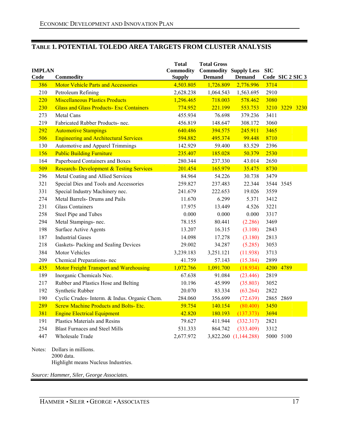## **TABLE 1. POTENTIAL TOLEDO AREA TARGETS FROM CLUSTER ANALYSIS**

| <b>IMPLAN</b> |                                                              | <b>Total</b><br><b>Commodity</b> | <b>Total Gross</b><br><b>Commodity Supply Less</b> |                       | <b>SIC</b> |                  |
|---------------|--------------------------------------------------------------|----------------------------------|----------------------------------------------------|-----------------------|------------|------------------|
| Code          | <b>Commodity</b>                                             | <b>Supply</b>                    | <b>Demand</b>                                      | <b>Demand</b>         |            | Code SIC 2 SIC 3 |
| 386           | <b>Motor Vehicle Parts and Accessories</b>                   | 4,503.805                        | 1,726.809                                          | 2,776.996             | 3714       |                  |
| 210           | Petroleum Refining<br><b>Miscellaneous Plastics Products</b> | 2,628.238                        | 1,064.543                                          | 1,563.695             | 2910       |                  |
| 220           |                                                              | 1,296.465                        | 718.003                                            | 578.462               | 3080       |                  |
| 230           | <b>Glass and Glass Products- Exc Containers</b>              | 774.952                          | 221.199                                            | 553.753               |            | 3210 3229 3230   |
| 273           | Metal Cans<br>Fabricated Rubber Products- nec.               | 455.934                          | 76.698                                             | 379.236               | 3411       |                  |
| 219           |                                                              | 456.819<br>640.486               | 148.647                                            | 308.172               | 3060       |                  |
| 292           | <b>Automotive Stampings</b>                                  |                                  | 394.575                                            | 245.911               | 3465       |                  |
| 506           | <b>Engineering and Architectural Services</b>                | 594.882                          | 495.374                                            | 99.448                | 8710       |                  |
| 130           | Automotive and Apparel Trimmings                             | 142.929                          | 59.400                                             | 83.529                | 2396       |                  |
| 156           | <b>Public Building Furniture</b>                             | 235.407                          | 185.028                                            | 50.379                | 2530       |                  |
| 164           | Paperboard Containers and Boxes                              | 280.344                          | 237.330                                            | 43.014                | 2650       |                  |
| 509           | <b>Research- Development &amp; Testing Services</b>          | 201.454                          | 165.979                                            | 35.475                | 8730       |                  |
| 296           | Metal Coating and Allied Services                            | 84.964                           | 54.226                                             | 30.738                | 3479       |                  |
| 321           | Special Dies and Tools and Accessories                       | 259.827                          | 237.483                                            | 22.344                |            | 3544 3545        |
| 331           | Special Industry Machinery nec.                              | 241.679                          | 222.653                                            | 19.026                | 3559       |                  |
| 274           | Metal Barrels- Drums and Pails                               | 11.670                           | 6.299                                              | 5.371                 | 3412       |                  |
| 231           | <b>Glass Containers</b>                                      | 17.975                           | 13.449                                             | 4.526                 | 3221       |                  |
| 258           | Steel Pipe and Tubes                                         | 0.000                            | 0.000                                              | 0.000                 | 3317       |                  |
| 294           | Metal Stampings- nec.                                        | 78.155                           | 80.441                                             | (2.286)               | 3469       |                  |
| 198           | <b>Surface Active Agents</b>                                 | 13.207                           | 16.315                                             | (3.108)               | 2843       |                  |
| 187           | <b>Industrial Gases</b>                                      | 14.098                           | 17.278                                             | (3.180)               | 2813       |                  |
| 218           | Gaskets-Packing and Sealing Devices                          | 29.002                           | 34.287                                             | (5.285)               | 3053       |                  |
| 384           | Motor Vehicles                                               | 3,239.183                        | 3,251.121                                          | (11.938)              | 3713       |                  |
| 209           | Chemical Preparations- nec                                   | 41.759                           | 57.143                                             | (15.384)              | 2899       |                  |
| 435           | <b>Motor Freight Transport and Warehousing</b>               | 1,072.766                        | 1,091.700                                          | (18.934)              |            | 4200 4789        |
| 189           | Inorganic Chemicals Nec.                                     | 67.638                           | 91.084                                             | (23.446)              | 2819       |                  |
| 217           | Rubber and Plastics Hose and Belting                         | 10.196                           | 45.999                                             | (35.803)              | 3052       |                  |
| 192           | Synthetic Rubber                                             | 20.070                           | 83.334                                             | (63.264)              | 2822       |                  |
| 190           | Cyclic Crudes- Interm. & Indus. Organic Chem.                | 284.060                          | 356.699                                            | (72.639)              |            | 2865 2869        |
| 289           | <b>Screw Machine Products and Bolts-Etc.</b>                 | 59.754                           | 140.154                                            | (80.400)              | 3450       |                  |
| 381           | <b>Engine Electrical Equipment</b>                           | 42.820                           | 180.193                                            | (137.373)             | 3694       |                  |
| 191           | <b>Plastics Materials and Resins</b>                         | 79.627                           | 411.944                                            | (332.317)             | 2821       |                  |
| 254           | <b>Blast Furnaces and Steel Mills</b>                        | 531.333                          | 864.742                                            | (333.409)             | 3312       |                  |
| 447           | <b>Wholesale Trade</b>                                       | 2,677.972                        |                                                    | 3,822.260 (1,144.288) |            | 5000 5100        |
| Notes:        | Dollars in millions.                                         |                                  |                                                    |                       |            |                  |

2000 data. Highlight means Nucleus Industries.

*Source: Hammer, Siler, George Associates.*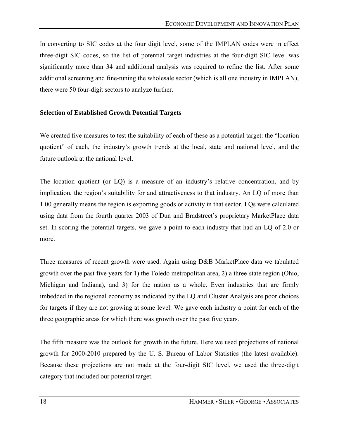In converting to SIC codes at the four digit level, some of the IMPLAN codes were in effect three-digit SIC codes, so the list of potential target industries at the four-digit SIC level was significantly more than 34 and additional analysis was required to refine the list. After some additional screening and fine-tuning the wholesale sector (which is all one industry in IMPLAN), there were 50 four-digit sectors to analyze further.

#### **Selection of Established Growth Potential Targets**

We created five measures to test the suitability of each of these as a potential target: the "location" quotient" of each, the industry's growth trends at the local, state and national level, and the future outlook at the national level.

The location quotient (or  $LQ$ ) is a measure of an industry's relative concentration, and by implication, the region's suitability for and attractiveness to that industry. An LO of more than 1.00 generally means the region is exporting goods or activity in that sector. LQs were calculated using data from the fourth quarter 2003 of Dun and Bradstreet's proprietary MarketPlace data set. In scoring the potential targets, we gave a point to each industry that had an LQ of 2.0 or more.

Three measures of recent growth were used. Again using D&B MarketPlace data we tabulated growth over the past five years for 1) the Toledo metropolitan area, 2) a three-state region (Ohio, Michigan and Indiana), and 3) for the nation as a whole. Even industries that are firmly imbedded in the regional economy as indicated by the LQ and Cluster Analysis are poor choices for targets if they are not growing at some level. We gave each industry a point for each of the three geographic areas for which there was growth over the past five years.

The fifth measure was the outlook for growth in the future. Here we used projections of national growth for 2000-2010 prepared by the U. S. Bureau of Labor Statistics (the latest available). Because these projections are not made at the four-digit SIC level, we used the three-digit category that included our potential target.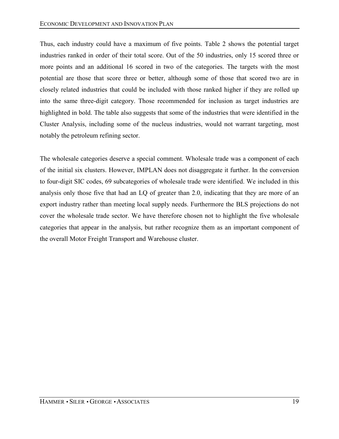Thus, each industry could have a maximum of five points. Table 2 shows the potential target industries ranked in order of their total score. Out of the 50 industries, only 15 scored three or more points and an additional 16 scored in two of the categories. The targets with the most potential are those that score three or better, although some of those that scored two are in closely related industries that could be included with those ranked higher if they are rolled up into the same three-digit category. Those recommended for inclusion as target industries are highlighted in bold. The table also suggests that some of the industries that were identified in the Cluster Analysis, including some of the nucleus industries, would not warrant targeting, most notably the petroleum refining sector.

The wholesale categories deserve a special comment. Wholesale trade was a component of each of the initial six clusters. However, IMPLAN does not disaggregate it further. In the conversion to four-digit SIC codes, 69 subcategories of wholesale trade were identified. We included in this analysis only those five that had an LQ of greater than 2.0, indicating that they are more of an export industry rather than meeting local supply needs. Furthermore the BLS projections do not cover the wholesale trade sector. We have therefore chosen not to highlight the five wholesale categories that appear in the analysis, but rather recognize them as an important component of the overall Motor Freight Transport and Warehouse cluster.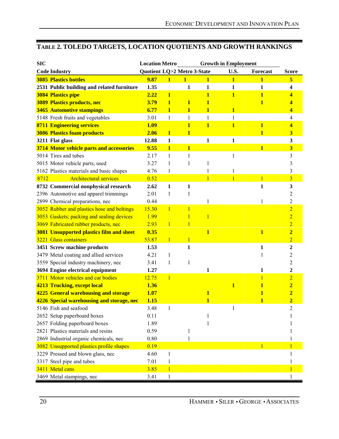# **TABLE 2. TOLEDO TARGETS, LOCATION QUOTIENTS AND GROWTH RANKINGS**

| <b>SIC</b> |                                                 | <b>Location Metro</b>       |                         |                         |                | <b>Growth in Employment</b> |                 |                         |
|------------|-------------------------------------------------|-----------------------------|-------------------------|-------------------------|----------------|-----------------------------|-----------------|-------------------------|
|            | <b>Code Industry</b>                            | Quotient LQ>2 Metro 3-State |                         |                         |                | U.S.                        | <b>Forecast</b> | <b>Score</b>            |
|            | <b>3085 Plastics bottles</b>                    | 9.87                        | $\mathbf{1}$            | 1                       | $\mathbf{1}$   | 1                           | 1               | 5                       |
|            | 2531 Public building and related furniture      | 1.35                        |                         | 1                       | $\mathbf{1}$   | $\mathbf{1}$                | $\mathbf{1}$    | 4                       |
|            | <b>3084 Plastics pipe</b>                       | 2.22                        | $\overline{\mathbf{1}}$ |                         | $\mathbf{1}$   | 1                           | $\mathbf{1}$    | 4                       |
|            | <b>3089 Plastics products, nec</b>              | 3.79                        | 1                       | 1                       | 1              |                             | 1               | 4                       |
|            | <b>3465 Automotive stampings</b>                | 6.77                        | 1                       | $\mathbf{1}$            | $\mathbf{1}$   | $\mathbf{1}$                |                 | 4                       |
|            | 5148 Fresh fruits and vegetables                | 3.01                        | 1                       | 1                       | 1              | $\mathbf{1}$                |                 | $\overline{4}$          |
|            | <b>8711 Engineering services</b>                | 1.09                        |                         | $\mathbf{1}$            | $\mathbf{1}$   | $\overline{\mathbf{1}}$     | $\mathbf{1}$    | 4                       |
|            | <b>3086 Plastics foam products</b>              | 2.06                        | $\mathbf{1}$            | $\overline{\mathbf{1}}$ |                |                             | $\mathbf{1}$    | 3                       |
|            | 3211 Flat glass                                 | 12.88                       | $\mathbf{1}$            |                         | $\mathbf{1}$   | $\mathbf{1}$                |                 | 3                       |
|            | 3714 Motor vehicle parts and accessories        | 9.55                        | $\mathbf{1}$            | $\overline{\mathbf{1}}$ |                |                             | $\mathbf{1}$    | $\overline{\mathbf{3}}$ |
|            | 5014 Tires and tubes                            | 2.17                        | 1                       | 1                       |                | 1                           |                 | 3                       |
|            | 5015 Motor vehicle parts, used                  | 3.27                        | 1                       | 1                       | 1              |                             |                 | 3                       |
|            | 5162 Plastics materials and basic shapes        | 4.76                        | 1                       |                         | $\mathbf{1}$   | 1                           |                 | 3                       |
| 8712       | <b>Architectural services</b>                   | 0.52                        |                         |                         | $\overline{1}$ | $\mathbf{1}$                | $\mathbf{1}$    | $\overline{3}$          |
|            | 8732 Commercial nonphysical research            | 2.62                        | $\mathbf{1}$            | 1                       |                |                             | 1               | 3                       |
|            | 2396 Automotive and apparel trimmings           | 2.01                        | 1                       |                         |                |                             |                 | 2                       |
|            | 2899 Chemical preparations, nec                 | 0.44                        |                         |                         | 1              |                             | 1               | $\overline{c}$          |
|            | 3052 Rubber and plastics hose and beltings      | 15.30                       | $\mathbf{1}$            | 1                       |                |                             |                 | $\overline{2}$          |
|            | 3053 Gaskets; packing and sealing devices       | 1.99                        |                         |                         | 1              |                             |                 | $\overline{2}$          |
|            | 3069 Fabricated rubber products, nec            | 2.93                        | $\mathbf{1}$            | 1                       |                |                             |                 | $\overline{2}$          |
|            | <b>3081 Unsupported plastics film and sheet</b> | 0.35                        |                         |                         | $\mathbf{1}$   |                             | $\mathbf{1}$    | $\overline{2}$          |
|            | 3221 Glass containers                           | 53.87                       | $\mathbf{1}$            | 1                       |                |                             |                 | $\overline{2}$          |
|            | 3451 Screw machine products                     | 1.53                        |                         | 1                       |                |                             | $\mathbf{1}$    | $\overline{2}$          |
|            | 3479 Metal coating and allied services          | 4.21                        | 1                       |                         |                |                             | 1               | 2                       |
|            | 3559 Special industry machinery, nec            | 3.41                        | 1                       | 1                       |                |                             |                 | 2                       |
|            | 3694 Engine electrical equipment                | 1.27                        |                         |                         | 1              |                             | 1               | $\mathbf{2}$            |
|            | 3711 Motor vehicles and car bodies              | 12.75                       | $\overline{1}$          |                         |                |                             | 1               | $\overline{2}$          |
|            | <b>4213 Trucking, except local</b>              | 1.36                        |                         |                         |                | $\mathbf{1}$                | 1               | 2                       |
|            | 4225 General warehousing and storage            | 1.07                        |                         |                         | $\mathbf{1}$   |                             | 1               | $\overline{2}$          |
|            | 4226 Special warehousing and storage, nec       | <b>1.15</b>                 |                         |                         | $\mathbf{1}$   |                             | 1               | $\overline{2}$          |
|            | 5146 Fish and seafood                           | 3.48                        | 1                       |                         |                |                             |                 |                         |
|            | 2652 Setup paperboard boxes                     | 0.11                        |                         |                         |                |                             |                 |                         |
|            | 2657 Folding paperboard boxes                   | 1.89                        |                         |                         |                |                             |                 |                         |
|            | 2821 Plastics materials and resins              | 0.59                        |                         | 1                       |                |                             |                 |                         |
|            | 2869 Industrial organic chemicals, nec          | 0.80                        |                         | 1                       |                |                             |                 |                         |
|            | 3082 Unsupported plastics profile shapes        | 0.19                        |                         |                         |                |                             | $\mathbf{1}$    |                         |
|            | 3229 Pressed and blown glass, nec               | 4.60                        | 1                       |                         |                |                             |                 |                         |
|            | 3317 Steel pipe and tubes                       | 7.01                        | 1                       |                         |                |                             |                 |                         |
|            | 3411 Metal cans                                 | 3.85                        | 1                       |                         |                |                             |                 |                         |
|            | 3469 Metal stampings, nec                       | 3.41                        | 1                       |                         |                |                             |                 | 1                       |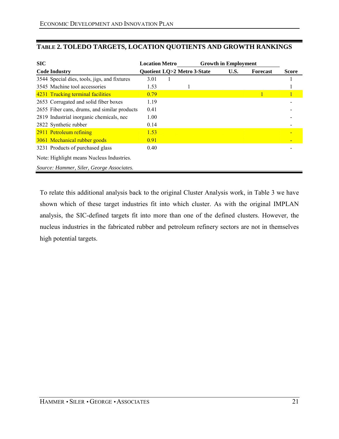| <b>SIC</b>                                   | <b>Location Metro</b> |                             | <b>Growth in Employment</b> |                 |              |
|----------------------------------------------|-----------------------|-----------------------------|-----------------------------|-----------------|--------------|
| <b>Code Industry</b>                         |                       | Quotient LQ>2 Metro 3-State | U.S.                        | <b>Forecast</b> | <b>Score</b> |
| 3544 Special dies, tools, jigs, and fixtures | 3.01                  |                             |                             |                 |              |
| 3545 Machine tool accessories                | 1.53                  |                             |                             |                 |              |
| 4231 Trucking terminal facilities            | 0.79                  |                             |                             |                 |              |
| 2653 Corrugated and solid fiber boxes        | 1.19                  |                             |                             |                 |              |
| 2655 Fiber cans, drums, and similar products | 0.41                  |                             |                             |                 |              |
| 2819 Industrial inorganic chemicals, nec     | 1.00                  |                             |                             |                 |              |
| 2822 Synthetic rubber                        | 0.14                  |                             |                             |                 |              |
| 2911 Petroleum refining                      | 1.53                  |                             |                             |                 |              |
| 3061 Mechanical rubber goods                 | 0.91                  |                             |                             |                 |              |
| 3231 Products of purchased glass             | 0.40                  |                             |                             |                 |              |
| Note: Highlight means Nucleus Industries.    |                       |                             |                             |                 |              |
| Source: Hammer, Siler, George Associates.    |                       |                             |                             |                 |              |

## **TABLE 2. TOLEDO TARGETS, LOCATION QUOTIENTS AND GROWTH RANKINGS**

To relate this additional analysis back to the original Cluster Analysis work, in Table 3 we have shown which of these target industries fit into which cluster. As with the original IMPLAN analysis, the SIC-defined targets fit into more than one of the defined clusters. However, the nucleus industries in the fabricated rubber and petroleum refinery sectors are not in themselves high potential targets.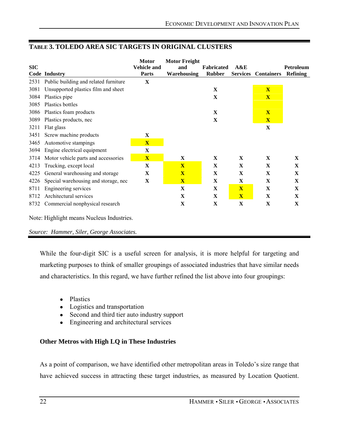|            |                                           | <b>Motor</b>            | <b>Motor Freight</b>    |                   |                         |                   |                 |
|------------|-------------------------------------------|-------------------------|-------------------------|-------------------|-------------------------|-------------------|-----------------|
| <b>SIC</b> |                                           | <b>Vehicle and</b>      | and                     | <b>Fabricated</b> | A&E                     |                   | Petroleum       |
|            | Code Industry                             | <b>Parts</b>            | <b>Warehousing</b>      | <b>Rubber</b>     | <b>Services</b>         | <b>Containers</b> | <b>Refining</b> |
| 2531       | Public building and related furniture     | $\mathbf{X}$            |                         |                   |                         |                   |                 |
| 3081       | Unsupported plastics film and sheet       |                         |                         | X                 |                         | $\mathbf{X}$      |                 |
| 3084       | Plastics pipe                             |                         |                         | $\mathbf X$       |                         | $\mathbf{X}$      |                 |
| 3085       | Plastics bottles                          |                         |                         |                   |                         |                   |                 |
| 3086       | Plastics foam products                    |                         |                         | X                 |                         | $\mathbf{X}$      |                 |
| 3089       | Plastics products, nec                    |                         |                         | X                 |                         | $\mathbf{X}$      |                 |
| 3211       | Flat glass                                |                         |                         |                   |                         | X                 |                 |
| 3451       | Screw machine products                    | $\mathbf X$             |                         |                   |                         |                   |                 |
| 3465       | Automotive stampings                      | $\overline{\mathbf{X}}$ |                         |                   |                         |                   |                 |
| 3694       | Engine electrical equipment               | $\mathbf{X}$            |                         |                   |                         |                   |                 |
| 3714       | Motor vehicle parts and accessories       | $\overline{\mathbf{X}}$ | $\mathbf{X}$            | $\mathbf{X}$      | $\mathbf{X}$            | $\mathbf{X}$      | $\mathbf{X}$    |
| 4213       | Trucking, except local                    | $\mathbf{X}$            | $\overline{\mathbf{X}}$ | $\mathbf X$       | $\mathbf{X}$            | X                 | X               |
| 4225       | General warehousing and storage           | $\mathbf{X}$            | $\mathbf{X}$            | X                 | $\mathbf X$             | $\mathbf X$       | X               |
| 4226       | Special warehousing and storage, nec      | X                       | $\mathbf{X}$            | $\mathbf X$       | $\mathbf X$             | $\mathbf X$       | $\mathbf X$     |
| 8711       | Engineering services                      |                         | $\mathbf X$             | X                 | $\mathbf{X}$            | X                 | $\mathbf X$     |
| 8712       | Architectural services                    |                         | $\mathbf X$             | X                 | $\overline{\mathbf{X}}$ | $\mathbf X$       | $\mathbf{X}$    |
| 8732       | Commercial nonphysical research           |                         | X                       | X                 | X                       | X                 | X               |
|            | Note: Highlight means Nucleus Industries. |                         |                         |                   |                         |                   |                 |

## **TABLE 3. TOLEDO AREA SIC TARGETS IN ORIGINAL CLUSTERS**

*Source: Hammer, Siler, George Associates.* 

While the four-digit SIC is a useful screen for analysis, it is more helpful for targeting and marketing purposes to think of smaller groupings of associated industries that have similar needs and characteristics. In this regard, we have further refined the list above into four groupings:

- Plastics
- Logistics and transportation
- Second and third tier auto industry support
- Engineering and architectural services

### **Other Metros with High LQ in These Industries**

As a point of comparison, we have identified other metropolitan areas in Toledo's size range that have achieved success in attracting these target industries, as measured by Location Quotient.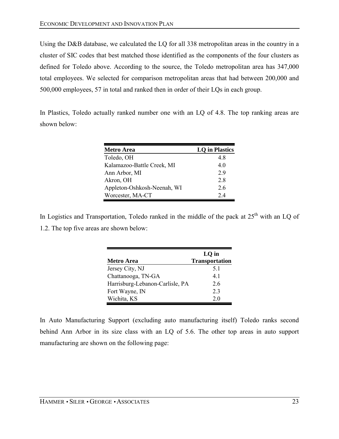Using the D&B database, we calculated the LQ for all 338 metropolitan areas in the country in a cluster of SIC codes that best matched those identified as the components of the four clusters as defined for Toledo above. According to the source, the Toledo metropolitan area has 347,000 total employees. We selected for comparison metropolitan areas that had between 200,000 and 500,000 employees, 57 in total and ranked then in order of their LQs in each group.

In Plastics, Toledo actually ranked number one with an LQ of 4.8. The top ranking areas are shown below:

| <b>Metro Area</b>           | <b>LQ</b> in Plastics |
|-----------------------------|-----------------------|
| Toledo, OH                  | 48                    |
| Kalamazoo-Battle Creek, MI  | 40                    |
| Ann Arbor, MI               | 29                    |
| Akron, OH                   | 28                    |
| Appleton-Oshkosh-Neenah, WI | 26                    |
| Worcester, MA-CT            | 2.4                   |

In Logistics and Transportation, Toledo ranked in the middle of the pack at  $25<sup>th</sup>$  with an LQ of 1.2. The top five areas are shown below:

|                                 | $LO$ in               |
|---------------------------------|-----------------------|
| Metro Area                      | <b>Transportation</b> |
| Jersey City, NJ                 | 5.1                   |
| Chattanooga, TN-GA              | 41                    |
| Harrisburg-Lebanon-Carlisle, PA | 26                    |
| Fort Wayne, IN                  | 2 <sub>3</sub>        |
| Wichita, KS                     | 20                    |

In Auto Manufacturing Support (excluding auto manufacturing itself) Toledo ranks second behind Ann Arbor in its size class with an LQ of 5.6. The other top areas in auto support manufacturing are shown on the following page: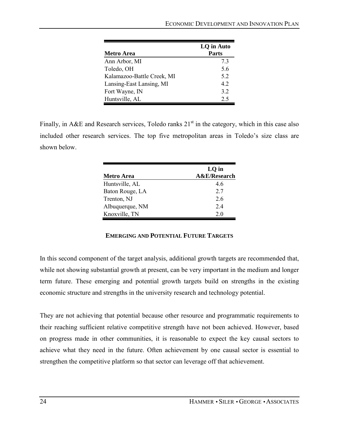| <b>Metro Area</b>          | LQ in Auto<br><b>Parts</b> |
|----------------------------|----------------------------|
| Ann Arbor, MI              | 73                         |
| Toledo, OH                 | 5.6                        |
| Kalamazoo-Battle Creek, MI | 5.2                        |
| Lansing-East Lansing, MI   | 42                         |
| Fort Wayne, IN             | 3.2                        |
| Huntsville, AL             | 2.5                        |

Finally, in A&E and Research services, Toledo ranks  $21<sup>st</sup>$  in the category, which in this case also included other research services. The top five metropolitan areas in Toledo's size class are shown below.

| <b>Metro Area</b> | LQ in<br>A&E/Research |
|-------------------|-----------------------|
| Huntsville, AL    | 46                    |
| Baton Rouge, LA   | 27                    |
| Trenton, NJ       | 26                    |
| Albuquerque, NM   | 24                    |
| Knoxville, TN     | 20                    |

### **EMERGING AND POTENTIAL FUTURE TARGETS**

In this second component of the target analysis, additional growth targets are recommended that, while not showing substantial growth at present, can be very important in the medium and longer term future. These emerging and potential growth targets build on strengths in the existing economic structure and strengths in the university research and technology potential.

They are not achieving that potential because other resource and programmatic requirements to their reaching sufficient relative competitive strength have not been achieved. However, based on progress made in other communities, it is reasonable to expect the key causal sectors to achieve what they need in the future. Often achievement by one causal sector is essential to strengthen the competitive platform so that sector can leverage off that achievement.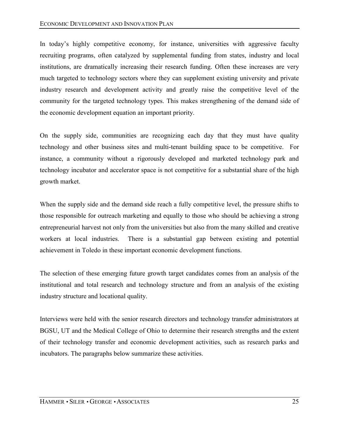In today's highly competitive economy, for instance, universities with aggressive faculty recruiting programs, often catalyzed by supplemental funding from states, industry and local institutions, are dramatically increasing their research funding. Often these increases are very much targeted to technology sectors where they can supplement existing university and private industry research and development activity and greatly raise the competitive level of the community for the targeted technology types. This makes strengthening of the demand side of the economic development equation an important priority.

On the supply side, communities are recognizing each day that they must have quality technology and other business sites and multi-tenant building space to be competitive. For instance, a community without a rigorously developed and marketed technology park and technology incubator and accelerator space is not competitive for a substantial share of the high growth market.

When the supply side and the demand side reach a fully competitive level, the pressure shifts to those responsible for outreach marketing and equally to those who should be achieving a strong entrepreneurial harvest not only from the universities but also from the many skilled and creative workers at local industries. There is a substantial gap between existing and potential achievement in Toledo in these important economic development functions.

The selection of these emerging future growth target candidates comes from an analysis of the institutional and total research and technology structure and from an analysis of the existing industry structure and locational quality.

Interviews were held with the senior research directors and technology transfer administrators at BGSU, UT and the Medical College of Ohio to determine their research strengths and the extent of their technology transfer and economic development activities, such as research parks and incubators. The paragraphs below summarize these activities.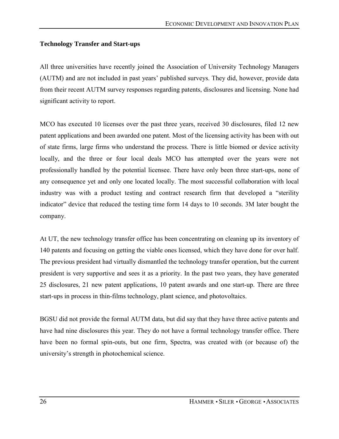### **Technology Transfer and Start-ups**

All three universities have recently joined the Association of University Technology Managers (AUTM) and are not included in past years' published surveys. They did, however, provide data from their recent AUTM survey responses regarding patents, disclosures and licensing. None had significant activity to report.

MCO has executed 10 licenses over the past three years, received 30 disclosures, filed 12 new patent applications and been awarded one patent. Most of the licensing activity has been with out of state firms, large firms who understand the process. There is little biomed or device activity locally, and the three or four local deals MCO has attempted over the years were not professionally handled by the potential licensee. There have only been three start-ups, none of any consequence yet and only one located locally. The most successful collaboration with local industry was with a product testing and contract research firm that developed a "sterility" indicator" device that reduced the testing time form  $14$  days to  $10$  seconds. 3M later bought the company.

At UT, the new technology transfer office has been concentrating on cleaning up its inventory of 140 patents and focusing on getting the viable ones licensed, which they have done for over half. The previous president had virtually dismantled the technology transfer operation, but the current president is very supportive and sees it as a priority. In the past two years, they have generated 25 disclosures, 21 new patent applications, 10 patent awards and one start-up. There are three start-ups in process in thin-films technology, plant science, and photovoltaics.

BGSU did not provide the formal AUTM data, but did say that they have three active patents and have had nine disclosures this year. They do not have a formal technology transfer office. There have been no formal spin-outs, but one firm, Spectra, was created with (or because of) the university's strength in photochemical science.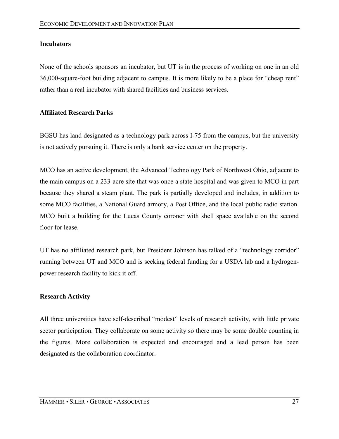## **Incubators**

None of the schools sponsors an incubator, but UT is in the process of working on one in an old 36,000-square-foot building adjacent to campus. It is more likely to be a place for "cheap rent" rather than a real incubator with shared facilities and business services.

### **Affiliated Research Parks**

BGSU has land designated as a technology park across I-75 from the campus, but the university is not actively pursuing it. There is only a bank service center on the property.

MCO has an active development, the Advanced Technology Park of Northwest Ohio, adjacent to the main campus on a 233-acre site that was once a state hospital and was given to MCO in part because they shared a steam plant. The park is partially developed and includes, in addition to some MCO facilities, a National Guard armory, a Post Office, and the local public radio station. MCO built a building for the Lucas County coroner with shell space available on the second floor for lease

UT has no affiliated research park, but President Johnson has talked of a "technology corridor" running between UT and MCO and is seeking federal funding for a USDA lab and a hydrogenpower research facility to kick it off.

### **Research Activity**

All three universities have self-described "modest" levels of research activity, with little private sector participation. They collaborate on some activity so there may be some double counting in the figures. More collaboration is expected and encouraged and a lead person has been designated as the collaboration coordinator.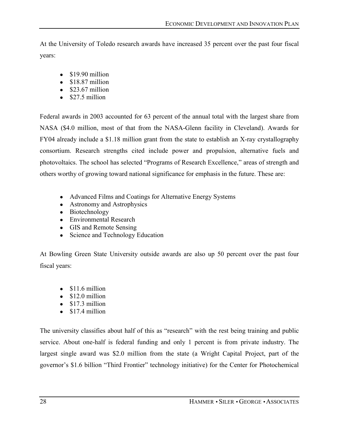At the University of Toledo research awards have increased 35 percent over the past four fiscal years:

- $\bullet$  \$19.90 million
- $\bullet$  \$18.87 million
- $\bullet$  \$23.67 million
- $\bullet$  \$27.5 million

Federal awards in 2003 accounted for 63 percent of the annual total with the largest share from NASA (\$4.0 million, most of that from the NASA-Glenn facility in Cleveland). Awards for FY04 already include a \$1.18 million grant from the state to establish an X-ray crystallography consortium. Research strengths cited include power and propulsion, alternative fuels and photovoltaics. The school has selected "Programs of Research Excellence," areas of strength and others worthy of growing toward national significance for emphasis in the future. These are:

- Advanced Films and Coatings for Alternative Energy Systems
- Astronomy and Astrophysics
- Biotechnology
- Environmental Research
- GIS and Remote Sensing
- Science and Technology Education

At Bowling Green State University outside awards are also up 50 percent over the past four fiscal years:

- $\bullet$  \$11.6 million
- $\bullet$  \$12.0 million
- $\bullet$  \$17.3 million
- $\bullet$  \$17.4 million

The university classifies about half of this as "research" with the rest being training and public service. About one-half is federal funding and only 1 percent is from private industry. The largest single award was \$2.0 million from the state (a Wright Capital Project, part of the governor's \$1.6 billion "Third Frontier" technology initiative) for the Center for Photochemical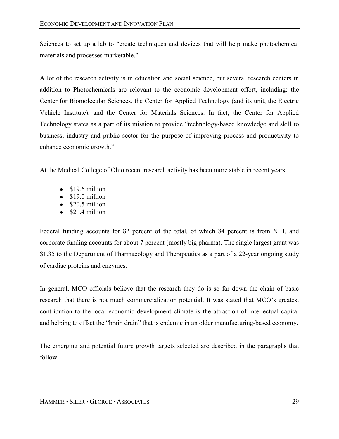Sciences to set up a lab to "create techniques and devices that will help make photochemical materials and processes marketable."

A lot of the research activity is in education and social science, but several research centers in addition to Photochemicals are relevant to the economic development effort, including: the Center for Biomolecular Sciences, the Center for Applied Technology (and its unit, the Electric Vehicle Institute), and the Center for Materials Sciences. In fact, the Center for Applied Technology states as a part of its mission to provide "technology-based knowledge and skill to business, industry and public sector for the purpose of improving process and productivity to enhance economic growth."

At the Medical College of Ohio recent research activity has been more stable in recent years:

- $\bullet$  \$19.6 million
- $\bullet$  \$19.0 million
- $\bullet$  \$20.5 million
- $\bullet$  \$21.4 million

Federal funding accounts for 82 percent of the total, of which 84 percent is from NIH, and corporate funding accounts for about 7 percent (mostly big pharma). The single largest grant was \$1.35 to the Department of Pharmacology and Therapeutics as a part of a 22-year ongoing study of cardiac proteins and enzymes.

In general, MCO officials believe that the research they do is so far down the chain of basic research that there is not much commercialization potential. It was stated that MCO's greatest contribution to the local economic development climate is the attraction of intellectual capital and helping to offset the "brain drain" that is endemic in an older manufacturing-based economy.

The emerging and potential future growth targets selected are described in the paragraphs that follow: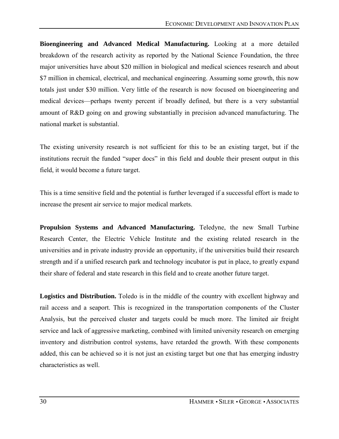**Bioengineering and Advanced Medical Manufacturing.** Looking at a more detailed breakdown of the research activity as reported by the National Science Foundation, the three major universities have about \$20 million in biological and medical sciences research and about \$7 million in chemical, electrical, and mechanical engineering. Assuming some growth, this now totals just under \$30 million. Very little of the research is now focused on bioengineering and medical devices—perhaps twenty percent if broadly defined, but there is a very substantial amount of R&D going on and growing substantially in precision advanced manufacturing. The national market is substantial.

The existing university research is not sufficient for this to be an existing target, but if the institutions recruit the funded "super docs" in this field and double their present output in this field, it would become a future target.

This is a time sensitive field and the potential is further leveraged if a successful effort is made to increase the present air service to major medical markets.

**Propulsion Systems and Advanced Manufacturing.** Teledyne, the new Small Turbine Research Center, the Electric Vehicle Institute and the existing related research in the universities and in private industry provide an opportunity, if the universities build their research strength and if a unified research park and technology incubator is put in place, to greatly expand their share of federal and state research in this field and to create another future target.

**Logistics and Distribution.** Toledo is in the middle of the country with excellent highway and rail access and a seaport. This is recognized in the transportation components of the Cluster Analysis, but the perceived cluster and targets could be much more. The limited air freight service and lack of aggressive marketing, combined with limited university research on emerging inventory and distribution control systems, have retarded the growth. With these components added, this can be achieved so it is not just an existing target but one that has emerging industry characteristics as well.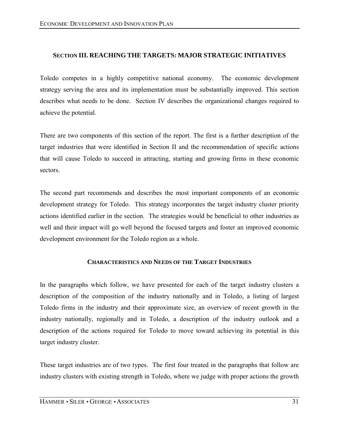### **SECTION III. REACHING THE TARGETS: MAJOR STRATEGIC INITIATIVES**

Toledo competes in a highly competitive national economy. The economic development strategy serving the area and its implementation must be substantially improved. This section describes what needs to be done. Section IV describes the organizational changes required to achieve the potential.

There are two components of this section of the report. The first is a further description of the target industries that were identified in Section II and the recommendation of specific actions that will cause Toledo to succeed in attracting, starting and growing firms in these economic sectors.

The second part recommends and describes the most important components of an economic development strategy for Toledo. This strategy incorporates the target industry cluster priority actions identified earlier in the section. The strategies would be beneficial to other industries as well and their impact will go well beyond the focused targets and foster an improved economic development environment for the Toledo region as a whole.

### **CHARACTERISTICS AND NEEDS OF THE TARGET INDUSTRIES**

In the paragraphs which follow, we have presented for each of the target industry clusters a description of the composition of the industry nationally and in Toledo, a listing of largest Toledo firms in the industry and their approximate size, an overview of recent growth in the industry nationally, regionally and in Toledo, a description of the industry outlook and a description of the actions required for Toledo to move toward achieving its potential in this target industry cluster.

These target industries are of two types. The first four treated in the paragraphs that follow are industry clusters with existing strength in Toledo, where we judge with proper actions the growth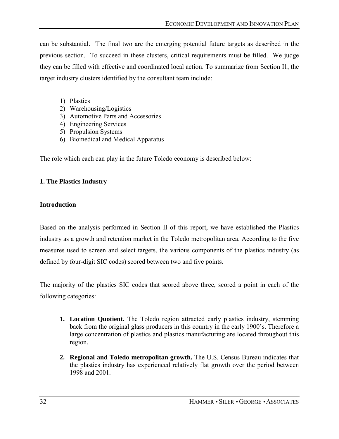can be substantial. The final two are the emerging potential future targets as described in the previous section. To succeed in these clusters, critical requirements must be filled. We judge they can be filled with effective and coordinated local action. To summarize from Section I1, the target industry clusters identified by the consultant team include:

- 1) Plastics
- 2) Warehousing/Logistics
- 3) Automotive Parts and Accessories
- 4) Engineering Services
- 5) Propulsion Systems
- 6) Biomedical and Medical Apparatus

The role which each can play in the future Toledo economy is described below:

## **1. The Plastics Industry**

## **Introduction**

Based on the analysis performed in Section II of this report, we have established the Plastics industry as a growth and retention market in the Toledo metropolitan area. According to the five measures used to screen and select targets, the various components of the plastics industry (as defined by four-digit SIC codes) scored between two and five points.

The majority of the plastics SIC codes that scored above three, scored a point in each of the following categories:

- **1. Location Quotient.** The Toledo region attracted early plastics industry, stemming back from the original glass producers in this country in the early 1900's. Therefore a large concentration of plastics and plastics manufacturing are located throughout this region.
- **2. Regional and Toledo metropolitan growth.** The U.S. Census Bureau indicates that the plastics industry has experienced relatively flat growth over the period between 1998 and 2001.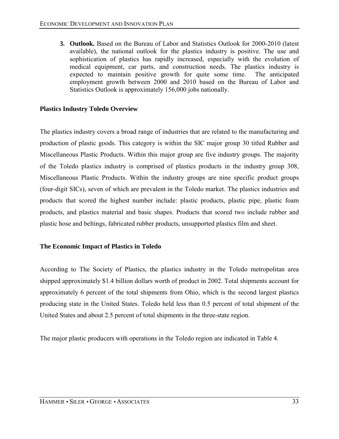**3. Outlook.** Based on the Bureau of Labor and Statistics Outlook for 2000-2010 (latest available), the national outlook for the plastics industry is positive. The use and sophistication of plastics has rapidly increased, especially with the evolution of medical equipment, car parts, and construction needs. The plastics industry is expected to maintain positive growth for quite some time. The anticipated employment growth between 2000 and 2010 based on the Bureau of Labor and Statistics Outlook is approximately 156,000 jobs nationally.

### **Plastics Industry Toledo Overview**

The plastics industry covers a broad range of industries that are related to the manufacturing and production of plastic goods. This category is within the SIC major group 30 titled Rubber and Miscellaneous Plastic Products. Within this major group are five industry groups. The majority of the Toledo plastics industry is comprised of plastics products in the industry group 308, Miscellaneous Plastic Products. Within the industry groups are nine specific product groups (four-digit SICs), seven of which are prevalent in the Toledo market. The plastics industries and products that scored the highest number include: plastic products, plastic pipe, plastic foam products, and plastics material and basic shapes. Products that scored two include rubber and plastic hose and beltings, fabricated rubber products, unsupported plastics film and sheet.

### **The Economic Impact of Plastics in Toledo**

According to The Society of Plastics, the plastics industry in the Toledo metropolitan area shipped approximately \$1.4 billion dollars worth of product in 2002. Total shipments account for approximately 6 percent of the total shipments from Ohio, which is the second largest plastics producing state in the United States. Toledo held less than 0.5 percent of total shipment of the United States and about 2.5 percent of total shipments in the three-state region.

The major plastic producers with operations in the Toledo region are indicated in Table 4.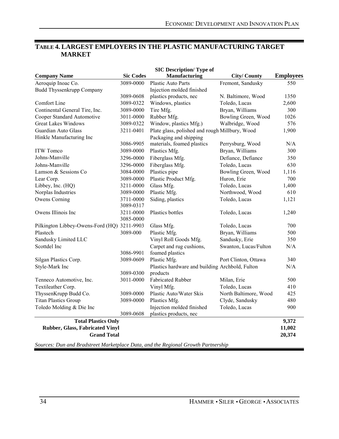## **TABLE 4. LARGEST EMPLOYERS IN THE PLASTIC MANUFACTURING TARGET MARKET**

|                                             |                                                                                   | <b>SIC Description/ Type of</b>                 |                       |                  |  |  |  |
|---------------------------------------------|-----------------------------------------------------------------------------------|-------------------------------------------------|-----------------------|------------------|--|--|--|
| <b>Company Name</b>                         | <b>Sic Codes</b>                                                                  | Manufacturing                                   | <b>City/County</b>    | <b>Employees</b> |  |  |  |
| Aeroquip Inoac Co.                          | 3089-0000                                                                         | <b>Plastic Auto Parts</b>                       | Fremont, Sandusky     | 550              |  |  |  |
| <b>Budd Thyssenkrupp Company</b>            |                                                                                   | Injection molded finished                       |                       |                  |  |  |  |
|                                             | 3089-0608                                                                         | plastics products, nec                          | N. Baltimore, Wood    | 1350             |  |  |  |
| Comfort Line                                | 3089-0322                                                                         | Windows, plastics                               | Toledo, Lucas         | 2,600            |  |  |  |
| Continental General Tire, Inc.              | 3089-0000                                                                         | Tire Mfg.                                       | Bryan, Williams       | 300              |  |  |  |
| Cooper Standard Automotive                  | 3011-0000                                                                         | Rubber Mfg.                                     | Bowling Green, Wood   | 1026             |  |  |  |
| <b>Great Lakes Windows</b>                  | 3089-0322                                                                         | Window, plastics Mfg.)                          | Walbridge, Wood       | 576              |  |  |  |
| Guardian Auto Glass                         | 3211-0401                                                                         | Plate glass, polished and rough Millbury, Wood  |                       | 1,900            |  |  |  |
| Hinkle Manufacturing Inc                    |                                                                                   | Packaging and shipping                          |                       |                  |  |  |  |
|                                             | 3086-9905                                                                         | materials, foamed plastics                      | Perrysburg, Wood      | N/A              |  |  |  |
| ITW Tomco                                   | 3089-0000                                                                         | Plastics Mfg.                                   | Bryan, Williams       | 300              |  |  |  |
| Johns-Manville                              | 3296-0000                                                                         | Fiberglass Mfg.                                 | Defiance, Defiance    | 350              |  |  |  |
| Johns-Manville                              | 3296-0000                                                                         | Fiberglass Mfg.                                 | Toledo, Lucas         | 630              |  |  |  |
| Lamson & Sessions Co                        | 3084-0000                                                                         | Plastics pipe                                   | Bowling Green, Wood   | 1,116            |  |  |  |
| Lear Corp.                                  | 3089-0000                                                                         | Plastic Product Mfg.                            | Huron, Erie           | 700              |  |  |  |
| Libbey, Inc. (HQ)                           | 3211-0000                                                                         | Glass Mfg.                                      | Toledo, Lucas         | 1,400            |  |  |  |
| Norplas Industries                          | 3089-0000                                                                         | Plastic Mfg.                                    | Northwood, Wood       | 610              |  |  |  |
| Owens Corning                               | 3711-0000                                                                         | Siding, plastics                                | Toledo, Lucas         | 1,121            |  |  |  |
|                                             | 3089-0317                                                                         |                                                 |                       |                  |  |  |  |
| Owens Illinois Inc                          | 3211-0000<br>3085-0000                                                            | Plastics bottles                                | Toledo, Lucas         | 1,240            |  |  |  |
| Pilkington Libbey-Owens-Ford (HQ) 3211-9903 |                                                                                   | Glass Mfg.                                      | Toledo, Lucas         | 700              |  |  |  |
| Plastech                                    | 3089-000                                                                          | Plastic Mfg.                                    | Bryan, Williams       | 500              |  |  |  |
| Sandusky Limited LLC                        |                                                                                   | Vinyl Roll Goods Mfg.                           | Sandusky, Erie        | 350              |  |  |  |
| Scottdel Inc                                |                                                                                   | Carpet and rug cushions,                        | Swanton, Lucas/Fulton | N/A              |  |  |  |
|                                             | 3086-9901                                                                         | foamed plastics                                 |                       |                  |  |  |  |
| Silgan Plastics Corp.                       | 3089-0609                                                                         | Plastic Mfg.                                    | Port Clinton, Ottawa  | 340              |  |  |  |
| Style-Mark Inc                              |                                                                                   | Plastics hardware and building Archbold, Fulton |                       | N/A              |  |  |  |
|                                             | 3089-0300                                                                         | products                                        |                       |                  |  |  |  |
| Tenneco Automotive, Inc.                    | 3011-0000                                                                         | <b>Fabricated Rubber</b>                        | Milan, Erie           | 500              |  |  |  |
| Textileather Corp.                          |                                                                                   | Vinyl Mfg.                                      | Toledo, Lucas         | 410              |  |  |  |
| ThyssenKrupp Budd Co.                       | 3089-0000                                                                         | Plastic Auto/Water Skis                         | North Baltimore, Wood | 425              |  |  |  |
| <b>Titan Plastics Group</b>                 | 3089-0000                                                                         | Plastics Mfg.                                   | Clyde, Sandusky       | 480              |  |  |  |
| Toledo Molding & Die Inc                    |                                                                                   | Injection molded finished                       | Toledo, Lucas         | 900              |  |  |  |
|                                             | 3089-0608                                                                         | plastics products, nec                          |                       |                  |  |  |  |
| <b>Total Plastics Only</b>                  |                                                                                   |                                                 |                       | 9,372            |  |  |  |
| <b>Rubber, Glass, Fabricated Vinyl</b>      |                                                                                   |                                                 |                       | 11,002           |  |  |  |
| <b>Grand Total</b>                          |                                                                                   |                                                 |                       | 20,374           |  |  |  |
|                                             | Sources: Dun and Bradstreet Marketplace Data, and the Regional Growth Partnership |                                                 |                       |                  |  |  |  |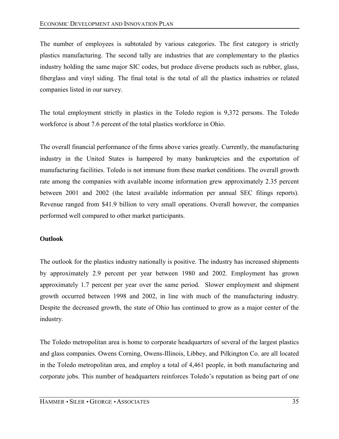The number of employees is subtotaled by various categories. The first category is strictly plastics manufacturing. The second tally are industries that are complementary to the plastics industry holding the same major SIC codes, but produce diverse products such as rubber, glass, fiberglass and vinyl siding. The final total is the total of all the plastics industries or related companies listed in our survey.

The total employment strictly in plastics in the Toledo region is 9,372 persons. The Toledo workforce is about 7.6 percent of the total plastics workforce in Ohio.

The overall financial performance of the firms above varies greatly. Currently, the manufacturing industry in the United States is hampered by many bankruptcies and the exportation of manufacturing facilities. Toledo is not immune from these market conditions. The overall growth rate among the companies with available income information grew approximately 2.35 percent between 2001 and 2002 (the latest available information per annual SEC filings reports). Revenue ranged from \$41.9 billion to very small operations. Overall however, the companies performed well compared to other market participants.

### **Outlook**

The outlook for the plastics industry nationally is positive. The industry has increased shipments by approximately 2.9 percent per year between 1980 and 2002. Employment has grown approximately 1.7 percent per year over the same period. Slower employment and shipment growth occurred between 1998 and 2002, in line with much of the manufacturing industry. Despite the decreased growth, the state of Ohio has continued to grow as a major center of the industry.

The Toledo metropolitan area is home to corporate headquarters of several of the largest plastics and glass companies. Owens Corning, Owens-Illinois, Libbey, and Pilkington Co. are all located in the Toledo metropolitan area, and employ a total of 4,461 people, in both manufacturing and corporate jobs. This number of headquarters reinforces Toledo's reputation as being part of one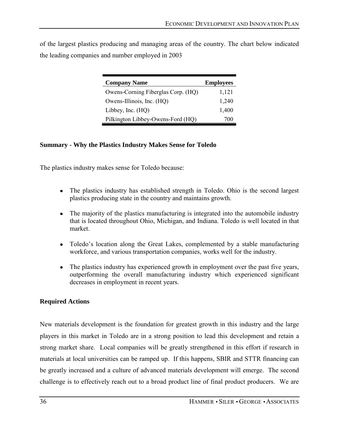of the largest plastics producing and managing areas of the country. The chart below indicated the leading companies and number employed in 2003

| <b>Company Name</b>                | <b>Employees</b> |
|------------------------------------|------------------|
| Owens-Corning Fiberglas Corp. (HQ) | 1,121            |
| Owens-Illinois, Inc. (HQ)          | 1,240            |
| Libbey, Inc. $(HQ)$                | 1,400            |
| Pilkington Libbey-Owens-Ford (HQ)  | 700              |

#### **Summary - Why the Plastics Industry Makes Sense for Toledo**

The plastics industry makes sense for Toledo because:

- The plastics industry has established strength in Toledo. Ohio is the second largest plastics producing state in the country and maintains growth.
- The majority of the plastics manufacturing is integrated into the automobile industry that is located throughout Ohio, Michigan, and Indiana. Toledo is well located in that market.
- Toledo's location along the Great Lakes, complemented by a stable manufacturing workforce, and various transportation companies, works well for the industry.
- The plastics industry has experienced growth in employment over the past five years, outperforming the overall manufacturing industry which experienced significant decreases in employment in recent years.

### **Required Actions**

New materials development is the foundation for greatest growth in this industry and the large players in this market in Toledo are in a strong position to lead this development and retain a strong market share. Local companies will be greatly strengthened in this effort if research in materials at local universities can be ramped up. If this happens, SBIR and STTR financing can be greatly increased and a culture of advanced materials development will emerge. The second challenge is to effectively reach out to a broad product line of final product producers. We are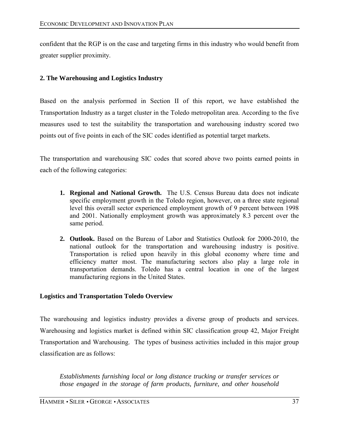confident that the RGP is on the case and targeting firms in this industry who would benefit from greater supplier proximity.

## **2. The Warehousing and Logistics Industry**

Based on the analysis performed in Section II of this report, we have established the Transportation Industry as a target cluster in the Toledo metropolitan area. According to the five measures used to test the suitability the transportation and warehousing industry scored two points out of five points in each of the SIC codes identified as potential target markets.

The transportation and warehousing SIC codes that scored above two points earned points in each of the following categories:

- **1. Regional and National Growth.** The U.S. Census Bureau data does not indicate specific employment growth in the Toledo region, however, on a three state regional level this overall sector experienced employment growth of 9 percent between 1998 and 2001. Nationally employment growth was approximately 8.3 percent over the same period.
- **2. Outlook.** Based on the Bureau of Labor and Statistics Outlook for 2000-2010, the national outlook for the transportation and warehousing industry is positive. Transportation is relied upon heavily in this global economy where time and efficiency matter most. The manufacturing sectors also play a large role in transportation demands. Toledo has a central location in one of the largest manufacturing regions in the United States.

## **Logistics and Transportation Toledo Overview**

The warehousing and logistics industry provides a diverse group of products and services. Warehousing and logistics market is defined within SIC classification group 42, Major Freight Transportation and Warehousing. The types of business activities included in this major group classification are as follows:

*Establishments furnishing local or long distance trucking or transfer services or those engaged in the storage of farm products, furniture, and other household*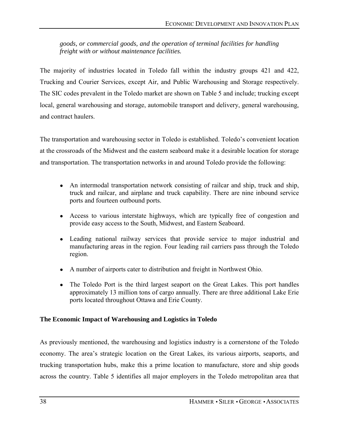*goods, or commercial goods, and the operation of terminal facilities for handling freight with or without maintenance facilities.* 

The majority of industries located in Toledo fall within the industry groups 421 and 422, Trucking and Courier Services, except Air, and Public Warehousing and Storage respectively. The SIC codes prevalent in the Toledo market are shown on Table 5 and include; trucking except local, general warehousing and storage, automobile transport and delivery, general warehousing, and contract haulers.

The transportation and warehousing sector in Toledo is established. Toledo's convenient location at the crossroads of the Midwest and the eastern seaboard make it a desirable location for storage and transportation. The transportation networks in and around Toledo provide the following:

- An intermodal transportation network consisting of railcar and ship, truck and ship, truck and railcar, and airplane and truck capability. There are nine inbound service ports and fourteen outbound ports.
- Access to various interstate highways, which are typically free of congestion and provide easy access to the South, Midwest, and Eastern Seaboard.
- Leading national railway services that provide service to major industrial and manufacturing areas in the region. Four leading rail carriers pass through the Toledo region.
- A number of airports cater to distribution and freight in Northwest Ohio.
- The Toledo Port is the third largest seaport on the Great Lakes. This port handles approximately 13 million tons of cargo annually. There are three additional Lake Erie ports located throughout Ottawa and Erie County.

## **The Economic Impact of Warehousing and Logistics in Toledo**

As previously mentioned, the warehousing and logistics industry is a cornerstone of the Toledo economy. The area's strategic location on the Great Lakes, its various airports, seaports, and trucking transportation hubs, make this a prime location to manufacture, store and ship goods across the country. Table 5 identifies all major employers in the Toledo metropolitan area that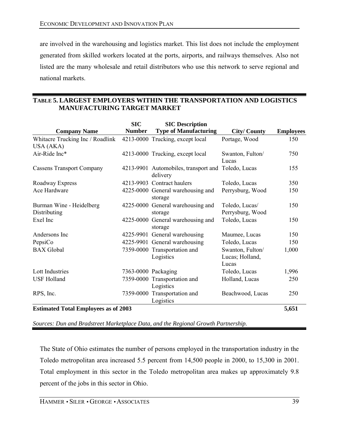are involved in the warehousing and logistics market. This list does not include the employment generated from skilled workers located at the ports, airports, and railways themselves. Also not listed are the many wholesale and retail distributors who use this network to serve regional and national markets.

## **TABLE 5. LARGEST EMPLOYERS WITHIN THE TRANSPORTATION AND LOGISTICS MANUFACTURING TARGET MARKET**

|                                               | <b>SIC</b>    | <b>SIC Description</b>                                         |                                              |                  |
|-----------------------------------------------|---------------|----------------------------------------------------------------|----------------------------------------------|------------------|
| <b>Company Name</b>                           | <b>Number</b> | <b>Type of Manufacturing</b>                                   | <b>City/County</b>                           | <b>Employees</b> |
| Whitacre Trucking Inc / Roadlink<br>USA (AKA) |               | 4213-0000 Trucking, except local                               | Portage, Wood                                | 150              |
| Air-Ride Inc*                                 |               | 4213-0000 Trucking, except local                               | Swanton, Fulton/<br>Lucas                    | 750              |
| <b>Cassens Transport Company</b>              |               | 4213-9901 Automobiles, transport and Toledo, Lucas<br>delivery |                                              | 155              |
| Roadway Express                               | 4213-9903     | Contract haulers                                               | Toledo, Lucas                                | 350              |
| Ace Hardware                                  |               | 4225-0000 General warehousing and<br>storage                   | Perrysburg, Wood                             | 150              |
| Burman Wine - Heidelberg<br>Distributing      |               | 4225-0000 General warehousing and<br>storage                   | Toledo, Lucas/<br>Perrysburg, Wood           | 150              |
| Exel Inc                                      |               | 4225-0000 General warehousing and<br>storage                   | Toledo, Lucas                                | 150              |
| Andersons Inc                                 |               | 4225-9901 General warehousing                                  | Maumee, Lucas                                | 150              |
| PepsiCo                                       |               | 4225-9901 General warehousing                                  | Toledo, Lucas                                | 150              |
| <b>BAX</b> Global                             |               | 7359-0000 Transportation and<br>Logistics                      | Swanton, Fulton/<br>Lucas; Holland,<br>Lucas | 1,000            |
| <b>Lott Industries</b>                        |               | 7363-0000 Packaging                                            | Toledo, Lucas                                | 1,996            |
| <b>USF Holland</b>                            |               | 7359-0000 Transportation and<br>Logistics                      | Holland, Lucas                               | 250              |
| RPS, Inc.                                     |               | 7359-0000 Transportation and<br>Logistics                      | Beachwood, Lucas                             | 250              |
| <b>Estimated Total Employees as of 2003</b>   |               |                                                                |                                              | 5,651            |

*Sources: Dun and Bradstreet Marketplace Data, and the Regional Growth Partnership.*

The State of Ohio estimates the number of persons employed in the transportation industry in the Toledo metropolitan area increased 5.5 percent from 14,500 people in 2000, to 15,300 in 2001. Total employment in this sector in the Toledo metropolitan area makes up approximately 9.8 percent of the jobs in this sector in Ohio.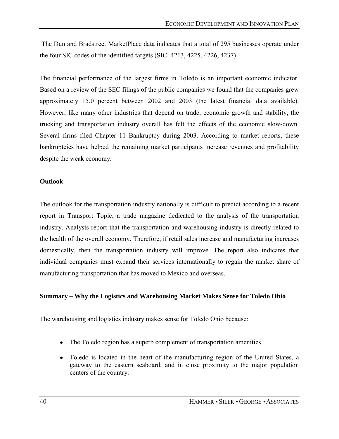The Dun and Bradstreet MarketPlace data indicates that a total of 295 businesses operate under the four SIC codes of the identified targets (SIC: 4213, 4225, 4226, 4237).

The financial performance of the largest firms in Toledo is an important economic indicator. Based on a review of the SEC filings of the public companies we found that the companies grew approximately 15.0 percent between 2002 and 2003 (the latest financial data available). However, like many other industries that depend on trade, economic growth and stability, the trucking and transportation industry overall has felt the effects of the economic slow-down. Several firms filed Chapter 11 Bankruptcy during 2003. According to market reports, these bankruptcies have helped the remaining market participants increase revenues and profitability despite the weak economy.

### **Outlook**

The outlook for the transportation industry nationally is difficult to predict according to a recent report in Transport Topic, a trade magazine dedicated to the analysis of the transportation industry. Analysts report that the transportation and warehousing industry is directly related to the health of the overall economy. Therefore, if retail sales increase and manufacturing increases domestically, then the transportation industry will improve. The report also indicates that individual companies must expand their services internationally to regain the market share of manufacturing transportation that has moved to Mexico and overseas.

### **Summary – Why the Logistics and Warehousing Market Makes Sense for Toledo Ohio**

The warehousing and logistics industry makes sense for Toledo Ohio because:

- The Toledo region has a superb complement of transportation amenities.
- Toledo is located in the heart of the manufacturing region of the United States, a gateway to the eastern seaboard, and in close proximity to the major population centers of the country.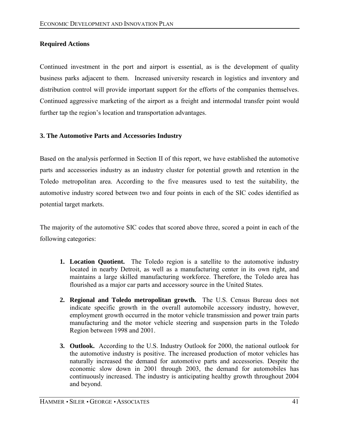## **Required Actions**

Continued investment in the port and airport is essential, as is the development of quality business parks adjacent to them. Increased university research in logistics and inventory and distribution control will provide important support for the efforts of the companies themselves. Continued aggressive marketing of the airport as a freight and intermodal transfer point would further tap the region's location and transportation advantages.

## **3. The Automotive Parts and Accessories Industry**

Based on the analysis performed in Section II of this report, we have established the automotive parts and accessories industry as an industry cluster for potential growth and retention in the Toledo metropolitan area. According to the five measures used to test the suitability, the automotive industry scored between two and four points in each of the SIC codes identified as potential target markets.

The majority of the automotive SIC codes that scored above three, scored a point in each of the following categories:

- **1. Location Quotient.** The Toledo region is a satellite to the automotive industry located in nearby Detroit, as well as a manufacturing center in its own right, and maintains a large skilled manufacturing workforce. Therefore, the Toledo area has flourished as a major car parts and accessory source in the United States.
- **2. Regional and Toledo metropolitan growth.** The U.S. Census Bureau does not indicate specific growth in the overall automobile accessory industry, however, employment growth occurred in the motor vehicle transmission and power train parts manufacturing and the motor vehicle steering and suspension parts in the Toledo Region between 1998 and 2001.
- **3. Outlook.** According to the U.S. Industry Outlook for 2000, the national outlook for the automotive industry is positive. The increased production of motor vehicles has naturally increased the demand for automotive parts and accessories. Despite the economic slow down in 2001 through 2003, the demand for automobiles has continuously increased. The industry is anticipating healthy growth throughout 2004 and beyond.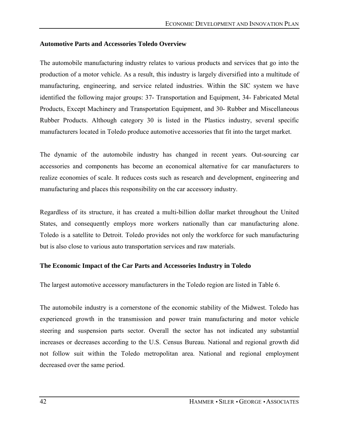#### **Automotive Parts and Accessories Toledo Overview**

The automobile manufacturing industry relates to various products and services that go into the production of a motor vehicle. As a result, this industry is largely diversified into a multitude of manufacturing, engineering, and service related industries. Within the SIC system we have identified the following major groups: 37- Transportation and Equipment, 34- Fabricated Metal Products, Except Machinery and Transportation Equipment, and 30- Rubber and Miscellaneous Rubber Products. Although category 30 is listed in the Plastics industry, several specific manufacturers located in Toledo produce automotive accessories that fit into the target market.

The dynamic of the automobile industry has changed in recent years. Out-sourcing car accessories and components has become an economical alternative for car manufacturers to realize economies of scale. It reduces costs such as research and development, engineering and manufacturing and places this responsibility on the car accessory industry.

Regardless of its structure, it has created a multi-billion dollar market throughout the United States, and consequently employs more workers nationally than car manufacturing alone. Toledo is a satellite to Detroit. Toledo provides not only the workforce for such manufacturing but is also close to various auto transportation services and raw materials.

### **The Economic Impact of the Car Parts and Accessories Industry in Toledo**

The largest automotive accessory manufacturers in the Toledo region are listed in Table 6.

The automobile industry is a cornerstone of the economic stability of the Midwest. Toledo has experienced growth in the transmission and power train manufacturing and motor vehicle steering and suspension parts sector. Overall the sector has not indicated any substantial increases or decreases according to the U.S. Census Bureau. National and regional growth did not follow suit within the Toledo metropolitan area. National and regional employment decreased over the same period.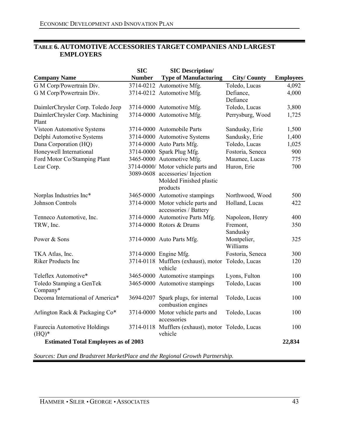### **TABLE 6. AUTOMOTIVE ACCESSORIES TARGET COMPANIES AND LARGEST EMPLOYERS**

| <b>SIC</b><br><b>SIC Description/</b>       |               |                                                                                                              |                         |                  |
|---------------------------------------------|---------------|--------------------------------------------------------------------------------------------------------------|-------------------------|------------------|
| <b>Company Name</b>                         | <b>Number</b> | <b>Type of Manufacturing</b>                                                                                 | <b>City/County</b>      | <b>Employees</b> |
| G M Corp/Powertrain Div.                    |               | 3714-0212 Automotive Mfg.                                                                                    | Toledo, Lucas           | 4,092            |
| G M Corp/Powertrain Div.                    |               | 3714-0212 Automotive Mfg.                                                                                    | Defiance,<br>Defiance   | 4,000            |
| DaimlerChrysler Corp. Toledo Jeep           |               | 3714-0000 Automotive Mfg.                                                                                    | Toledo, Lucas           | 3,800            |
| DaimlerChrysler Corp. Machining<br>Plant    |               | 3714-0000 Automotive Mfg.                                                                                    | Perrysburg, Wood        | 1,725            |
| Visteon Automotive Systems                  |               | 3714-0000 Automobile Parts                                                                                   | Sandusky, Erie          | 1,500            |
| Delphi Automotive Systems                   |               | 3714-0000 Automotive Systems                                                                                 | Sandusky, Erie          | 1,400            |
| Dana Corporation (HQ)                       |               | 3714-0000 Auto Parts Mfg.                                                                                    | Toledo, Lucas           | 1,025            |
| Honeywell International                     |               | 3714-0000 Spark Plug Mfg.                                                                                    | Fostoria, Seneca        | 900              |
| Ford Motor Co/Stamping Plant                |               | 3465-0000 Automotive Mfg.                                                                                    | Maumee, Lucas           | 775              |
| Lear Corp.                                  |               | 3714-0000/ Motor vehicle parts and<br>3089-0608 accessories/Injection<br>Molded Finished plastic<br>products | Huron, Erie             | 700              |
| Norplas Industries Inc*                     |               | 3465-0000 Automotive stampings                                                                               | Northwood, Wood         | 500              |
| <b>Johnson Controls</b>                     |               | 3714-0000 Motor vehicle parts and<br>accessories / Battery                                                   | Holland, Lucas          | 422              |
| Tenneco Automotive, Inc.                    |               | 3714-0000 Automotive Parts Mfg.                                                                              | Napoleon, Henry         | 400              |
| TRW, Inc.                                   |               | 3714-0000 Rotors & Drums                                                                                     | Fremont,<br>Sandusky    | 350              |
| Power & Sons                                |               | 3714-0000 Auto Parts Mfg.                                                                                    | Montpelier,<br>Williams | 325              |
| TKA Atlas, Inc.                             |               | 3714-0000 Engine Mfg.                                                                                        | Fostoria, Seneca        | 300              |
| <b>Riker Products Inc</b>                   |               | 3714-0118 Mufflers (exhaust), motor<br>vehicle                                                               | Toledo, Lucas           | 120              |
| Teleflex Automotive*                        |               | 3465-0000 Automotive stampings                                                                               | Lyons, Fulton           | 100              |
| Toledo Stamping a GenTek<br>Company*        |               | 3465-0000 Automotive stampings                                                                               | Toledo, Lucas           | 100              |
| Decoma International of America*            |               | 3694-0207 Spark plugs, for internal<br>combustion engines                                                    | Toledo, Lucas           | 100              |
| Arlington Rack & Packaging Co*              |               | 3714-0000 Motor vehicle parts and<br>accessories                                                             | Toledo, Lucas           | 100              |
| Faurecia Automotive Holdings<br>$(HQ)^*$    |               | 3714-0118 Mufflers (exhaust), motor Toledo, Lucas<br>vehicle                                                 |                         | 100              |
| <b>Estimated Total Employees as of 2003</b> |               |                                                                                                              |                         | 22,834           |

*Sources: Dun and Bradstreet MarketPlace and the Regional Growth Partnership.*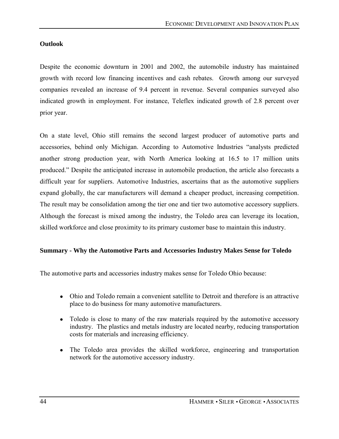#### **Outlook**

Despite the economic downturn in 2001 and 2002, the automobile industry has maintained growth with record low financing incentives and cash rebates. Growth among our surveyed companies revealed an increase of 9.4 percent in revenue. Several companies surveyed also indicated growth in employment. For instance, Teleflex indicated growth of 2.8 percent over prior year.

On a state level, Ohio still remains the second largest producer of automotive parts and accessories, behind only Michigan. According to Automotive Industries "analysts predicted another strong production year, with North America looking at 16.5 to 17 million units produced.î Despite the anticipated increase in automobile production, the article also forecasts a difficult year for suppliers. Automotive Industries, ascertains that as the automotive suppliers expand globally, the car manufacturers will demand a cheaper product, increasing competition. The result may be consolidation among the tier one and tier two automotive accessory suppliers. Although the forecast is mixed among the industry, the Toledo area can leverage its location, skilled workforce and close proximity to its primary customer base to maintain this industry.

### **Summary - Why the Automotive Parts and Accessories Industry Makes Sense for Toledo**

The automotive parts and accessories industry makes sense for Toledo Ohio because:

- Ohio and Toledo remain a convenient satellite to Detroit and therefore is an attractive place to do business for many automotive manufacturers.
- Toledo is close to many of the raw materials required by the automotive accessory industry. The plastics and metals industry are located nearby, reducing transportation costs for materials and increasing efficiency.
- The Toledo area provides the skilled workforce, engineering and transportation network for the automotive accessory industry.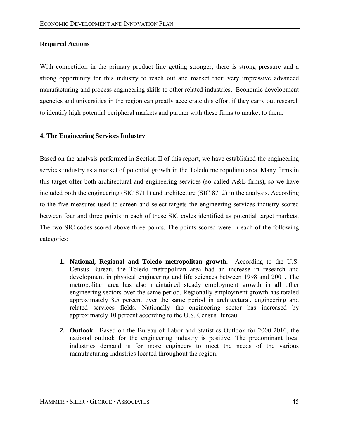## **Required Actions**

With competition in the primary product line getting stronger, there is strong pressure and a strong opportunity for this industry to reach out and market their very impressive advanced manufacturing and process engineering skills to other related industries. Economic development agencies and universities in the region can greatly accelerate this effort if they carry out research to identify high potential peripheral markets and partner with these firms to market to them.

## **4. The Engineering Services Industry**

Based on the analysis performed in Section II of this report, we have established the engineering services industry as a market of potential growth in the Toledo metropolitan area. Many firms in this target offer both architectural and engineering services (so called A&E firms), so we have included both the engineering (SIC 8711) and architecture (SIC 8712) in the analysis. According to the five measures used to screen and select targets the engineering services industry scored between four and three points in each of these SIC codes identified as potential target markets. The two SIC codes scored above three points. The points scored were in each of the following categories:

- **1. National, Regional and Toledo metropolitan growth.** According to the U.S. Census Bureau, the Toledo metropolitan area had an increase in research and development in physical engineering and life sciences between 1998 and 2001. The metropolitan area has also maintained steady employment growth in all other engineering sectors over the same period. Regionally employment growth has totaled approximately 8.5 percent over the same period in architectural, engineering and related services fields. Nationally the engineering sector has increased by approximately 10 percent according to the U.S. Census Bureau.
- **2. Outlook.** Based on the Bureau of Labor and Statistics Outlook for 2000-2010, the national outlook for the engineering industry is positive. The predominant local industries demand is for more engineers to meet the needs of the various manufacturing industries located throughout the region.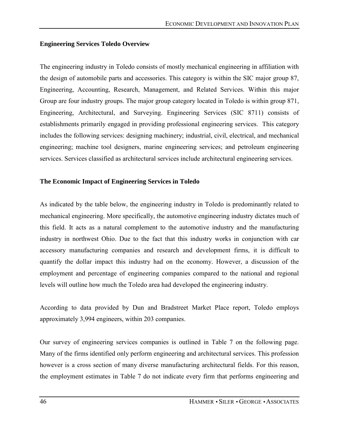## **Engineering Services Toledo Overview**

The engineering industry in Toledo consists of mostly mechanical engineering in affiliation with the design of automobile parts and accessories. This category is within the SIC major group 87, Engineering, Accounting, Research, Management, and Related Services. Within this major Group are four industry groups. The major group category located in Toledo is within group 871, Engineering, Architectural, and Surveying. Engineering Services (SIC 8711) consists of establishments primarily engaged in providing professional engineering services. This category includes the following services: designing machinery; industrial, civil, electrical, and mechanical engineering; machine tool designers, marine engineering services; and petroleum engineering services. Services classified as architectural services include architectural engineering services.

## **The Economic Impact of Engineering Services in Toledo**

As indicated by the table below, the engineering industry in Toledo is predominantly related to mechanical engineering. More specifically, the automotive engineering industry dictates much of this field. It acts as a natural complement to the automotive industry and the manufacturing industry in northwest Ohio. Due to the fact that this industry works in conjunction with car accessory manufacturing companies and research and development firms, it is difficult to quantify the dollar impact this industry had on the economy. However, a discussion of the employment and percentage of engineering companies compared to the national and regional levels will outline how much the Toledo area had developed the engineering industry.

According to data provided by Dun and Bradstreet Market Place report, Toledo employs approximately 3,994 engineers, within 203 companies.

Our survey of engineering services companies is outlined in Table 7 on the following page. Many of the firms identified only perform engineering and architectural services. This profession however is a cross section of many diverse manufacturing architectural fields. For this reason, the employment estimates in Table 7 do not indicate every firm that performs engineering and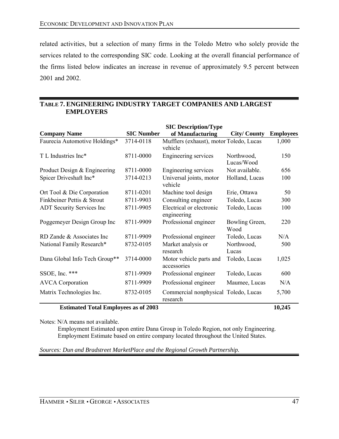related activities, but a selection of many firms in the Toledo Metro who solely provide the services related to the corresponding SIC code. Looking at the overall financial performance of the firms listed below indicates an increase in revenue of approximately 9.5 percent between 2001 and 2002.

#### **TABLE 7. ENGINEERING INDUSTRY TARGET COMPANIES AND LARGEST EMPLOYERS**

|                                  | <b>SIC Description/Type</b> |                                                    |                          |                  |  |
|----------------------------------|-----------------------------|----------------------------------------------------|--------------------------|------------------|--|
| <b>Company Name</b>              | <b>SIC Number</b>           | of Manufacturing                                   | <b>City/County</b>       | <b>Employees</b> |  |
| Faurecia Automotive Holdings*    | 3714-0118                   | Mufflers (exhaust), motor Toledo, Lucas<br>vehicle |                          | 1,000            |  |
| T L Industries Inc*              | 8711-0000                   | Engineering services                               | Northwood,<br>Lucas/Wood | 150              |  |
| Product Design & Engineering     | 8711-0000                   | Engineering services                               | Not available.           | 656              |  |
| Spicer Driveshaft Inc*           | 3714-0213                   | Universal joints, motor<br>vehicle                 | Holland, Lucas           | 100              |  |
| Ort Tool & Die Corporation       | 8711-0201                   | Machine tool design                                | Erie, Ottawa             | 50               |  |
| Finkbeiner Pettis & Strout       | 8711-9903                   | Consulting engineer                                | Toledo, Lucas            | 300              |  |
| <b>ADT Security Services Inc</b> | 8711-9905                   | Electrical or electronic<br>engineering            | Toledo, Lucas            | 100              |  |
| Poggemeyer Design Group Inc      | 8711-9909                   | Professional engineer                              | Bowling Green,<br>Wood   | 220              |  |
| RD Zande & Associates Inc        | 8711-9909                   | Professional engineer                              | Toledo, Lucas            | N/A              |  |
| National Family Research*        | 8732-0105                   | Market analysis or<br>research                     | Northwood,<br>Lucas      | 500              |  |
| Dana Global Info Tech Group**    | 3714-0000                   | Motor vehicle parts and<br>accessories             | Toledo, Lucas            | 1,025            |  |
| SSOE, Inc. $***$                 | 8711-9909                   | Professional engineer                              | Toledo, Lucas            | 600              |  |
| <b>AVCA</b> Corporation          | 8711-9909                   | Professional engineer                              | Maumee, Lucas            | N/A              |  |
| Matrix Technologies Inc.         | 8732-0105                   | Commercial nonphysical Toledo, Lucas<br>research   |                          | 5,700            |  |

#### **Estimated Total Employees as of 2003 10,245**

Notes: N/A means not available.

 Employment Estimated upon entire Dana Group in Toledo Region, not only Engineering. Employment Estimate based on entire company located throughout the United States.

### *Sources: Dun and Bradstreet MarketPlace and the Regional Growth Partnership.*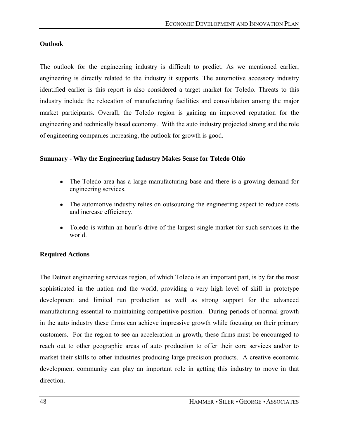### **Outlook**

The outlook for the engineering industry is difficult to predict. As we mentioned earlier, engineering is directly related to the industry it supports. The automotive accessory industry identified earlier is this report is also considered a target market for Toledo. Threats to this industry include the relocation of manufacturing facilities and consolidation among the major market participants. Overall, the Toledo region is gaining an improved reputation for the engineering and technically based economy. With the auto industry projected strong and the role of engineering companies increasing, the outlook for growth is good.

## **Summary - Why the Engineering Industry Makes Sense for Toledo Ohio**

- The Toledo area has a large manufacturing base and there is a growing demand for engineering services.
- The automotive industry relies on outsourcing the engineering aspect to reduce costs and increase efficiency.
- Toledo is within an hour's drive of the largest single market for such services in the world.

## **Required Actions**

The Detroit engineering services region, of which Toledo is an important part, is by far the most sophisticated in the nation and the world, providing a very high level of skill in prototype development and limited run production as well as strong support for the advanced manufacturing essential to maintaining competitive position. During periods of normal growth in the auto industry these firms can achieve impressive growth while focusing on their primary customers. For the region to see an acceleration in growth, these firms must be encouraged to reach out to other geographic areas of auto production to offer their core services and/or to market their skills to other industries producing large precision products. A creative economic development community can play an important role in getting this industry to move in that direction.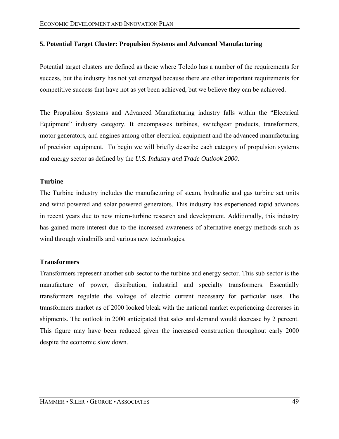### **5. Potential Target Cluster: Propulsion Systems and Advanced Manufacturing**

Potential target clusters are defined as those where Toledo has a number of the requirements for success, but the industry has not yet emerged because there are other important requirements for competitive success that have not as yet been achieved, but we believe they can be achieved.

The Propulsion Systems and Advanced Manufacturing industry falls within the "Electrical Equipment" industry category. It encompasses turbines, switchgear products, transformers, motor generators, and engines among other electrical equipment and the advanced manufacturing of precision equipment. To begin we will briefly describe each category of propulsion systems and energy sector as defined by the *U.S. Industry and Trade Outlook 2000*.

### **Turbine**

The Turbine industry includes the manufacturing of steam, hydraulic and gas turbine set units and wind powered and solar powered generators. This industry has experienced rapid advances in recent years due to new micro-turbine research and development. Additionally, this industry has gained more interest due to the increased awareness of alternative energy methods such as wind through windmills and various new technologies.

### **Transformers**

Transformers represent another sub-sector to the turbine and energy sector. This sub-sector is the manufacture of power, distribution, industrial and specialty transformers. Essentially transformers regulate the voltage of electric current necessary for particular uses. The transformers market as of 2000 looked bleak with the national market experiencing decreases in shipments. The outlook in 2000 anticipated that sales and demand would decrease by 2 percent. This figure may have been reduced given the increased construction throughout early 2000 despite the economic slow down.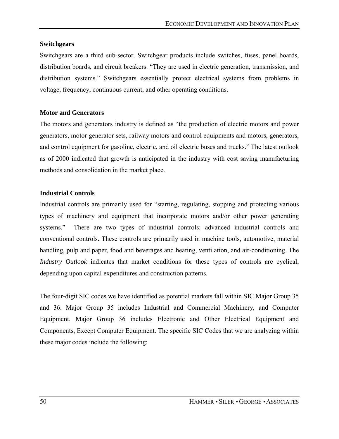#### **Switchgears**

Switchgears are a third sub-sector. Switchgear products include switches, fuses, panel boards, distribution boards, and circuit breakers. "They are used in electric generation, transmission, and distribution systems." Switchgears essentially protect electrical systems from problems in voltage, frequency, continuous current, and other operating conditions.

#### **Motor and Generators**

The motors and generators industry is defined as "the production of electric motors and power generators, motor generator sets, railway motors and control equipments and motors, generators, and control equipment for gasoline, electric, and oil electric buses and trucks." The latest outlook as of 2000 indicated that growth is anticipated in the industry with cost saving manufacturing methods and consolidation in the market place.

### **Industrial Controls**

Industrial controls are primarily used for "starting, regulating, stopping and protecting various types of machinery and equipment that incorporate motors and/or other power generating systems." There are two types of industrial controls: advanced industrial controls and conventional controls. These controls are primarily used in machine tools, automotive, material handling, pulp and paper, food and beverages and heating, ventilation, and air-conditioning. The *Industry Outlook* indicates that market conditions for these types of controls are cyclical, depending upon capital expenditures and construction patterns.

The four-digit SIC codes we have identified as potential markets fall within SIC Major Group 35 and 36. Major Group 35 includes Industrial and Commercial Machinery, and Computer Equipment. Major Group 36 includes Electronic and Other Electrical Equipment and Components, Except Computer Equipment. The specific SIC Codes that we are analyzing within these major codes include the following: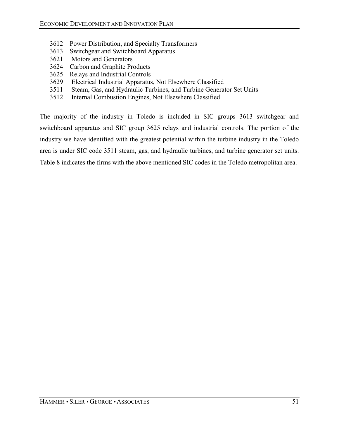- 3612 Power Distribution, and Specialty Transformers
- 3613 Switchgear and Switchboard Apparatus
- 3621 Motors and Generators
- 3624 Carbon and Graphite Products
- 3625 Relays and Industrial Controls
- 3629 Electrical Industrial Apparatus, Not Elsewhere Classified
- 3511 Steam, Gas, and Hydraulic Turbines, and Turbine Generator Set Units
- 3512 Internal Combustion Engines, Not Elsewhere Classified

The majority of the industry in Toledo is included in SIC groups 3613 switchgear and switchboard apparatus and SIC group 3625 relays and industrial controls. The portion of the industry we have identified with the greatest potential within the turbine industry in the Toledo area is under SIC code 3511 steam, gas, and hydraulic turbines, and turbine generator set units. Table 8 indicates the firms with the above mentioned SIC codes in the Toledo metropolitan area.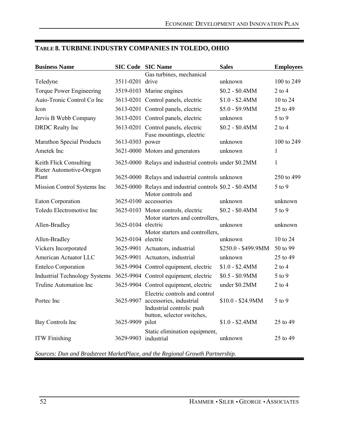| <b>Business Name</b>                               |                    | <b>SIC Code SIC Name</b>                                                                                            | <b>Sales</b>        | <b>Employees</b> |
|----------------------------------------------------|--------------------|---------------------------------------------------------------------------------------------------------------------|---------------------|------------------|
|                                                    |                    | Gas turbines, mechanical                                                                                            |                     |                  |
| Teledyne                                           | 3511-0201 drive    |                                                                                                                     | unknown             | 100 to 249       |
| Torque Power Engineering                           |                    | 3519-0103 Marine engines                                                                                            | $$0.2 - $0.4MM$     | $2$ to $4$       |
| Auto-Tronic Control Co Inc                         |                    | 3613-0201 Control panels, electric                                                                                  | $$1.0 - $2.4MM$     | 10 to 24         |
| Icon                                               |                    | 3613-0201 Control panels, electric                                                                                  | $$5.0 - $9.9$ MM    | 25 to 49         |
| Jervis B Webb Company                              |                    | 3613-0201 Control panels, electric                                                                                  | unknown             | 5 to 9           |
| <b>DRDC</b> Realty Inc                             |                    | 3613-0201 Control panels, electric<br>Fuse mountings, electric                                                      | $$0.2 - $0.4MM$     | $2$ to $4$       |
| <b>Marathon Special Products</b>                   | 3613-0303 power    |                                                                                                                     | unknown             | 100 to 249       |
| Ametek Inc                                         |                    | 3621-0000 Motors and generators                                                                                     | unknown             | 1                |
| Keith Flick Consulting<br>Rieter Automotive-Oregon |                    | 3625-0000 Relays and industrial controls under \$0.2MM                                                              |                     | 1                |
| Plant                                              |                    | 3625-0000 Relays and industrial controls unknown                                                                    |                     | 250 to 499       |
| Mission Control Systems Inc                        |                    | 3625-0000 Relays and industrial controls \$0.2 - \$0.4MM<br>Motor controls and                                      |                     | 5 to 9           |
| <b>Eaton Corporation</b>                           |                    | 3625-0100 accessories                                                                                               | unknown             | unknown          |
| Toledo Electromotive Inc                           |                    | 3625-0103 Motor controls, electric<br>Motor starters and controllers,                                               | $$0.2 - $0.4MM$     | $5$ to $9$       |
| Allen-Bradley                                      | 3625-0104 electric | Motor starters and controllers,                                                                                     | unknown             | unknown          |
| Allen-Bradley                                      | 3625-0104 electric |                                                                                                                     | unknown             | 10 to 24         |
| Vickers Incorporated                               |                    | 3625-9901 Actuators, industrial                                                                                     | \$250.0 - \$499.9MM | 50 to 99         |
| <b>American Actuator LLC</b>                       |                    | 3625-9901 Actuators, industrial                                                                                     | unknown             | 25 to 49         |
| <b>Entelco Corporation</b>                         |                    | 3625-9904 Control equipment, electric                                                                               | $$1.0 - $2.4MM$     | $2$ to $4$       |
| <b>Industrial Technology Systems</b>               |                    | 3625-9904 Control equipment, electric                                                                               | $$0.5 - $0.9$ MM    | $5$ to $9$       |
| Truline Automation Inc                             |                    | 3625-9904 Control equipment, electric                                                                               | under \$0.2MM       | $2$ to $4$       |
| Portec Inc                                         | 3625-9907          | Electric controls and control<br>accessories, industrial<br>Industrial controls: push<br>button, selector switches, | $$10.0 - $24.9MM$   | 5 to 9           |
| Bay Controls Inc                                   | 3625-9909 pilot    |                                                                                                                     | $$1.0 - $2.4MM$     | 25 to 49         |
| <b>ITW</b> Finishing                               | 3629-9903          | Static elimination equipment,<br>industrial                                                                         | unknown             | 25 to 49         |

## **TABLE 8. TURBINE INDUSTRY COMPANIES IN TOLEDO, OHIO**

*Sources: Dun and Bradstreet MarketPlace, and the Regional Growth Partnership.*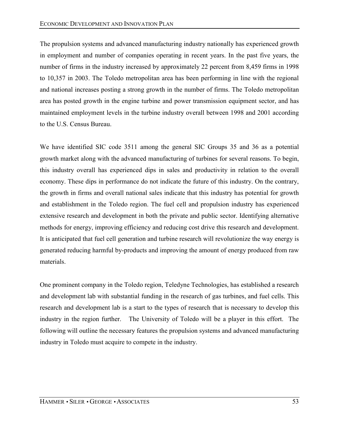The propulsion systems and advanced manufacturing industry nationally has experienced growth in employment and number of companies operating in recent years. In the past five years, the number of firms in the industry increased by approximately 22 percent from 8,459 firms in 1998 to 10,357 in 2003. The Toledo metropolitan area has been performing in line with the regional and national increases posting a strong growth in the number of firms. The Toledo metropolitan area has posted growth in the engine turbine and power transmission equipment sector, and has maintained employment levels in the turbine industry overall between 1998 and 2001 according to the U.S. Census Bureau.

We have identified SIC code 3511 among the general SIC Groups 35 and 36 as a potential growth market along with the advanced manufacturing of turbines for several reasons. To begin, this industry overall has experienced dips in sales and productivity in relation to the overall economy. These dips in performance do not indicate the future of this industry. On the contrary, the growth in firms and overall national sales indicate that this industry has potential for growth and establishment in the Toledo region. The fuel cell and propulsion industry has experienced extensive research and development in both the private and public sector. Identifying alternative methods for energy, improving efficiency and reducing cost drive this research and development. It is anticipated that fuel cell generation and turbine research will revolutionize the way energy is generated reducing harmful by-products and improving the amount of energy produced from raw materials.

One prominent company in the Toledo region, Teledyne Technologies, has established a research and development lab with substantial funding in the research of gas turbines, and fuel cells. This research and development lab is a start to the types of research that is necessary to develop this industry in the region further. The University of Toledo will be a player in this effort. The following will outline the necessary features the propulsion systems and advanced manufacturing industry in Toledo must acquire to compete in the industry.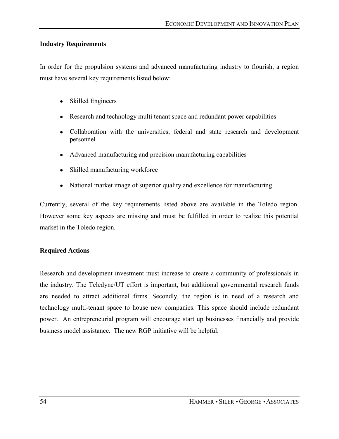### **Industry Requirements**

In order for the propulsion systems and advanced manufacturing industry to flourish, a region must have several key requirements listed below:

- Skilled Engineers
- Research and technology multi tenant space and redundant power capabilities
- Collaboration with the universities, federal and state research and development personnel
- Advanced manufacturing and precision manufacturing capabilities
- Skilled manufacturing workforce
- National market image of superior quality and excellence for manufacturing

Currently, several of the key requirements listed above are available in the Toledo region. However some key aspects are missing and must be fulfilled in order to realize this potential market in the Toledo region.

#### **Required Actions**

Research and development investment must increase to create a community of professionals in the industry. The Teledyne/UT effort is important, but additional governmental research funds are needed to attract additional firms. Secondly, the region is in need of a research and technology multi-tenant space to house new companies. This space should include redundant power. An entrepreneurial program will encourage start up businesses financially and provide business model assistance. The new RGP initiative will be helpful.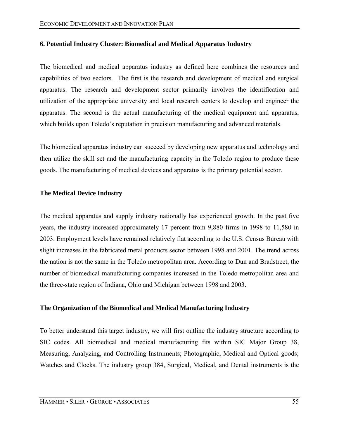### **6. Potential Industry Cluster: Biomedical and Medical Apparatus Industry**

The biomedical and medical apparatus industry as defined here combines the resources and capabilities of two sectors. The first is the research and development of medical and surgical apparatus. The research and development sector primarily involves the identification and utilization of the appropriate university and local research centers to develop and engineer the apparatus. The second is the actual manufacturing of the medical equipment and apparatus, which builds upon Toledo's reputation in precision manufacturing and advanced materials.

The biomedical apparatus industry can succeed by developing new apparatus and technology and then utilize the skill set and the manufacturing capacity in the Toledo region to produce these goods. The manufacturing of medical devices and apparatus is the primary potential sector.

### **The Medical Device Industry**

The medical apparatus and supply industry nationally has experienced growth. In the past five years, the industry increased approximately 17 percent from 9,880 firms in 1998 to 11,580 in 2003. Employment levels have remained relatively flat according to the U.S. Census Bureau with slight increases in the fabricated metal products sector between 1998 and 2001. The trend across the nation is not the same in the Toledo metropolitan area. According to Dun and Bradstreet, the number of biomedical manufacturing companies increased in the Toledo metropolitan area and the three-state region of Indiana, Ohio and Michigan between 1998 and 2003.

### **The Organization of the Biomedical and Medical Manufacturing Industry**

To better understand this target industry, we will first outline the industry structure according to SIC codes. All biomedical and medical manufacturing fits within SIC Major Group 38, Measuring, Analyzing, and Controlling Instruments; Photographic, Medical and Optical goods; Watches and Clocks. The industry group 384, Surgical, Medical, and Dental instruments is the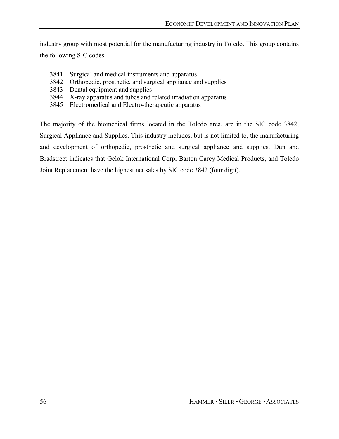industry group with most potential for the manufacturing industry in Toledo. This group contains the following SIC codes:

- 3841 Surgical and medical instruments and apparatus
- 3842 Orthopedic, prosthetic, and surgical appliance and supplies
- 3843 Dental equipment and supplies
- 3844 X-ray apparatus and tubes and related irradiation apparatus
- 3845 Electromedical and Electro-therapeutic apparatus

The majority of the biomedical firms located in the Toledo area, are in the SIC code 3842, Surgical Appliance and Supplies. This industry includes, but is not limited to, the manufacturing and development of orthopedic, prosthetic and surgical appliance and supplies. Dun and Bradstreet indicates that Gelok International Corp, Barton Carey Medical Products, and Toledo Joint Replacement have the highest net sales by SIC code 3842 (four digit).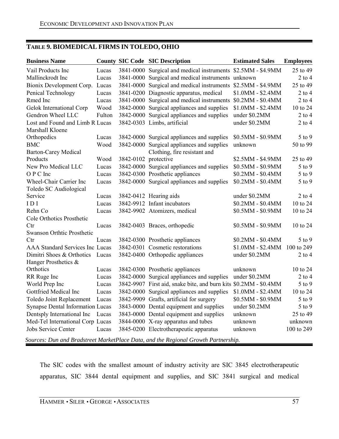# **TABLE 9. BIOMEDICAL FIRMS IN TOLEDO, OHIO**

| <b>Business Name</b>                    |        |                      | <b>County SIC Code SIC Description</b>                           | <b>Estimated Sales</b> | <b>Employees</b> |  |
|-----------------------------------------|--------|----------------------|------------------------------------------------------------------|------------------------|------------------|--|
| Vail Products Inc                       | Lucas  |                      | 3841-0000 Surgical and medical instruments \$2.5MM - \$4.9MM     |                        | 25 to 49         |  |
| Mallinckrodt Inc                        | Lucas  |                      | 3841-0000 Surgical and medical instruments unknown               |                        | $2$ to $4$       |  |
| Bionix Development Corp. Lucas          |        |                      | 3841-0000 Surgical and medical instruments \$2.5MM - \$4.9MM     |                        | 25 to 49         |  |
| Penical Technology                      | Lucas  |                      | 3841-0200 Diagnostic apparatus, medical                          | \$1.0MM - \$2.4MM      | $2$ to $4$       |  |
| Rmed Inc                                | Lucas  |                      | 3841-0000 Surgical and medical instruments                       | $$0.2MM - $0.4MM$      | $2$ to $4$       |  |
| Gelok International Corp                | Wood   |                      | 3842-0000 Surgical appliances and supplies                       | $$1.0MM - $2.4MM$      | 10 to 24         |  |
| Gendron Wheel LLC                       | Fulton |                      | 3842-0000 Surgical appliances and supplies                       | under \$0.2MM          | $2$ to $4$       |  |
| Lost and Found and Limb R Lucas         |        |                      | 3842-0303 Limbs, artificial                                      | under \$0.2MM          | $2$ to $4\,$     |  |
| Marshall Kloene                         |        |                      |                                                                  |                        |                  |  |
| Orthopedics                             | Lucas  |                      | 3842-0000 Surgical appliances and supplies                       | \$0.5MM - \$0.9MM      | 5 to 9           |  |
| <b>BMC</b>                              | Wood   |                      | 3842-0000 Surgical appliances and supplies                       | unknown                | 50 to 99         |  |
| <b>Barton-Carey Medical</b>             |        |                      | Clothing, fire resistant and                                     |                        |                  |  |
| Products                                | Wood   | 3842-0102 protective |                                                                  | \$2.5MM - \$4.9MM      | 25 to 49         |  |
| New Pro Medical LLC                     | Lucas  |                      | 3842-0000 Surgical appliances and supplies                       | \$0.5MM - \$0.9MM      | 5 to 9           |  |
| O P C Inc                               | Lucas  |                      | 3842-0300 Prosthetic appliances                                  | \$0.2MM - \$0.4MM      | 5 to 9           |  |
| Wheel-Chair Carrier Inc                 | Lucas  |                      | 3842-0000 Surgical appliances and supplies                       | \$0.2MM - \$0.4MM      | 5 to 9           |  |
| Toledo SC Audiological                  |        |                      |                                                                  |                        |                  |  |
| Service                                 | Lucas  |                      | 3842-0412 Hearing aids                                           | under \$0.2MM          | $2$ to 4         |  |
| IDI                                     | Lucas  |                      | 3842-9912 Infant incubators                                      | \$0.2MM - \$0.4MM      | 10 to 24         |  |
| Rehn Co                                 | Lucas  |                      | 3842-9902 Atomizers, medical                                     | \$0.5MM - \$0.9MM      | 10 to 24         |  |
| Cole Orthotics Prosthetic               |        |                      |                                                                  |                        |                  |  |
| Ctr                                     | Lucas  |                      | 3842-0403 Braces, orthopedic                                     | \$0.5MM - \$0.9MM      | 10 to 24         |  |
| <b>Swanson Orthtic Prosthetic</b>       |        |                      |                                                                  |                        |                  |  |
| Ctr                                     | Lucas  |                      | 3842-0300 Prosthetic appliances                                  | $$0.2MM - $0.4MM$      | 5 to 9           |  |
| <b>AAA Standard Services Inc Lucas</b>  |        |                      | 3842-0301 Cosmetic restorations                                  | \$1.0MM - \$2.4MM      | 100 to 249       |  |
| Dimitri Shoes & Orthotics Lucas         |        |                      | 3842-0400 Orthopedic appliances                                  | under \$0.2MM          | $2$ to $4$       |  |
| Hanger Prosthetics &                    |        |                      |                                                                  |                        |                  |  |
| Orthotics                               | Lucas  |                      | 3842-0300 Prosthetic appliances                                  | unknown                | 10 to 24         |  |
| RR Ruge Inc                             | Lucas  |                      | 3842-0000 Surgical appliances and supplies                       | under \$0.2MM          | $2$ to $4$       |  |
| World Prep Inc                          | Lucas  |                      | 3842-9907 First aid, snake bite, and burn kits \$0.2MM - \$0.4MM |                        | $5$ to $9$       |  |
| Gottfried Medical Inc                   | Lucas  |                      | 3842-0000 Surgical appliances and supplies                       | $$1.0MM - $2.4MM$      | 10 to 24         |  |
| Toledo Joint Replacement                | Lucas  |                      | 3842-9909 Grafts, artificial for surgery                         | \$0.5MM - \$0.9MM      | 5 to 9           |  |
| <b>Synapse Dental Information Lucas</b> |        |                      | 3843-0000 Dental equipment and supplies                          | under \$0.2MM          | 5 to 9           |  |
| Dentsply International Inc              | Lucas  |                      | 3843-0000 Dental equipment and supplies                          | unknown                | 25 to 49         |  |
| Med-Tel International Corp Lucas        |        |                      | 3844-0000 X-ray apparatus and tubes                              | unknown                | unknown          |  |
| Jobs Service Center                     | Lucas  |                      | 3845-0200 Electrotherapeutic apparatus                           | unknown                | 100 to 249       |  |
|                                         |        |                      |                                                                  |                        |                  |  |

*Sources: Dun and Bradstreet MarketPlace Data, and the Regional Growth Partnership.* 

The SIC codes with the smallest amount of industry activity are SIC 3845 electrotherapeutic apparatus, SIC 3844 dental equipment and supplies, and SIC 3841 surgical and medical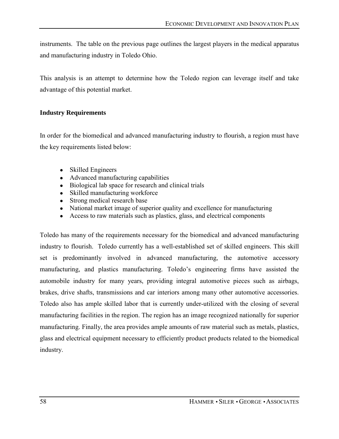instruments. The table on the previous page outlines the largest players in the medical apparatus and manufacturing industry in Toledo Ohio.

This analysis is an attempt to determine how the Toledo region can leverage itself and take advantage of this potential market.

## **Industry Requirements**

In order for the biomedical and advanced manufacturing industry to flourish, a region must have the key requirements listed below:

- Skilled Engineers
- Advanced manufacturing capabilities
- Biological lab space for research and clinical trials
- Skilled manufacturing workforce
- Strong medical research base
- National market image of superior quality and excellence for manufacturing
- Access to raw materials such as plastics, glass, and electrical components

Toledo has many of the requirements necessary for the biomedical and advanced manufacturing industry to flourish. Toledo currently has a well-established set of skilled engineers. This skill set is predominantly involved in advanced manufacturing, the automotive accessory manufacturing, and plastics manufacturing. Toledo's engineering firms have assisted the automobile industry for many years, providing integral automotive pieces such as airbags, brakes, drive shafts, transmissions and car interiors among many other automotive accessories. Toledo also has ample skilled labor that is currently under-utilized with the closing of several manufacturing facilities in the region. The region has an image recognized nationally for superior manufacturing. Finally, the area provides ample amounts of raw material such as metals, plastics, glass and electrical equipment necessary to efficiently product products related to the biomedical industry.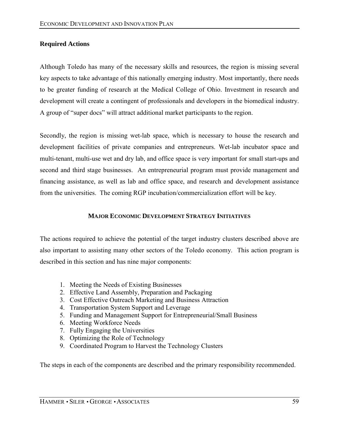## **Required Actions**

Although Toledo has many of the necessary skills and resources, the region is missing several key aspects to take advantage of this nationally emerging industry. Most importantly, there needs to be greater funding of research at the Medical College of Ohio. Investment in research and development will create a contingent of professionals and developers in the biomedical industry. A group of "super docs" will attract additional market participants to the region.

Secondly, the region is missing wet-lab space, which is necessary to house the research and development facilities of private companies and entrepreneurs. Wet-lab incubator space and multi-tenant, multi-use wet and dry lab, and office space is very important for small start-ups and second and third stage businesses. An entrepreneurial program must provide management and financing assistance, as well as lab and office space, and research and development assistance from the universities. The coming RGP incubation/commercialization effort will be key.

### **MAJOR ECONOMIC DEVELOPMENT STRATEGY INITIATIVES**

The actions required to achieve the potential of the target industry clusters described above are also important to assisting many other sectors of the Toledo economy. This action program is described in this section and has nine major components:

- 1. Meeting the Needs of Existing Businesses
- 2. Effective Land Assembly, Preparation and Packaging
- 3. Cost Effective Outreach Marketing and Business Attraction
- 4. Transportation System Support and Leverage
- 5. Funding and Management Support for Entrepreneurial/Small Business
- 6. Meeting Workforce Needs
- 7. Fully Engaging the Universities
- 8. Optimizing the Role of Technology
- 9. Coordinated Program to Harvest the Technology Clusters

The steps in each of the components are described and the primary responsibility recommended.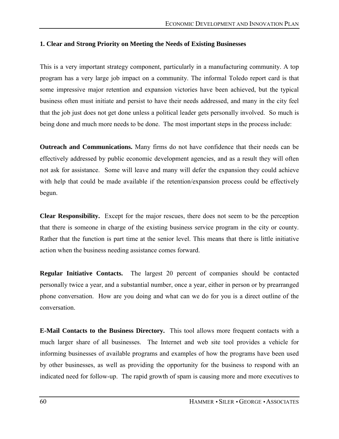### **1. Clear and Strong Priority on Meeting the Needs of Existing Businesses**

This is a very important strategy component, particularly in a manufacturing community. A top program has a very large job impact on a community. The informal Toledo report card is that some impressive major retention and expansion victories have been achieved, but the typical business often must initiate and persist to have their needs addressed, and many in the city feel that the job just does not get done unless a political leader gets personally involved. So much is being done and much more needs to be done. The most important steps in the process include:

**Outreach and Communications.** Many firms do not have confidence that their needs can be effectively addressed by public economic development agencies, and as a result they will often not ask for assistance. Some will leave and many will defer the expansion they could achieve with help that could be made available if the retention/expansion process could be effectively begun.

**Clear Responsibility.** Except for the major rescues, there does not seem to be the perception that there is someone in charge of the existing business service program in the city or county. Rather that the function is part time at the senior level. This means that there is little initiative action when the business needing assistance comes forward.

**Regular Initiative Contacts.** The largest 20 percent of companies should be contacted personally twice a year, and a substantial number, once a year, either in person or by prearranged phone conversation. How are you doing and what can we do for you is a direct outline of the conversation.

**E-Mail Contacts to the Business Directory.** This tool allows more frequent contacts with a much larger share of all businesses. The Internet and web site tool provides a vehicle for informing businesses of available programs and examples of how the programs have been used by other businesses, as well as providing the opportunity for the business to respond with an indicated need for follow-up. The rapid growth of spam is causing more and more executives to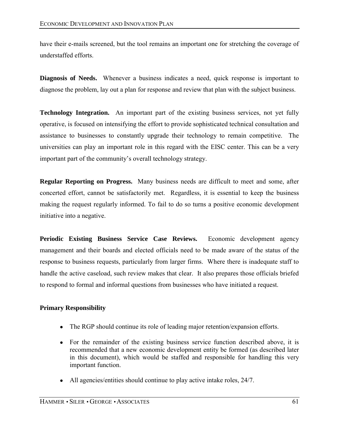have their e-mails screened, but the tool remains an important one for stretching the coverage of understaffed efforts.

**Diagnosis of Needs.** Whenever a business indicates a need, quick response is important to diagnose the problem, lay out a plan for response and review that plan with the subject business.

**Technology Integration.** An important part of the existing business services, not yet fully operative, is focused on intensifying the effort to provide sophisticated technical consultation and assistance to businesses to constantly upgrade their technology to remain competitive. The universities can play an important role in this regard with the EISC center. This can be a very important part of the community's overall technology strategy.

**Regular Reporting on Progress.** Many business needs are difficult to meet and some, after concerted effort, cannot be satisfactorily met. Regardless, it is essential to keep the business making the request regularly informed. To fail to do so turns a positive economic development initiative into a negative.

**Periodic Existing Business Service Case Reviews.** Economic development agency management and their boards and elected officials need to be made aware of the status of the response to business requests, particularly from larger firms. Where there is inadequate staff to handle the active caseload, such review makes that clear. It also prepares those officials briefed to respond to formal and informal questions from businesses who have initiated a request.

### **Primary Responsibility**

- The RGP should continue its role of leading major retention/expansion efforts.
- For the remainder of the existing business service function described above, it is recommended that a new economic development entity be formed (as described later in this document), which would be staffed and responsible for handling this very important function.
- All agencies/entities should continue to play active intake roles, 24/7.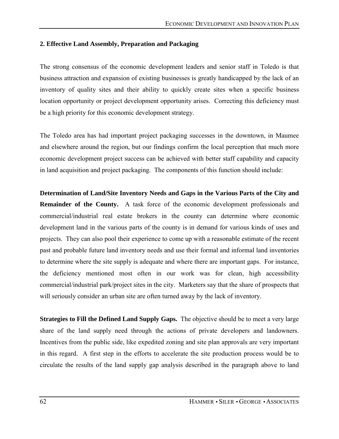### **2. Effective Land Assembly, Preparation and Packaging**

The strong consensus of the economic development leaders and senior staff in Toledo is that business attraction and expansion of existing businesses is greatly handicapped by the lack of an inventory of quality sites and their ability to quickly create sites when a specific business location opportunity or project development opportunity arises. Correcting this deficiency must be a high priority for this economic development strategy.

The Toledo area has had important project packaging successes in the downtown, in Maumee and elsewhere around the region, but our findings confirm the local perception that much more economic development project success can be achieved with better staff capability and capacity in land acquisition and project packaging. The components of this function should include:

**Determination of Land/Site Inventory Needs and Gaps in the Various Parts of the City and Remainder of the County.** A task force of the economic development professionals and commercial/industrial real estate brokers in the county can determine where economic development land in the various parts of the county is in demand for various kinds of uses and projects. They can also pool their experience to come up with a reasonable estimate of the recent past and probable future land inventory needs and use their formal and informal land inventories to determine where the site supply is adequate and where there are important gaps. For instance, the deficiency mentioned most often in our work was for clean, high accessibility commercial/industrial park/project sites in the city. Marketers say that the share of prospects that will seriously consider an urban site are often turned away by the lack of inventory.

**Strategies to Fill the Defined Land Supply Gaps.** The objective should be to meet a very large share of the land supply need through the actions of private developers and landowners. Incentives from the public side, like expedited zoning and site plan approvals are very important in this regard. A first step in the efforts to accelerate the site production process would be to circulate the results of the land supply gap analysis described in the paragraph above to land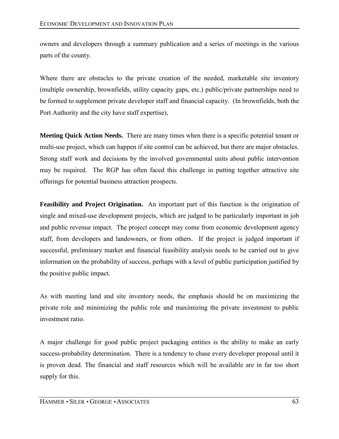owners and developers through a summary publication and a series of meetings in the various parts of the county.

Where there are obstacles to the private creation of the needed, marketable site inventory (multiple ownership, brownfields, utility capacity gaps, etc.) public/private partnerships need to be formed to supplement private developer staff and financial capacity. (In brownfields, both the Port Authority and the city have staff expertise),

**Meeting Quick Action Needs.** There are many times when there is a specific potential tenant or multi-use project, which can happen if site control can be achieved, but there are major obstacles. Strong staff work and decisions by the involved governmental units about public intervention may be required. The RGP has often faced this challenge in putting together attractive site offerings for potential business attraction prospects.

**Feasibility and Project Origination.** An important part of this function is the origination of single and mixed-use development projects, which are judged to be particularly important in job and public revenue impact. The project concept may come from economic development agency staff, from developers and landowners, or from others. If the project is judged important if successful, preliminary market and financial feasibility analysis needs to be carried out to give information on the probability of success, perhaps with a level of public participation justified by the positive public impact.

As with meeting land and site inventory needs, the emphasis should be on maximizing the private role and minimizing the public role and maximizing the private investment to public investment ratio.

A major challenge for good public project packaging entities is the ability to make an early success-probability determination. There is a tendency to chase every developer proposal until it is proven dead. The financial and staff resources which will be available are in far too short supply for this.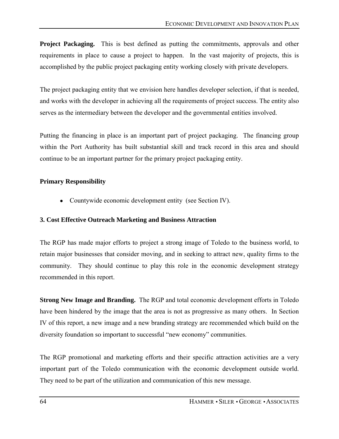**Project Packaging.** This is best defined as putting the commitments, approvals and other requirements in place to cause a project to happen. In the vast majority of projects, this is accomplished by the public project packaging entity working closely with private developers.

The project packaging entity that we envision here handles developer selection, if that is needed, and works with the developer in achieving all the requirements of project success. The entity also serves as the intermediary between the developer and the governmental entities involved.

Putting the financing in place is an important part of project packaging. The financing group within the Port Authority has built substantial skill and track record in this area and should continue to be an important partner for the primary project packaging entity.

# **Primary Responsibility**

• Countywide economic development entity (see Section IV).

## **3. Cost Effective Outreach Marketing and Business Attraction**

The RGP has made major efforts to project a strong image of Toledo to the business world, to retain major businesses that consider moving, and in seeking to attract new, quality firms to the community. They should continue to play this role in the economic development strategy recommended in this report.

**Strong New Image and Branding.** The RGP and total economic development efforts in Toledo have been hindered by the image that the area is not as progressive as many others. In Section IV of this report, a new image and a new branding strategy are recommended which build on the diversity foundation so important to successful "new economy" communities.

The RGP promotional and marketing efforts and their specific attraction activities are a very important part of the Toledo communication with the economic development outside world. They need to be part of the utilization and communication of this new message.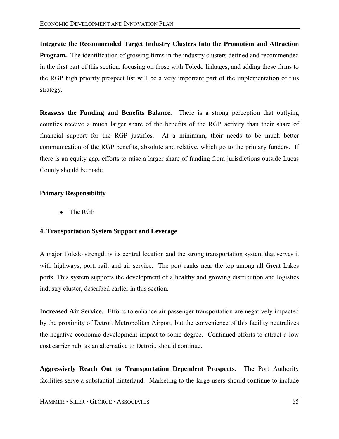**Integrate the Recommended Target Industry Clusters Into the Promotion and Attraction Program.** The identification of growing firms in the industry clusters defined and recommended in the first part of this section, focusing on those with Toledo linkages, and adding these firms to the RGP high priority prospect list will be a very important part of the implementation of this strategy.

**Reassess the Funding and Benefits Balance.** There is a strong perception that outlying counties receive a much larger share of the benefits of the RGP activity than their share of financial support for the RGP justifies. At a minimum, their needs to be much better communication of the RGP benefits, absolute and relative, which go to the primary funders. If there is an equity gap, efforts to raise a larger share of funding from jurisdictions outside Lucas County should be made.

# **Primary Responsibility**

• The RGP

### **4. Transportation System Support and Leverage**

A major Toledo strength is its central location and the strong transportation system that serves it with highways, port, rail, and air service. The port ranks near the top among all Great Lakes ports. This system supports the development of a healthy and growing distribution and logistics industry cluster, described earlier in this section.

**Increased Air Service.** Efforts to enhance air passenger transportation are negatively impacted by the proximity of Detroit Metropolitan Airport, but the convenience of this facility neutralizes the negative economic development impact to some degree. Continued efforts to attract a low cost carrier hub, as an alternative to Detroit, should continue.

**Aggressively Reach Out to Transportation Dependent Prospects.** The Port Authority facilities serve a substantial hinterland. Marketing to the large users should continue to include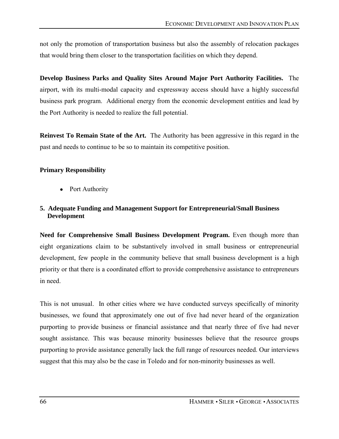not only the promotion of transportation business but also the assembly of relocation packages that would bring them closer to the transportation facilities on which they depend.

**Develop Business Parks and Quality Sites Around Major Port Authority Facilities.** The airport, with its multi-modal capacity and expressway access should have a highly successful business park program. Additional energy from the economic development entities and lead by the Port Authority is needed to realize the full potential.

**Reinvest To Remain State of the Art.** The Authority has been aggressive in this regard in the past and needs to continue to be so to maintain its competitive position.

# **Primary Responsibility**

• Port Authority

# **5. Adequate Funding and Management Support for Entrepreneurial/Small Business Development**

**Need for Comprehensive Small Business Development Program.** Even though more than eight organizations claim to be substantively involved in small business or entrepreneurial development, few people in the community believe that small business development is a high priority or that there is a coordinated effort to provide comprehensive assistance to entrepreneurs in need.

This is not unusual. In other cities where we have conducted surveys specifically of minority businesses, we found that approximately one out of five had never heard of the organization purporting to provide business or financial assistance and that nearly three of five had never sought assistance. This was because minority businesses believe that the resource groups purporting to provide assistance generally lack the full range of resources needed. Our interviews suggest that this may also be the case in Toledo and for non-minority businesses as well.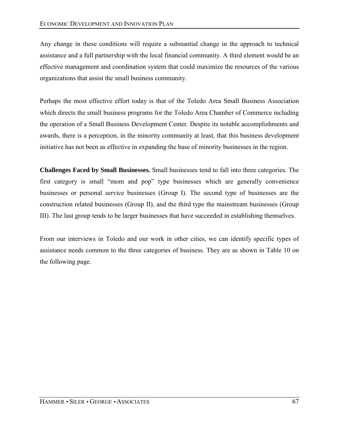Any change in these conditions will require a substantial change in the approach to technical assistance and a full partnership with the local financial community. A third element would be an effective management and coordination system that could maximize the resources of the various organizations that assist the small business community.

Perhaps the most effective effort today is that of the Toledo Area Small Business Association which directs the small business programs for the Toledo Area Chamber of Commerce including the operation of a Small Business Development Center. Despite its notable accomplishments and awards, there is a perception, in the minority community at least, that this business development initiative has not been as effective in expanding the base of minority businesses in the region.

**Challenges Faced by Small Businesses.** Small businesses tend to fall into three categories. The first category is small "mom and pop" type businesses which are generally convenience businesses or personal service businesses (Group I). The second type of businesses are the construction related businesses (Group II), and the third type the mainstream businesses (Group III). The last group tends to be larger businesses that have succeeded in establishing themselves.

From our interviews in Toledo and our work in other cities, we can identify specific types of assistance needs common to the three categories of business. They are as shown in Table 10 on the following page.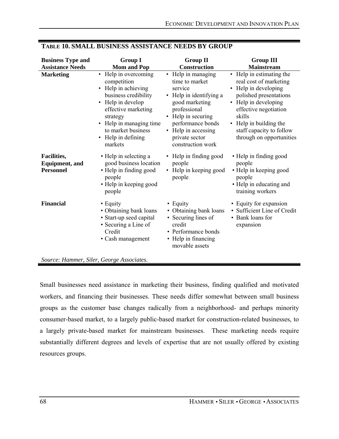| <b>Business Type and</b><br><b>Assistance Needs</b>       | <b>Group I</b><br><b>Mom and Pop</b>                                                                                                                                                                                         | <b>Group II</b><br>Construction                                                                                                                                                                                       | <b>Group III</b><br><b>Mainstream</b>                                                                                                                                                                                                             |
|-----------------------------------------------------------|------------------------------------------------------------------------------------------------------------------------------------------------------------------------------------------------------------------------------|-----------------------------------------------------------------------------------------------------------------------------------------------------------------------------------------------------------------------|---------------------------------------------------------------------------------------------------------------------------------------------------------------------------------------------------------------------------------------------------|
| <b>Marketing</b>                                          | • Help in overcoming<br>competition<br>• Help in achieving<br>business credibility<br>• Help in develop<br>effective marketing<br>strategy<br>• Help in managing time<br>to market business<br>• Help in defining<br>markets | • Help in managing<br>time to market<br>service<br>• Help in identifying a<br>good marketing<br>professional<br>• Help in securing<br>performance bonds<br>• Help in accessing<br>private sector<br>construction work | • Help in estimating the<br>real cost of marketing<br>• Help in developing<br>polished presentations<br>• Help in developing<br>effective negotiation<br>skills<br>• Help in building the<br>staff capacity to follow<br>through on opportunities |
| Facilities,<br><b>Equipment</b> , and<br><b>Personnel</b> | • Help in selecting a<br>good business location<br>• Help in finding good<br>people<br>• Help in keeping good<br>people                                                                                                      | • Help in finding good<br>people<br>• Help in keeping good<br>people                                                                                                                                                  | • Help in finding good<br>people<br>• Help in keeping good<br>people<br>• Help in educating and<br>training workers                                                                                                                               |
| <b>Financial</b>                                          | • Equity<br>• Obtaining bank loans<br>• Start-up seed capital<br>• Securing a Line of<br>Credit<br>• Cash management                                                                                                         | • Equity<br>• Obtaining bank loans<br>• Securing lines of<br>credit<br>• Performance bonds<br>• Help in financing<br>movable assets                                                                                   | • Equity for expansion<br>• Sufficient Line of Credit<br>• Bank loans for<br>expansion                                                                                                                                                            |

# **TABLE 10. SMALL BUSINESS ASSISTANCE NEEDS BY GROUP**

*Source: Hammer, Siler, George Associates.*

Small businesses need assistance in marketing their business, finding qualified and motivated workers, and financing their businesses. These needs differ somewhat between small business groups as the customer base changes radically from a neighborhood- and perhaps minority consumer-based market, to a largely public-based market for construction-related businesses, to a largely private-based market for mainstream businesses. These marketing needs require substantially different degrees and levels of expertise that are not usually offered by existing resources groups.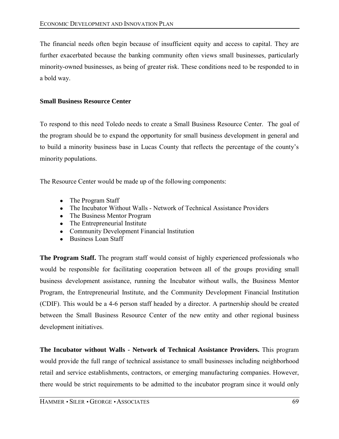The financial needs often begin because of insufficient equity and access to capital. They are further exacerbated because the banking community often views small businesses, particularly minority-owned businesses, as being of greater risk. These conditions need to be responded to in a bold way.

# **Small Business Resource Center**

To respond to this need Toledo needs to create a Small Business Resource Center. The goal of the program should be to expand the opportunity for small business development in general and to build a minority business base in Lucas County that reflects the percentage of the countyís minority populations.

The Resource Center would be made up of the following components:

- The Program Staff
- The Incubator Without Walls Network of Technical Assistance Providers
- The Business Mentor Program
- The Entrepreneurial Institute
- Community Development Financial Institution
- Business Loan Staff

**The Program Staff.** The program staff would consist of highly experienced professionals who would be responsible for facilitating cooperation between all of the groups providing small business development assistance, running the Incubator without walls, the Business Mentor Program, the Entrepreneurial Institute, and the Community Development Financial Institution (CDIF). This would be a 4-6 person staff headed by a director. A partnership should be created between the Small Business Resource Center of the new entity and other regional business development initiatives.

**The Incubator without Walls - Network of Technical Assistance Providers.** This program would provide the full range of technical assistance to small businesses including neighborhood retail and service establishments, contractors, or emerging manufacturing companies. However, there would be strict requirements to be admitted to the incubator program since it would only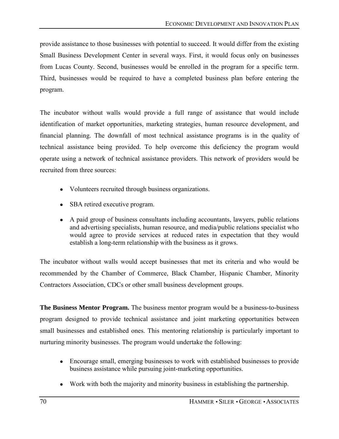provide assistance to those businesses with potential to succeed. It would differ from the existing Small Business Development Center in several ways. First, it would focus only on businesses from Lucas County. Second, businesses would be enrolled in the program for a specific term. Third, businesses would be required to have a completed business plan before entering the program.

The incubator without walls would provide a full range of assistance that would include identification of market opportunities, marketing strategies, human resource development, and financial planning. The downfall of most technical assistance programs is in the quality of technical assistance being provided. To help overcome this deficiency the program would operate using a network of technical assistance providers. This network of providers would be recruited from three sources:

- Volunteers recruited through business organizations.
- SBA retired executive program.
- A paid group of business consultants including accountants, lawyers, public relations and advertising specialists, human resource, and media/public relations specialist who would agree to provide services at reduced rates in expectation that they would establish a long-term relationship with the business as it grows.

The incubator without walls would accept businesses that met its criteria and who would be recommended by the Chamber of Commerce, Black Chamber, Hispanic Chamber, Minority Contractors Association, CDCs or other small business development groups.

**The Business Mentor Program.** The business mentor program would be a business-to-business program designed to provide technical assistance and joint marketing opportunities between small businesses and established ones. This mentoring relationship is particularly important to nurturing minority businesses. The program would undertake the following:

- Encourage small, emerging businesses to work with established businesses to provide business assistance while pursuing joint-marketing opportunities.
- Work with both the majority and minority business in establishing the partnership.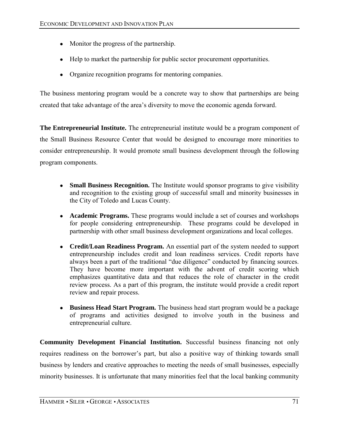- Monitor the progress of the partnership.
- Help to market the partnership for public sector procurement opportunities.
- Organize recognition programs for mentoring companies.

The business mentoring program would be a concrete way to show that partnerships are being created that take advantage of the areaís diversity to move the economic agenda forward.

**The Entrepreneurial Institute.** The entrepreneurial institute would be a program component of the Small Business Resource Center that would be designed to encourage more minorities to consider entrepreneurship. It would promote small business development through the following program components.

- **Small Business Recognition.** The Institute would sponsor programs to give visibility and recognition to the existing group of successful small and minority businesses in the City of Toledo and Lucas County.
- **Academic Programs.** These programs would include a set of courses and workshops for people considering entrepreneurship. These programs could be developed in partnership with other small business development organizations and local colleges.
- **Credit/Loan Readiness Program.** An essential part of the system needed to support entrepreneurship includes credit and loan readiness services. Credit reports have always been a part of the traditional "due diligence" conducted by financing sources. They have become more important with the advent of credit scoring which emphasizes quantitative data and that reduces the role of character in the credit review process. As a part of this program, the institute would provide a credit report review and repair process.
- **Business Head Start Program.** The business head start program would be a package of programs and activities designed to involve youth in the business and entrepreneurial culture.

**Community Development Financial Institution.** Successful business financing not only requires readiness on the borrower's part, but also a positive way of thinking towards small business by lenders and creative approaches to meeting the needs of small businesses, especially minority businesses. It is unfortunate that many minorities feel that the local banking community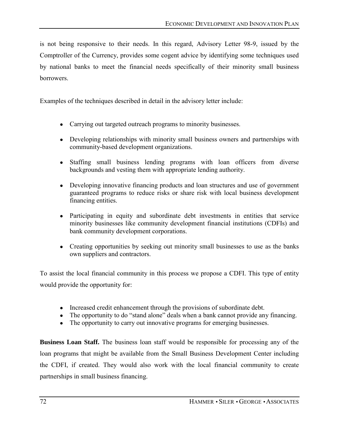is not being responsive to their needs. In this regard, Advisory Letter 98-9, issued by the Comptroller of the Currency, provides some cogent advice by identifying some techniques used by national banks to meet the financial needs specifically of their minority small business **borrowers** 

Examples of the techniques described in detail in the advisory letter include:

- Carrying out targeted outreach programs to minority businesses.
- Developing relationships with minority small business owners and partnerships with community-based development organizations.
- Staffing small business lending programs with loan officers from diverse backgrounds and vesting them with appropriate lending authority.
- Developing innovative financing products and loan structures and use of government guaranteed programs to reduce risks or share risk with local business development financing entities.
- Participating in equity and subordinate debt investments in entities that service minority businesses like community development financial institutions (CDFIs) and bank community development corporations.
- Creating opportunities by seeking out minority small businesses to use as the banks own suppliers and contractors.

To assist the local financial community in this process we propose a CDFI. This type of entity would provide the opportunity for:

- Increased credit enhancement through the provisions of subordinate debt.
- The opportunity to do "stand alone" deals when a bank cannot provide any financing.
- The opportunity to carry out innovative programs for emerging businesses.

**Business Loan Staff.** The business loan staff would be responsible for processing any of the loan programs that might be available from the Small Business Development Center including the CDFI, if created. They would also work with the local financial community to create partnerships in small business financing.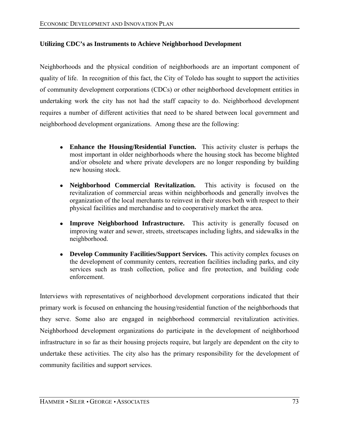# **Utilizing CDC's as Instruments to Achieve Neighborhood Development**

Neighborhoods and the physical condition of neighborhoods are an important component of quality of life. In recognition of this fact, the City of Toledo has sought to support the activities of community development corporations (CDCs) or other neighborhood development entities in undertaking work the city has not had the staff capacity to do. Neighborhood development requires a number of different activities that need to be shared between local government and neighborhood development organizations. Among these are the following:

- **Enhance the Housing/Residential Function.** This activity cluster is perhaps the most important in older neighborhoods where the housing stock has become blighted and/or obsolete and where private developers are no longer responding by building new housing stock.
- **Neighborhood Commercial Revitalization.** This activity is focused on the revitalization of commercial areas within neighborhoods and generally involves the organization of the local merchants to reinvest in their stores both with respect to their physical facilities and merchandise and to cooperatively market the area.
- **Improve Neighborhood Infrastructure.** This activity is generally focused on improving water and sewer, streets, streetscapes including lights, and sidewalks in the neighborhood.
- **Develop Community Facilities/Support Services.** This activity complex focuses on the development of community centers, recreation facilities including parks, and city services such as trash collection, police and fire protection, and building code enforcement.

Interviews with representatives of neighborhood development corporations indicated that their primary work is focused on enhancing the housing/residential function of the neighborhoods that they serve. Some also are engaged in neighborhood commercial revitalization activities. Neighborhood development organizations do participate in the development of neighborhood infrastructure in so far as their housing projects require, but largely are dependent on the city to undertake these activities. The city also has the primary responsibility for the development of community facilities and support services.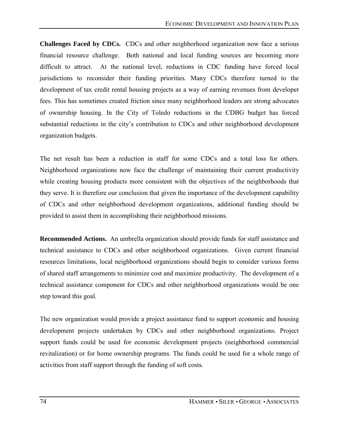**Challenges Faced by CDCs.** CDCs and other neighborhood organization now face a serious financial resource challenge. Both national and local funding sources are becoming more difficult to attract. At the national level, reductions in CDC funding have forced local jurisdictions to reconsider their funding priorities. Many CDCs therefore turned to the development of tax credit rental housing projects as a way of earning revenues from developer fees. This has sometimes created friction since many neighborhood leaders are strong advocates of ownership housing. In the City of Toledo reductions in the CDBG budget has forced substantial reductions in the city's contribution to CDCs and other neighborhood development organization budgets.

The net result has been a reduction in staff for some CDCs and a total loss for others. Neighborhood organizations now face the challenge of maintaining their current productivity while creating housing products more consistent with the objectives of the neighborhoods that they serve. It is therefore our conclusion that given the importance of the development capability of CDCs and other neighborhood development organizations, additional funding should be provided to assist them in accomplishing their neighborhood missions.

**Recommended Actions.** An umbrella organization should provide funds for staff assistance and technical assistance to CDCs and other neighborhood organizations. Given current financial resources limitations, local neighborhood organizations should begin to consider various forms of shared staff arrangements to minimize cost and maximize productivity. The development of a technical assistance component for CDCs and other neighborhood organizations would be one step toward this goal.

The new organization would provide a project assistance fund to support economic and housing development projects undertaken by CDCs and other neighborhood organizations. Project support funds could be used for economic development projects (neighborhood commercial revitalization) or for home ownership programs. The funds could be used for a whole range of activities from staff support through the funding of soft costs.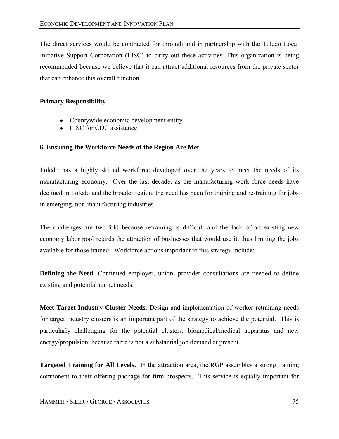The direct services would be contracted for through and in partnership with the Toledo Local Initiative Support Corporation (LISC) to carry out these activities. This organization is being recommended because we believe that it can attract additional resources from the private sector that can enhance this overall function.

# **Primary Responsibility**

- Countywide economic development entity
- LISC for CDC assistance

# **6. Ensuring the Workforce Needs of the Region Are Met**

Toledo has a highly skilled workforce developed over the years to meet the needs of its manufacturing economy. Over the last decade, as the manufacturing work force needs have declined in Toledo and the broader region, the need has been for training and re-training for jobs in emerging, non-manufacturing industries.

The challenges are two-fold because retraining is difficult and the lack of an existing new economy labor pool retards the attraction of businesses that would use it, thus limiting the jobs available for those trained. Workforce actions important to this strategy include:

**Defining the Need.** Continued employer, union, provider consultations are needed to define existing and potential unmet needs.

**Meet Target Industry Cluster Needs.** Design and implementation of worker retraining needs for target industry clusters is an important part of the strategy to achieve the potential. This is particularly challenging for the potential clusters, biomedical/medical apparatus and new energy/propulsion, because there is not a substantial job demand at present.

**Targeted Training for All Levels.** In the attraction area, the RGP assembles a strong training component to their offering package for firm prospects. This service is equally important for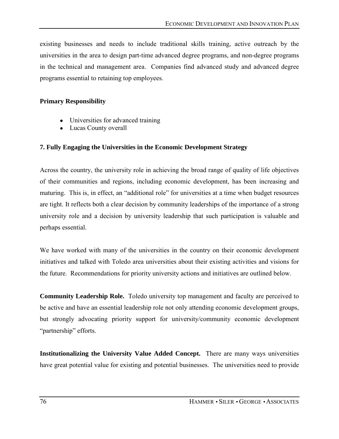existing businesses and needs to include traditional skills training, active outreach by the universities in the area to design part-time advanced degree programs, and non-degree programs in the technical and management area. Companies find advanced study and advanced degree programs essential to retaining top employees.

### **Primary Responsibility**

- Universities for advanced training
- Lucas County overall

# **7. Fully Engaging the Universities in the Economic Development Strategy**

Across the country, the university role in achieving the broad range of quality of life objectives of their communities and regions, including economic development, has been increasing and maturing. This is, in effect, an "additional role" for universities at a time when budget resources are tight. It reflects both a clear decision by community leaderships of the importance of a strong university role and a decision by university leadership that such participation is valuable and perhaps essential.

We have worked with many of the universities in the country on their economic development initiatives and talked with Toledo area universities about their existing activities and visions for the future. Recommendations for priority university actions and initiatives are outlined below.

**Community Leadership Role.** Toledo university top management and faculty are perceived to be active and have an essential leadership role not only attending economic development groups, but strongly advocating priority support for university/community economic development "partnership" efforts.

**Institutionalizing the University Value Added Concept.** There are many ways universities have great potential value for existing and potential businesses. The universities need to provide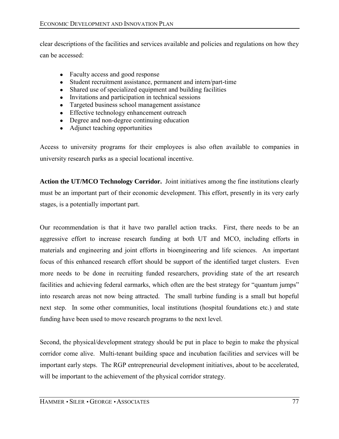clear descriptions of the facilities and services available and policies and regulations on how they can be accessed:

- Faculty access and good response
- Student recruitment assistance, permanent and intern/part-time
- Shared use of specialized equipment and building facilities
- Invitations and participation in technical sessions
- Targeted business school management assistance
- Effective technology enhancement outreach
- Degree and non-degree continuing education
- Adjunct teaching opportunities

Access to university programs for their employees is also often available to companies in university research parks as a special locational incentive.

**Action the UT/MCO Technology Corridor.** Joint initiatives among the fine institutions clearly must be an important part of their economic development. This effort, presently in its very early stages, is a potentially important part.

Our recommendation is that it have two parallel action tracks. First, there needs to be an aggressive effort to increase research funding at both UT and MCO, including efforts in materials and engineering and joint efforts in bioengineering and life sciences. An important focus of this enhanced research effort should be support of the identified target clusters. Even more needs to be done in recruiting funded researchers, providing state of the art research facilities and achieving federal earmarks, which often are the best strategy for "quantum jumps" into research areas not now being attracted. The small turbine funding is a small but hopeful next step. In some other communities, local institutions (hospital foundations etc.) and state funding have been used to move research programs to the next level.

Second, the physical/development strategy should be put in place to begin to make the physical corridor come alive. Multi-tenant building space and incubation facilities and services will be important early steps. The RGP entrepreneurial development initiatives, about to be accelerated, will be important to the achievement of the physical corridor strategy.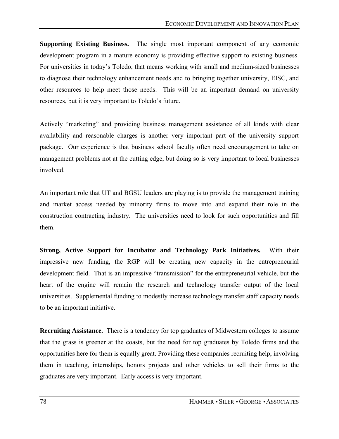**Supporting Existing Business.** The single most important component of any economic development program in a mature economy is providing effective support to existing business. For universities in today's Toledo, that means working with small and medium-sized businesses to diagnose their technology enhancement needs and to bringing together university, EISC, and other resources to help meet those needs. This will be an important demand on university resources, but it is very important to Toledo's future.

Actively "marketing" and providing business management assistance of all kinds with clear availability and reasonable charges is another very important part of the university support package. Our experience is that business school faculty often need encouragement to take on management problems not at the cutting edge, but doing so is very important to local businesses involved.

An important role that UT and BGSU leaders are playing is to provide the management training and market access needed by minority firms to move into and expand their role in the construction contracting industry. The universities need to look for such opportunities and fill them.

**Strong, Active Support for Incubator and Technology Park Initiatives.** With their impressive new funding, the RGP will be creating new capacity in the entrepreneurial development field. That is an impressive "transmission" for the entrepreneurial vehicle, but the heart of the engine will remain the research and technology transfer output of the local universities. Supplemental funding to modestly increase technology transfer staff capacity needs to be an important initiative.

**Recruiting Assistance.** There is a tendency for top graduates of Midwestern colleges to assume that the grass is greener at the coasts, but the need for top graduates by Toledo firms and the opportunities here for them is equally great. Providing these companies recruiting help, involving them in teaching, internships, honors projects and other vehicles to sell their firms to the graduates are very important. Early access is very important.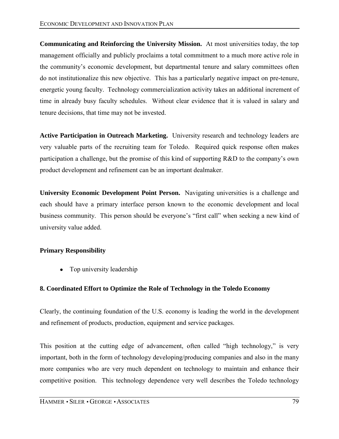**Communicating and Reinforcing the University Mission.** At most universities today, the top management officially and publicly proclaims a total commitment to a much more active role in the community's economic development, but departmental tenure and salary committees often do not institutionalize this new objective. This has a particularly negative impact on pre-tenure, energetic young faculty. Technology commercialization activity takes an additional increment of time in already busy faculty schedules. Without clear evidence that it is valued in salary and tenure decisions, that time may not be invested.

**Active Participation in Outreach Marketing.** University research and technology leaders are very valuable parts of the recruiting team for Toledo. Required quick response often makes participation a challenge, but the promise of this kind of supporting  $R&D$  to the company's own product development and refinement can be an important dealmaker.

**University Economic Development Point Person.** Navigating universities is a challenge and each should have a primary interface person known to the economic development and local business community. This person should be everyone's "first call" when seeking a new kind of university value added.

### **Primary Responsibility**

• Top university leadership

### **8. Coordinated Effort to Optimize the Role of Technology in the Toledo Economy**

Clearly, the continuing foundation of the U.S. economy is leading the world in the development and refinement of products, production, equipment and service packages.

This position at the cutting edge of advancement, often called "high technology," is very important, both in the form of technology developing/producing companies and also in the many more companies who are very much dependent on technology to maintain and enhance their competitive position. This technology dependence very well describes the Toledo technology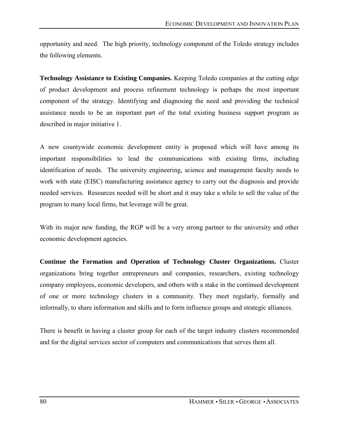opportunity and need. The high priority, technology component of the Toledo strategy includes the following elements.

**Technology Assistance to Existing Companies.** Keeping Toledo companies at the cutting edge of product development and process refinement technology is perhaps the most important component of the strategy. Identifying and diagnosing the need and providing the technical assistance needs to be an important part of the total existing business support program as described in major initiative 1.

A new countywide economic development entity is proposed which will have among its important responsibilities to lead the communications with existing firms, including identification of needs. The university engineering, science and management faculty needs to work with state (EISC) manufacturing assistance agency to carry out the diagnosis and provide needed services. Resources needed will be short and it may take a while to sell the value of the program to many local firms, but leverage will be great.

With its major new funding, the RGP will be a very strong partner to the university and other economic development agencies.

**Continue the Formation and Operation of Technology Cluster Organizations.** Cluster organizations bring together entrepreneurs and companies, researchers, existing technology company employees, economic developers, and others with a stake in the continued development of one or more technology clusters in a community. They meet regularly, formally and informally, to share information and skills and to form influence groups and strategic alliances.

There is benefit in having a cluster group for each of the target industry clusters recommended and for the digital services sector of computers and communications that serves them all.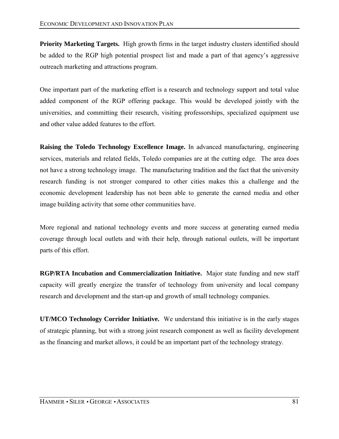**Priority Marketing Targets.** High growth firms in the target industry clusters identified should be added to the RGP high potential prospect list and made a part of that agency's aggressive outreach marketing and attractions program.

One important part of the marketing effort is a research and technology support and total value added component of the RGP offering package. This would be developed jointly with the universities, and committing their research, visiting professorships, specialized equipment use and other value added features to the effort.

**Raising the Toledo Technology Excellence Image.** In advanced manufacturing, engineering services, materials and related fields, Toledo companies are at the cutting edge. The area does not have a strong technology image. The manufacturing tradition and the fact that the university research funding is not stronger compared to other cities makes this a challenge and the economic development leadership has not been able to generate the earned media and other image building activity that some other communities have.

More regional and national technology events and more success at generating earned media coverage through local outlets and with their help, through national outlets, will be important parts of this effort.

**RGP/RTA Incubation and Commercialization Initiative.** Major state funding and new staff capacity will greatly energize the transfer of technology from university and local company research and development and the start-up and growth of small technology companies.

**UT/MCO Technology Corridor Initiative.** We understand this initiative is in the early stages of strategic planning, but with a strong joint research component as well as facility development as the financing and market allows, it could be an important part of the technology strategy.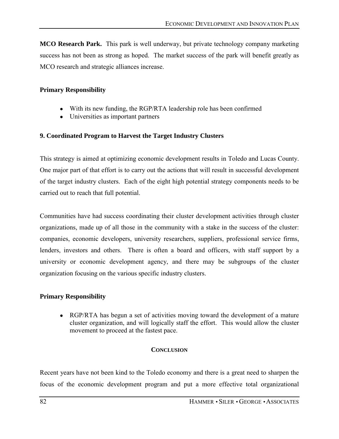**MCO Research Park.** This park is well underway, but private technology company marketing success has not been as strong as hoped. The market success of the park will benefit greatly as MCO research and strategic alliances increase.

### **Primary Responsibility**

- With its new funding, the RGP/RTA leadership role has been confirmed
- Universities as important partners

### **9. Coordinated Program to Harvest the Target Industry Clusters**

This strategy is aimed at optimizing economic development results in Toledo and Lucas County. One major part of that effort is to carry out the actions that will result in successful development of the target industry clusters. Each of the eight high potential strategy components needs to be carried out to reach that full potential.

Communities have had success coordinating their cluster development activities through cluster organizations, made up of all those in the community with a stake in the success of the cluster: companies, economic developers, university researchers, suppliers, professional service firms, lenders, investors and others. There is often a board and officers, with staff support by a university or economic development agency, and there may be subgroups of the cluster organization focusing on the various specific industry clusters.

### **Primary Responsibility**

• RGP/RTA has begun a set of activities moving toward the development of a mature cluster organization, and will logically staff the effort. This would allow the cluster movement to proceed at the fastest pace.

#### **CONCLUSION**

Recent years have not been kind to the Toledo economy and there is a great need to sharpen the focus of the economic development program and put a more effective total organizational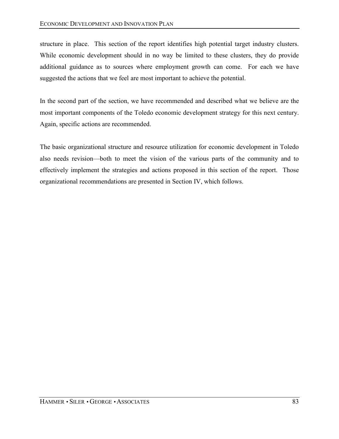structure in place. This section of the report identifies high potential target industry clusters. While economic development should in no way be limited to these clusters, they do provide additional guidance as to sources where employment growth can come. For each we have suggested the actions that we feel are most important to achieve the potential.

In the second part of the section, we have recommended and described what we believe are the most important components of the Toledo economic development strategy for this next century. Again, specific actions are recommended.

The basic organizational structure and resource utilization for economic development in Toledo also needs revision—both to meet the vision of the various parts of the community and to effectively implement the strategies and actions proposed in this section of the report. Those organizational recommendations are presented in Section IV, which follows.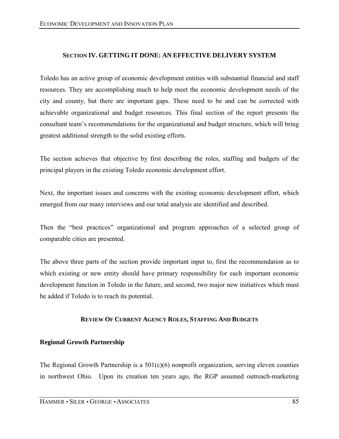# **SECTION IV. GETTING IT DONE: AN EFFECTIVE DELIVERY SYSTEM**

Toledo has an active group of economic development entities with substantial financial and staff resources. They are accomplishing much to help meet the economic development needs of the city and county, but there are important gaps. These need to be and can be corrected with achievable organizational and budget resources. This final section of the report presents the consultant teamís recommendations for the organizational and budget structure, which will bring greatest additional strength to the solid existing efforts.

The section achieves that objective by first describing the roles, staffing and budgets of the principal players in the existing Toledo economic development effort.

Next, the important issues and concerns with the existing economic development effort, which emerged from our many interviews and our total analysis are identified and described.

Then the "best practices" organizational and program approaches of a selected group of comparable cities are presented.

The above three parts of the section provide important input to, first the recommendation as to which existing or new entity should have primary responsibility for each important economic development function in Toledo in the future, and second, two major new initiatives which must be added if Toledo is to reach its potential.

#### **REVIEW OF CURRENT AGENCY ROLES, STAFFING AND BUDGETS**

### **Regional Growth Partnership**

The Regional Growth Partnership is a  $501(c)(6)$  nonprofit organization, serving eleven counties in northwest Ohio. Upon its creation ten years ago, the RGP assumed outreach-marketing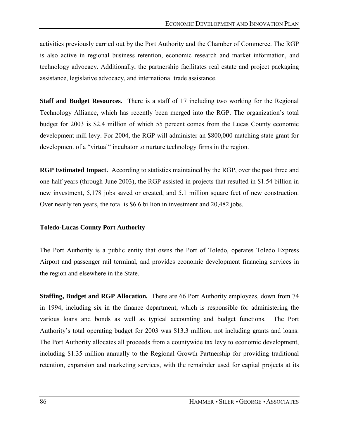activities previously carried out by the Port Authority and the Chamber of Commerce. The RGP is also active in regional business retention, economic research and market information, and technology advocacy. Additionally, the partnership facilitates real estate and project packaging assistance, legislative advocacy, and international trade assistance.

**Staff and Budget Resources.** There is a staff of 17 including two working for the Regional Technology Alliance, which has recently been merged into the RGP. The organization's total budget for 2003 is \$2.4 million of which 55 percent comes from the Lucas County economic development mill levy. For 2004, the RGP will administer an \$800,000 matching state grant for development of a "virtual" incubator to nurture technology firms in the region.

**RGP Estimated Impact.** According to statistics maintained by the RGP, over the past three and one-half years (through June 2003), the RGP assisted in projects that resulted in \$1.54 billion in new investment, 5,178 jobs saved or created, and 5.1 million square feet of new construction. Over nearly ten years, the total is \$6.6 billion in investment and 20,482 jobs.

#### **Toledo-Lucas County Port Authority**

The Port Authority is a public entity that owns the Port of Toledo, operates Toledo Express Airport and passenger rail terminal, and provides economic development financing services in the region and elsewhere in the State.

**Staffing, Budget and RGP Allocation.** There are 66 Port Authority employees, down from 74 in 1994, including six in the finance department, which is responsible for administering the various loans and bonds as well as typical accounting and budget functions. The Port Authority's total operating budget for 2003 was \$13.3 million, not including grants and loans. The Port Authority allocates all proceeds from a countywide tax levy to economic development, including \$1.35 million annually to the Regional Growth Partnership for providing traditional retention, expansion and marketing services, with the remainder used for capital projects at its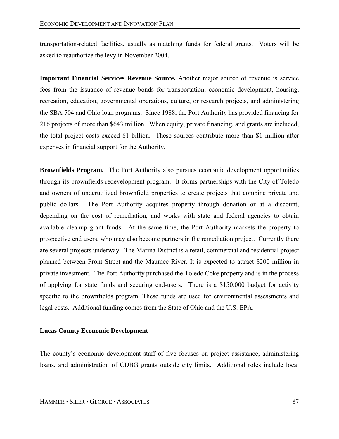transportation-related facilities, usually as matching funds for federal grants. Voters will be asked to reauthorize the levy in November 2004.

**Important Financial Services Revenue Source.** Another major source of revenue is service fees from the issuance of revenue bonds for transportation, economic development, housing, recreation, education, governmental operations, culture, or research projects, and administering the SBA 504 and Ohio loan programs. Since 1988, the Port Authority has provided financing for 216 projects of more than \$643 million. When equity, private financing, and grants are included, the total project costs exceed \$1 billion. These sources contribute more than \$1 million after expenses in financial support for the Authority.

**Brownfields Program.** The Port Authority also pursues economic development opportunities through its brownfields redevelopment program. It forms partnerships with the City of Toledo and owners of underutilized brownfield properties to create projects that combine private and public dollars. The Port Authority acquires property through donation or at a discount, depending on the cost of remediation, and works with state and federal agencies to obtain available cleanup grant funds. At the same time, the Port Authority markets the property to prospective end users, who may also become partners in the remediation project. Currently there are several projects underway. The Marina District is a retail, commercial and residential project planned between Front Street and the Maumee River. It is expected to attract \$200 million in private investment. The Port Authority purchased the Toledo Coke property and is in the process of applying for state funds and securing end-users. There is a \$150,000 budget for activity specific to the brownfields program. These funds are used for environmental assessments and legal costs. Additional funding comes from the State of Ohio and the U.S. EPA.

### **Lucas County Economic Development**

The county's economic development staff of five focuses on project assistance, administering loans, and administration of CDBG grants outside city limits. Additional roles include local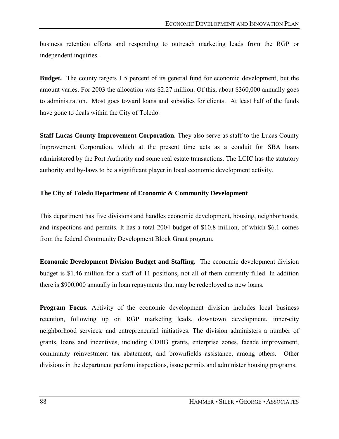business retention efforts and responding to outreach marketing leads from the RGP or independent inquiries.

**Budget.** The county targets 1.5 percent of its general fund for economic development, but the amount varies. For 2003 the allocation was \$2.27 million. Of this, about \$360,000 annually goes to administration. Most goes toward loans and subsidies for clients. At least half of the funds have gone to deals within the City of Toledo.

**Staff Lucas County Improvement Corporation.** They also serve as staff to the Lucas County Improvement Corporation, which at the present time acts as a conduit for SBA loans administered by the Port Authority and some real estate transactions. The LCIC has the statutory authority and by-laws to be a significant player in local economic development activity.

### **The City of Toledo Department of Economic & Community Development**

This department has five divisions and handles economic development, housing, neighborhoods, and inspections and permits. It has a total 2004 budget of \$10.8 million, of which \$6.1 comes from the federal Community Development Block Grant program.

**Economic Development Division Budget and Staffing.** The economic development division budget is \$1.46 million for a staff of 11 positions, not all of them currently filled. In addition there is \$900,000 annually in loan repayments that may be redeployed as new loans.

**Program Focus.** Activity of the economic development division includes local business retention, following up on RGP marketing leads, downtown development, inner-city neighborhood services, and entrepreneurial initiatives. The division administers a number of grants, loans and incentives, including CDBG grants, enterprise zones, facade improvement, community reinvestment tax abatement, and brownfields assistance, among others. Other divisions in the department perform inspections, issue permits and administer housing programs.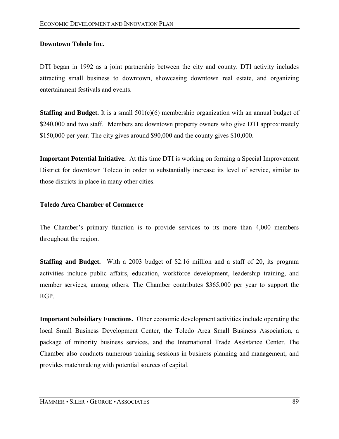## **Downtown Toledo Inc.**

DTI began in 1992 as a joint partnership between the city and county. DTI activity includes attracting small business to downtown, showcasing downtown real estate, and organizing entertainment festivals and events.

**Staffing and Budget.** It is a small 501(c)(6) membership organization with an annual budget of \$240,000 and two staff. Members are downtown property owners who give DTI approximately \$150,000 per year. The city gives around \$90,000 and the county gives \$10,000.

**Important Potential Initiative.** At this time DTI is working on forming a Special Improvement District for downtown Toledo in order to substantially increase its level of service, similar to those districts in place in many other cities.

## **Toledo Area Chamber of Commerce**

The Chamber's primary function is to provide services to its more than 4,000 members throughout the region.

**Staffing and Budget.** With a 2003 budget of \$2.16 million and a staff of 20, its program activities include public affairs, education, workforce development, leadership training, and member services, among others. The Chamber contributes \$365,000 per year to support the RGP.

**Important Subsidiary Functions.** Other economic development activities include operating the local Small Business Development Center, the Toledo Area Small Business Association, a package of minority business services, and the International Trade Assistance Center. The Chamber also conducts numerous training sessions in business planning and management, and provides matchmaking with potential sources of capital.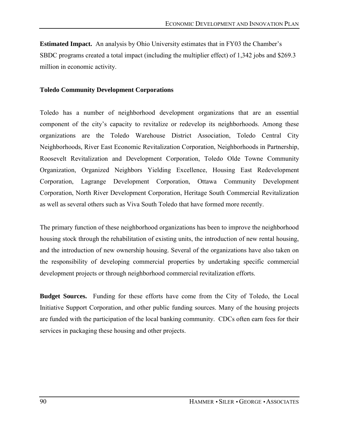**Estimated Impact.** An analysis by Ohio University estimates that in FY03 the Chamber's SBDC programs created a total impact (including the multiplier effect) of 1,342 jobs and \$269.3 million in economic activity.

#### **Toledo Community Development Corporations**

Toledo has a number of neighborhood development organizations that are an essential component of the city's capacity to revitalize or redevelop its neighborhoods. Among these organizations are the Toledo Warehouse District Association, Toledo Central City Neighborhoods, River East Economic Revitalization Corporation, Neighborhoods in Partnership, Roosevelt Revitalization and Development Corporation, Toledo Olde Towne Community Organization, Organized Neighbors Yielding Excellence, Housing East Redevelopment Corporation, Lagrange Development Corporation, Ottawa Community Development Corporation, North River Development Corporation, Heritage South Commercial Revitalization as well as several others such as Viva South Toledo that have formed more recently.

The primary function of these neighborhood organizations has been to improve the neighborhood housing stock through the rehabilitation of existing units, the introduction of new rental housing, and the introduction of new ownership housing. Several of the organizations have also taken on the responsibility of developing commercial properties by undertaking specific commercial development projects or through neighborhood commercial revitalization efforts.

**Budget Sources.** Funding for these efforts have come from the City of Toledo, the Local Initiative Support Corporation, and other public funding sources. Many of the housing projects are funded with the participation of the local banking community. CDCs often earn fees for their services in packaging these housing and other projects.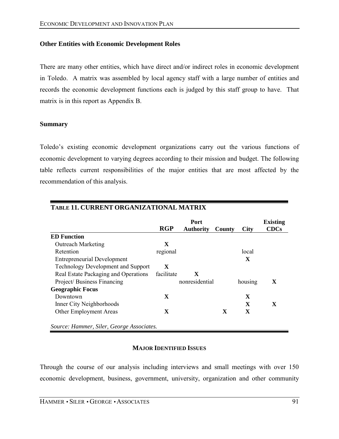### **Other Entities with Economic Development Roles**

There are many other entities, which have direct and/or indirect roles in economic development in Toledo. A matrix was assembled by local agency staff with a large number of entities and records the economic development functions each is judged by this staff group to have. That matrix is in this report as Appendix B.

#### **Summary**

Toledo's existing economic development organizations carry out the various functions of economic development to varying degrees according to their mission and budget. The following table reflects current responsibilities of the major entities that are most affected by the recommendation of this analysis.

|                                           |             | <b>Existing</b>  |              |              |             |
|-------------------------------------------|-------------|------------------|--------------|--------------|-------------|
|                                           | <b>RGP</b>  | <b>Authority</b> | County       | <b>City</b>  | <b>CDCs</b> |
| <b>ED</b> Function                        |             |                  |              |              |             |
| <b>Outreach Marketing</b>                 | X           |                  |              |              |             |
| Retention                                 | regional    |                  |              | local        |             |
| <b>Entrepreneurial Development</b>        |             |                  |              | X            |             |
| <b>Technology Development and Support</b> | $\mathbf X$ |                  |              |              |             |
| Real Estate Packaging and Operations      | facilitate  | X                |              |              |             |
| Project/Business Financing                |             | nonresidential   |              | housing      | X           |
| <b>Geographic Focus</b>                   |             |                  |              |              |             |
| Downtown                                  | $\mathbf X$ |                  |              | $\mathbf{X}$ |             |
| Inner City Neighborhoods                  |             |                  |              | $\mathbf X$  | X           |
| Other Employment Areas                    | $\mathbf X$ |                  | $\mathbf{x}$ | X            |             |

## **MAJOR IDENTIFIED ISSUES**

Through the course of our analysis including interviews and small meetings with over 150 economic development, business, government, university, organization and other community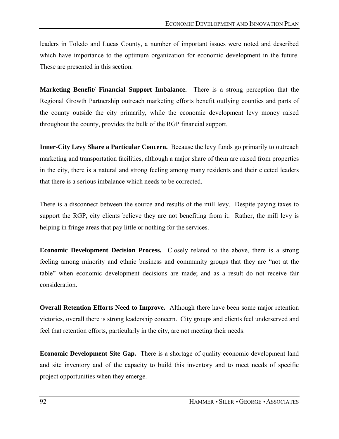leaders in Toledo and Lucas County, a number of important issues were noted and described which have importance to the optimum organization for economic development in the future. These are presented in this section.

**Marketing Benefit/ Financial Support Imbalance.** There is a strong perception that the Regional Growth Partnership outreach marketing efforts benefit outlying counties and parts of the county outside the city primarily, while the economic development levy money raised throughout the county, provides the bulk of the RGP financial support.

**Inner-City Levy Share a Particular Concern.** Because the levy funds go primarily to outreach marketing and transportation facilities, although a major share of them are raised from properties in the city, there is a natural and strong feeling among many residents and their elected leaders that there is a serious imbalance which needs to be corrected.

There is a disconnect between the source and results of the mill levy. Despite paying taxes to support the RGP, city clients believe they are not benefiting from it. Rather, the mill levy is helping in fringe areas that pay little or nothing for the services.

**Economic Development Decision Process.** Closely related to the above, there is a strong feeling among minority and ethnic business and community groups that they are "not at the tableî when economic development decisions are made; and as a result do not receive fair consideration.

**Overall Retention Efforts Need to Improve.** Although there have been some major retention victories, overall there is strong leadership concern. City groups and clients feel underserved and feel that retention efforts, particularly in the city, are not meeting their needs.

**Economic Development Site Gap.** There is a shortage of quality economic development land and site inventory and of the capacity to build this inventory and to meet needs of specific project opportunities when they emerge.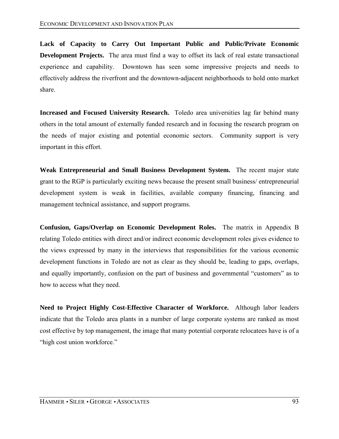**Lack of Capacity to Carry Out Important Public and Public/Private Economic Development Projects.** The area must find a way to offset its lack of real estate transactional experience and capability. Downtown has seen some impressive projects and needs to effectively address the riverfront and the downtown-adjacent neighborhoods to hold onto market share.

**Increased and Focused University Research.** Toledo area universities lag far behind many others in the total amount of externally funded research and in focusing the research program on the needs of major existing and potential economic sectors. Community support is very important in this effort.

**Weak Entrepreneurial and Small Business Development System.** The recent major state grant to the RGP is particularly exciting news because the present small business/ entrepreneurial development system is weak in facilities, available company financing, financing and management technical assistance, and support programs.

**Confusion, Gaps/Overlap on Economic Development Roles.** The matrix in Appendix B relating Toledo entities with direct and/or indirect economic development roles gives evidence to the views expressed by many in the interviews that responsibilities for the various economic development functions in Toledo are not as clear as they should be, leading to gaps, overlaps, and equally importantly, confusion on the part of business and governmental "customers" as to how to access what they need.

**Need to Project Highly Cost-Effective Character of Workforce.** Although labor leaders indicate that the Toledo area plants in a number of large corporate systems are ranked as most cost effective by top management, the image that many potential corporate relocatees have is of a "high cost union workforce."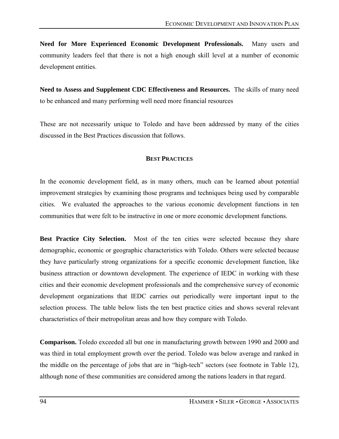**Need for More Experienced Economic Development Professionals.** Many users and community leaders feel that there is not a high enough skill level at a number of economic development entities.

**Need to Assess and Supplement CDC Effectiveness and Resources.** The skills of many need to be enhanced and many performing well need more financial resources

These are not necessarily unique to Toledo and have been addressed by many of the cities discussed in the Best Practices discussion that follows.

#### **BEST PRACTICES**

In the economic development field, as in many others, much can be learned about potential improvement strategies by examining those programs and techniques being used by comparable cities. We evaluated the approaches to the various economic development functions in ten communities that were felt to be instructive in one or more economic development functions.

**Best Practice City Selection.** Most of the ten cities were selected because they share demographic, economic or geographic characteristics with Toledo. Others were selected because they have particularly strong organizations for a specific economic development function, like business attraction or downtown development. The experience of IEDC in working with these cities and their economic development professionals and the comprehensive survey of economic development organizations that IEDC carries out periodically were important input to the selection process. The table below lists the ten best practice cities and shows several relevant characteristics of their metropolitan areas and how they compare with Toledo.

**Comparison.** Toledo exceeded all but one in manufacturing growth between 1990 and 2000 and was third in total employment growth over the period. Toledo was below average and ranked in the middle on the percentage of jobs that are in "high-tech" sectors (see footnote in Table 12), although none of these communities are considered among the nations leaders in that regard.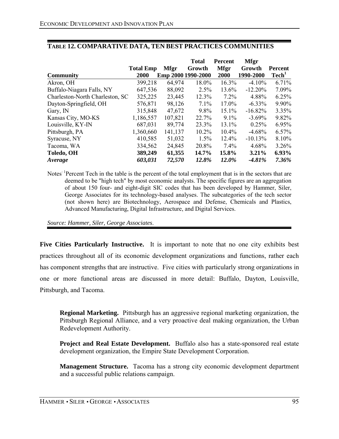|                                 |                  |                    | <b>Total</b> | <b>Percent</b> | <b>Mfgr</b> |                   |
|---------------------------------|------------------|--------------------|--------------|----------------|-------------|-------------------|
|                                 | <b>Total Emp</b> | <b>Mfgr</b>        | Growth       | <b>Mfgr</b>    | Growth      | <b>Percent</b>    |
| <b>Community</b>                | 2000             | Emp 2000 1990-2000 |              | 2000           | 1990-2000   | Tech <sup>1</sup> |
| Akron, OH                       | 399,218          | 64,974             | 18.0%        | 16.3%          | $-4.10%$    | 6.71%             |
| Buffalo-Niagara Falls, NY       | 647,536          | 88,092             | 2.5%         | 13.6%          | $-12.20%$   | 7.09%             |
| Charleston-North Charleston, SC | 325,225          | 23,445             | 12.3%        | $7.2\%$        | 4.88%       | 6.25%             |
| Dayton-Springfield, OH          | 576,871          | 98,126             | 7.1%         | 17.0%          | $-6.33\%$   | 9.90%             |
| Gary, IN                        | 315,848          | 47,672             | 9.8%         | 15.1%          | $-16.82%$   | 3.35%             |
| Kansas City, MO-KS              | 1,186,557        | 107,821            | 22.7%        | 9.1%           | $-3.69%$    | 9.82%             |
| Louisville, KY-IN               | 687,031          | 89,774             | 23.3%        | 13.1%          | 0.25%       | 6.95%             |
| Pittsburgh, PA                  | 1,360,660        | 141,137            | $10.2\%$     | 10.4%          | $-4.68%$    | 6.57%             |
| Syracuse, NY                    | 410,585          | 51,032             | 1.5%         | $12.4\%$       | $-10.13%$   | 8.10%             |
| Tacoma, WA                      | 334,562          | 24,845             | 20.8%        | 7.4%           | 4.68%       | $3.26\%$          |
| Toledo, OH                      | 389,249          | 61,355             | 14.7%        | 15.8%          | 3.21%       | $6.93\%$          |
| Average                         | 603,031          | 72,570             | 12.8%        | 12.0%          | $-4.81%$    | 7.36%             |

### **TABLE 12. COMPARATIVE DATA, TEN BEST PRACTICES COMMUNITIES**

Notes<sup>: 1</sup>Percent Tech in the table is the percent of the total employment that is in the sectors that are deemed to be "high tech" by most economic analysts. The specific figures are an aggregation of about 150 four- and eight-digit SIC codes that has been developed by Hammer, Siler, George Associates for its technology-based analyses. The subcategories of the tech sector (not shown here) are Biotechnology, Aerospace and Defense, Chemicals and Plastics, Advanced Manufacturing, Digital Infrastructure, and Digital Services.

*Source: Hammer, Siler, George Associates*.

**Five Cities Particularly Instructive.** It is important to note that no one city exhibits best practices throughout all of its economic development organizations and functions, rather each has component strengths that are instructive. Five cities with particularly strong organizations in one or more functional areas are discussed in more detail: Buffalo, Dayton, Louisville, Pittsburgh, and Tacoma.

**Regional Marketing.** Pittsburgh has an aggressive regional marketing organization, the Pittsburgh Regional Alliance, and a very proactive deal making organization, the Urban Redevelopment Authority.

**Project and Real Estate Development.** Buffalo also has a state-sponsored real estate development organization, the Empire State Development Corporation.

**Management Structure.** Tacoma has a strong city economic development department and a successful public relations campaign.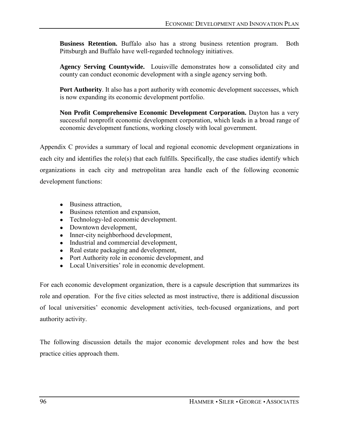**Business Retention.** Buffalo also has a strong business retention program. Both Pittsburgh and Buffalo have well-regarded technology initiatives.

**Agency Serving Countywide.** Louisville demonstrates how a consolidated city and county can conduct economic development with a single agency serving both.

**Port Authority**. It also has a port authority with economic development successes, which is now expanding its economic development portfolio.

**Non Profit Comprehensive Economic Development Corporation.** Dayton has a very successful nonprofit economic development corporation, which leads in a broad range of economic development functions, working closely with local government.

Appendix C provides a summary of local and regional economic development organizations in each city and identifies the role(s) that each fulfills. Specifically, the case studies identify which organizations in each city and metropolitan area handle each of the following economic development functions:

- Business attraction,
- Business retention and expansion,
- Technology-led economic development.
- Downtown development,
- Inner-city neighborhood development,
- Industrial and commercial development,
- Real estate packaging and development,
- Port Authority role in economic development, and
- Local Universities' role in economic development.

For each economic development organization, there is a capsule description that summarizes its role and operation. For the five cities selected as most instructive, there is additional discussion of local universities' economic development activities, tech-focused organizations, and port authority activity.

The following discussion details the major economic development roles and how the best practice cities approach them.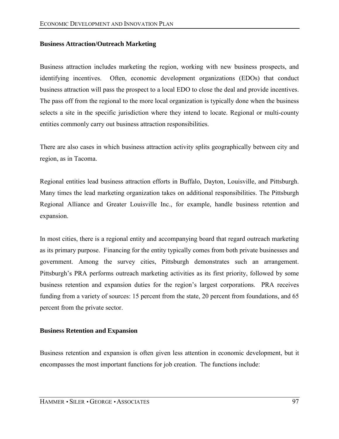## **Business Attraction/Outreach Marketing**

Business attraction includes marketing the region, working with new business prospects, and identifying incentives. Often, economic development organizations (EDOs) that conduct business attraction will pass the prospect to a local EDO to close the deal and provide incentives. The pass off from the regional to the more local organization is typically done when the business selects a site in the specific jurisdiction where they intend to locate. Regional or multi-county entities commonly carry out business attraction responsibilities.

There are also cases in which business attraction activity splits geographically between city and region, as in Tacoma.

Regional entities lead business attraction efforts in Buffalo, Dayton, Louisville, and Pittsburgh. Many times the lead marketing organization takes on additional responsibilities. The Pittsburgh Regional Alliance and Greater Louisville Inc., for example, handle business retention and expansion.

In most cities, there is a regional entity and accompanying board that regard outreach marketing as its primary purpose. Financing for the entity typically comes from both private businesses and government. Among the survey cities, Pittsburgh demonstrates such an arrangement. Pittsburgh's PRA performs outreach marketing activities as its first priority, followed by some business retention and expansion duties for the region's largest corporations. PRA receives funding from a variety of sources: 15 percent from the state, 20 percent from foundations, and 65 percent from the private sector.

#### **Business Retention and Expansion**

Business retention and expansion is often given less attention in economic development, but it encompasses the most important functions for job creation. The functions include: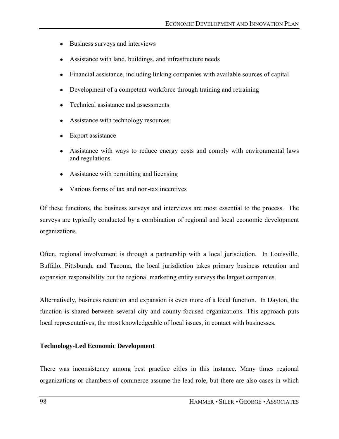- Business surveys and interviews
- Assistance with land, buildings, and infrastructure needs
- Financial assistance, including linking companies with available sources of capital
- Development of a competent workforce through training and retraining
- Technical assistance and assessments
- Assistance with technology resources
- Export assistance
- Assistance with ways to reduce energy costs and comply with environmental laws and regulations
- Assistance with permitting and licensing
- Various forms of tax and non-tax incentives

Of these functions, the business surveys and interviews are most essential to the process. The surveys are typically conducted by a combination of regional and local economic development organizations.

Often, regional involvement is through a partnership with a local jurisdiction. In Louisville, Buffalo, Pittsburgh, and Tacoma, the local jurisdiction takes primary business retention and expansion responsibility but the regional marketing entity surveys the largest companies.

Alternatively, business retention and expansion is even more of a local function. In Dayton, the function is shared between several city and county-focused organizations. This approach puts local representatives, the most knowledgeable of local issues, in contact with businesses.

## **Technology-Led Economic Development**

There was inconsistency among best practice cities in this instance. Many times regional organizations or chambers of commerce assume the lead role, but there are also cases in which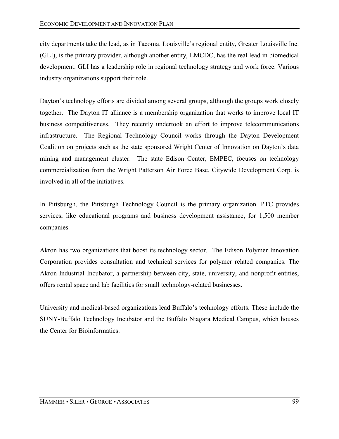city departments take the lead, as in Tacoma. Louisville's regional entity, Greater Louisville Inc. (GLI), is the primary provider, although another entity, LMCDC, has the real lead in biomedical development. GLI has a leadership role in regional technology strategy and work force. Various industry organizations support their role.

Dayton's technology efforts are divided among several groups, although the groups work closely together. The Dayton IT alliance is a membership organization that works to improve local IT business competitiveness. They recently undertook an effort to improve telecommunications infrastructure. The Regional Technology Council works through the Dayton Development Coalition on projects such as the state sponsored Wright Center of Innovation on Dayton's data mining and management cluster. The state Edison Center, EMPEC, focuses on technology commercialization from the Wright Patterson Air Force Base. Citywide Development Corp. is involved in all of the initiatives.

In Pittsburgh, the Pittsburgh Technology Council is the primary organization. PTC provides services, like educational programs and business development assistance, for 1,500 member companies.

Akron has two organizations that boost its technology sector. The Edison Polymer Innovation Corporation provides consultation and technical services for polymer related companies. The Akron Industrial Incubator, a partnership between city, state, university, and nonprofit entities, offers rental space and lab facilities for small technology-related businesses.

University and medical-based organizations lead Buffalo's technology efforts. These include the SUNY-Buffalo Technology Incubator and the Buffalo Niagara Medical Campus, which houses the Center for Bioinformatics.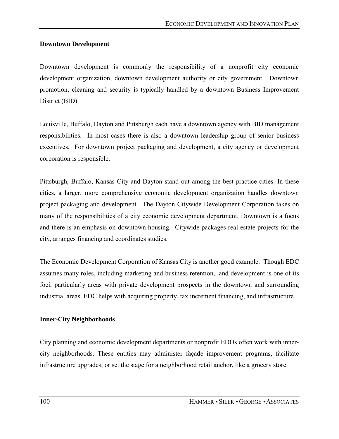## **Downtown Development**

Downtown development is commonly the responsibility of a nonprofit city economic development organization, downtown development authority or city government. Downtown promotion, cleaning and security is typically handled by a downtown Business Improvement District (BID).

Louisville, Buffalo, Dayton and Pittsburgh each have a downtown agency with BID management responsibilities. In most cases there is also a downtown leadership group of senior business executives. For downtown project packaging and development, a city agency or development corporation is responsible.

Pittsburgh, Buffalo, Kansas City and Dayton stand out among the best practice cities. In these cities, a larger, more comprehensive economic development organization handles downtown project packaging and development. The Dayton Citywide Development Corporation takes on many of the responsibilities of a city economic development department. Downtown is a focus and there is an emphasis on downtown housing. Citywide packages real estate projects for the city, arranges financing and coordinates studies.

The Economic Development Corporation of Kansas City is another good example. Though EDC assumes many roles, including marketing and business retention, land development is one of its foci, particularly areas with private development prospects in the downtown and surrounding industrial areas. EDC helps with acquiring property, tax increment financing, and infrastructure.

## **Inner-City Neighborhoods**

City planning and economic development departments or nonprofit EDOs often work with innercity neighborhoods. These entities may administer façade improvement programs, facilitate infrastructure upgrades, or set the stage for a neighborhood retail anchor, like a grocery store.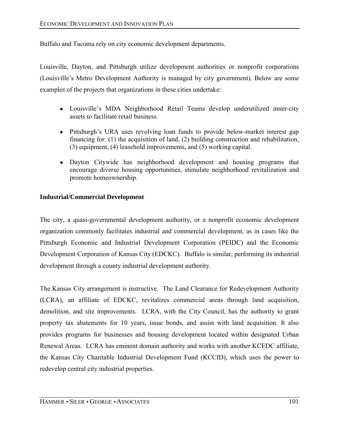Buffalo and Tacoma rely on city economic development departments.

Louisville, Dayton, and Pittsburgh utilize development authorities or nonprofit corporations (Louisville's Metro Development Authority is managed by city government). Below are some examples of the projects that organizations in these cities undertake:

- Louisville's MDA Neighborhood Retail Teams develop underutilized inner-city assets to facilitate retail business.
- Pittsburgh's URA uses revolving loan funds to provide below-market interest gap financing for: (1) the acquisition of land, (2) building construction and rehabilitation, (3) equipment, (4) leasehold improvements, and (5) working capital.
- Dayton Citywide has neighborhood development and housing programs that encourage diverse housing opportunities, stimulate neighborhood revitalization and promote homeownership.

## **Industrial/Commercial Development**

The city, a quasi-governmental development authority, or a nonprofit economic development organization commonly facilitates industrial and commercial development, as in cases like the Pittsburgh Economic and Industrial Development Corporation (PEIDC) and the Economic Development Corporation of Kansas City (EDCKC). Buffalo is similar, performing its industrial development through a county industrial development authority.

The Kansas City arrangement is instructive. The Land Clearance for Redevelopment Authority (LCRA), an affiliate of EDCKC, revitalizes commercial areas through land acquisition, demolition, and site improvements. LCRA, with the City Council, has the authority to grant property tax abatements for 10 years, issue bonds, and assist with land acquisition. It also provides programs for businesses and housing development located within designated Urban Renewal Areas. LCRA has eminent domain authority and works with another KCEDC affiliate, the Kansas City Charitable Industrial Development Fund (KCCID), which uses the power to redevelop central city industrial properties.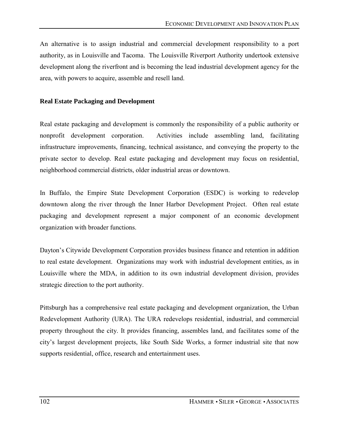An alternative is to assign industrial and commercial development responsibility to a port authority, as in Louisville and Tacoma. The Louisville Riverport Authority undertook extensive development along the riverfront and is becoming the lead industrial development agency for the area, with powers to acquire, assemble and resell land.

## **Real Estate Packaging and Development**

Real estate packaging and development is commonly the responsibility of a public authority or nonprofit development corporation. Activities include assembling land, facilitating infrastructure improvements, financing, technical assistance, and conveying the property to the private sector to develop. Real estate packaging and development may focus on residential, neighborhood commercial districts, older industrial areas or downtown.

In Buffalo, the Empire State Development Corporation (ESDC) is working to redevelop downtown along the river through the Inner Harbor Development Project. Often real estate packaging and development represent a major component of an economic development organization with broader functions.

Dayton's Citywide Development Corporation provides business finance and retention in addition to real estate development. Organizations may work with industrial development entities, as in Louisville where the MDA, in addition to its own industrial development division, provides strategic direction to the port authority.

Pittsburgh has a comprehensive real estate packaging and development organization, the Urban Redevelopment Authority (URA). The URA redevelops residential, industrial, and commercial property throughout the city. It provides financing, assembles land, and facilitates some of the cityís largest development projects, like South Side Works, a former industrial site that now supports residential, office, research and entertainment uses.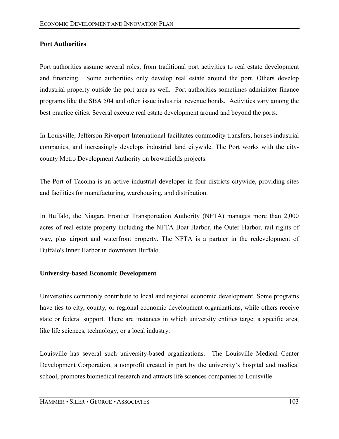## **Port Authorities**

Port authorities assume several roles, from traditional port activities to real estate development and financing. Some authorities only develop real estate around the port. Others develop industrial property outside the port area as well. Port authorities sometimes administer finance programs like the SBA 504 and often issue industrial revenue bonds. Activities vary among the best practice cities. Several execute real estate development around and beyond the ports.

In Louisville, Jefferson Riverport International facilitates commodity transfers, houses industrial companies, and increasingly develops industrial land citywide. The Port works with the citycounty Metro Development Authority on brownfields projects.

The Port of Tacoma is an active industrial developer in four districts citywide, providing sites and facilities for manufacturing, warehousing, and distribution.

In Buffalo, the Niagara Frontier Transportation Authority (NFTA) manages more than 2,000 acres of real estate property including the NFTA Boat Harbor, the Outer Harbor, rail rights of way, plus airport and waterfront property. The NFTA is a partner in the redevelopment of Buffalo's Inner Harbor in downtown Buffalo.

## **University-based Economic Development**

Universities commonly contribute to local and regional economic development. Some programs have ties to city, county, or regional economic development organizations, while others receive state or federal support. There are instances in which university entities target a specific area, like life sciences, technology, or a local industry.

Louisville has several such university-based organizations. The Louisville Medical Center Development Corporation, a nonprofit created in part by the university's hospital and medical school, promotes biomedical research and attracts life sciences companies to Louisville.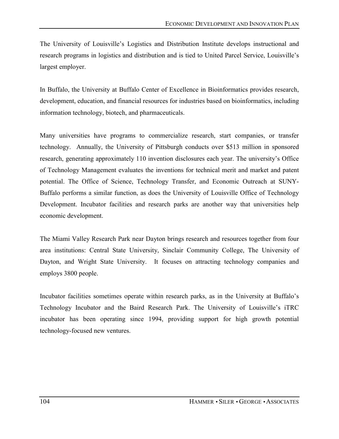The University of Louisville's Logistics and Distribution Institute develops instructional and research programs in logistics and distribution and is tied to United Parcel Service, Louisville's largest employer.

In Buffalo, the University at Buffalo Center of Excellence in Bioinformatics provides research, development, education, and financial resources for industries based on bioinformatics, including information technology, biotech, and pharmaceuticals.

Many universities have programs to commercialize research, start companies, or transfer technology. Annually, the University of Pittsburgh conducts over \$513 million in sponsored research, generating approximately 110 invention disclosures each year. The university's Office of Technology Management evaluates the inventions for technical merit and market and patent potential. The Office of Science, Technology Transfer, and Economic Outreach at SUNY-Buffalo performs a similar function, as does the University of Louisville Office of Technology Development. Incubator facilities and research parks are another way that universities help economic development.

The Miami Valley Research Park near Dayton brings research and resources together from four area institutions: Central State University, Sinclair Community College, The University of Dayton, and Wright State University. It focuses on attracting technology companies and employs 3800 people.

Incubator facilities sometimes operate within research parks, as in the University at Buffalo's Technology Incubator and the Baird Research Park. The University of Louisville's iTRC incubator has been operating since 1994, providing support for high growth potential technology-focused new ventures.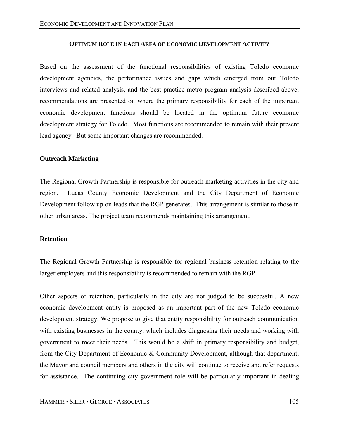#### **OPTIMUM ROLE IN EACH AREA OF ECONOMIC DEVELOPMENT ACTIVITY**

Based on the assessment of the functional responsibilities of existing Toledo economic development agencies, the performance issues and gaps which emerged from our Toledo interviews and related analysis, and the best practice metro program analysis described above, recommendations are presented on where the primary responsibility for each of the important economic development functions should be located in the optimum future economic development strategy for Toledo. Most functions are recommended to remain with their present lead agency. But some important changes are recommended.

#### **Outreach Marketing**

The Regional Growth Partnership is responsible for outreach marketing activities in the city and region. Lucas County Economic Development and the City Department of Economic Development follow up on leads that the RGP generates. This arrangement is similar to those in other urban areas. The project team recommends maintaining this arrangement.

#### **Retention**

The Regional Growth Partnership is responsible for regional business retention relating to the larger employers and this responsibility is recommended to remain with the RGP.

Other aspects of retention, particularly in the city are not judged to be successful. A new economic development entity is proposed as an important part of the new Toledo economic development strategy. We propose to give that entity responsibility for outreach communication with existing businesses in the county, which includes diagnosing their needs and working with government to meet their needs. This would be a shift in primary responsibility and budget, from the City Department of Economic & Community Development, although that department, the Mayor and council members and others in the city will continue to receive and refer requests for assistance. The continuing city government role will be particularly important in dealing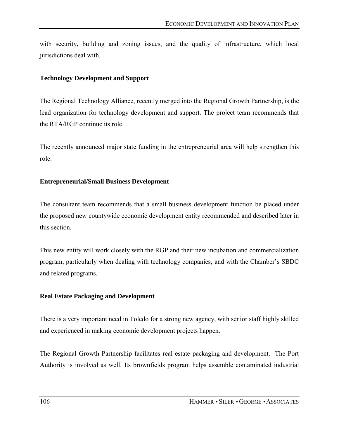with security, building and zoning issues, and the quality of infrastructure, which local jurisdictions deal with.

## **Technology Development and Support**

The Regional Technology Alliance, recently merged into the Regional Growth Partnership, is the lead organization for technology development and support. The project team recommends that the RTA/RGP continue its role.

The recently announced major state funding in the entrepreneurial area will help strengthen this role.

## **Entrepreneurial/Small Business Development**

The consultant team recommends that a small business development function be placed under the proposed new countywide economic development entity recommended and described later in this section.

This new entity will work closely with the RGP and their new incubation and commercialization program, particularly when dealing with technology companies, and with the Chamber's SBDC and related programs.

## **Real Estate Packaging and Development**

There is a very important need in Toledo for a strong new agency, with senior staff highly skilled and experienced in making economic development projects happen.

The Regional Growth Partnership facilitates real estate packaging and development. The Port Authority is involved as well. Its brownfields program helps assemble contaminated industrial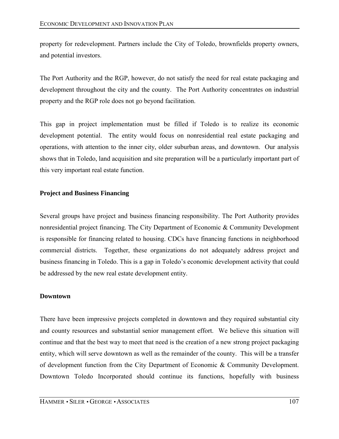property for redevelopment. Partners include the City of Toledo, brownfields property owners, and potential investors.

The Port Authority and the RGP, however, do not satisfy the need for real estate packaging and development throughout the city and the county. The Port Authority concentrates on industrial property and the RGP role does not go beyond facilitation.

This gap in project implementation must be filled if Toledo is to realize its economic development potential. The entity would focus on nonresidential real estate packaging and operations, with attention to the inner city, older suburban areas, and downtown. Our analysis shows that in Toledo, land acquisition and site preparation will be a particularly important part of this very important real estate function.

## **Project and Business Financing**

Several groups have project and business financing responsibility. The Port Authority provides nonresidential project financing. The City Department of Economic & Community Development is responsible for financing related to housing. CDCs have financing functions in neighborhood commercial districts. Together, these organizations do not adequately address project and business financing in Toledo. This is a gap in Toledo's economic development activity that could be addressed by the new real estate development entity.

#### **Downtown**

There have been impressive projects completed in downtown and they required substantial city and county resources and substantial senior management effort. We believe this situation will continue and that the best way to meet that need is the creation of a new strong project packaging entity, which will serve downtown as well as the remainder of the county. This will be a transfer of development function from the City Department of Economic & Community Development. Downtown Toledo Incorporated should continue its functions, hopefully with business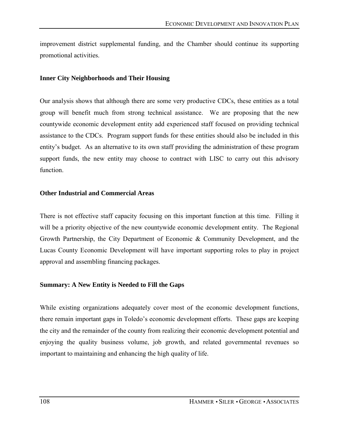improvement district supplemental funding, and the Chamber should continue its supporting promotional activities.

#### **Inner City Neighborhoods and Their Housing**

Our analysis shows that although there are some very productive CDCs, these entities as a total group will benefit much from strong technical assistance. We are proposing that the new countywide economic development entity add experienced staff focused on providing technical assistance to the CDCs. Program support funds for these entities should also be included in this entity's budget. As an alternative to its own staff providing the administration of these program support funds, the new entity may choose to contract with LISC to carry out this advisory function.

#### **Other Industrial and Commercial Areas**

There is not effective staff capacity focusing on this important function at this time. Filling it will be a priority objective of the new countywide economic development entity. The Regional Growth Partnership, the City Department of Economic & Community Development, and the Lucas County Economic Development will have important supporting roles to play in project approval and assembling financing packages.

## **Summary: A New Entity is Needed to Fill the Gaps**

While existing organizations adequately cover most of the economic development functions, there remain important gaps in Toledo's economic development efforts. These gaps are keeping the city and the remainder of the county from realizing their economic development potential and enjoying the quality business volume, job growth, and related governmental revenues so important to maintaining and enhancing the high quality of life.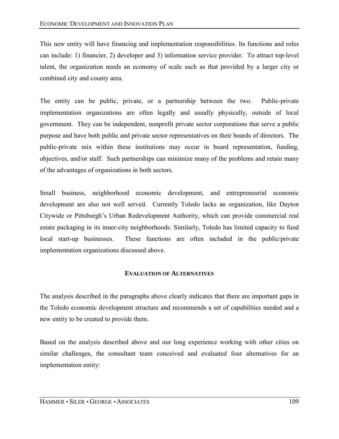This new entity will have financing and implementation responsibilities. Its functions and roles can include: 1) financier, 2) developer and 3) information service provider. To attract top-level talent, the organization needs an economy of scale such as that provided by a larger city or combined city and county area.

The entity can be public, private, or a partnership between the two. Public-private implementation organizations are often legally and usually physically, outside of local government. They can be independent, nonprofit private sector corporations that serve a public purpose and have both public and private sector representatives on their boards of directors. The public-private mix within these institutions may occur in board representation, funding, objectives, and/or staff. Such partnerships can minimize many of the problems and retain many of the advantages of organizations in both sectors.

Small business, neighborhood economic development, and entrepreneurial economic development are also not well served. Currently Toledo lacks an organization, like Dayton Citywide or Pittsburgh's Urban Redevelopment Authority, which can provide commercial real estate packaging in its inner-city neighborhoods. Similarly, Toledo has limited capacity to fund local start-up businesses. These functions are often included in the public/private implementation organizations discussed above.

#### **EVALUATION OF ALTERNATIVES**

The analysis described in the paragraphs above clearly indicates that there are important gaps in the Toledo economic development structure and recommends a set of capabilities needed and a new entity to be created to provide them.

Based on the analysis described above and our long experience working with other cities on similar challenges, the consultant team conceived and evaluated four alternatives for an implementation entity: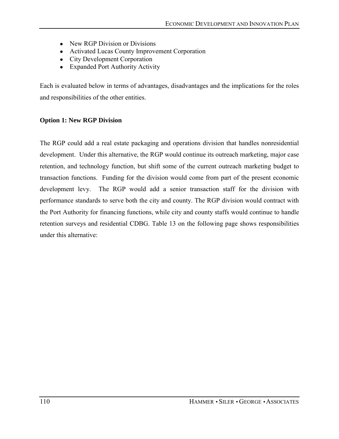- New RGP Division or Divisions
- Activated Lucas County Improvement Corporation
- City Development Corporation
- Expanded Port Authority Activity

Each is evaluated below in terms of advantages, disadvantages and the implications for the roles and responsibilities of the other entities.

#### **Option 1: New RGP Division**

The RGP could add a real estate packaging and operations division that handles nonresidential development. Under this alternative, the RGP would continue its outreach marketing, major case retention, and technology function, but shift some of the current outreach marketing budget to transaction functions. Funding for the division would come from part of the present economic development levy. The RGP would add a senior transaction staff for the division with performance standards to serve both the city and county. The RGP division would contract with the Port Authority for financing functions, while city and county staffs would continue to handle retention surveys and residential CDBG. Table 13 on the following page shows responsibilities under this alternative: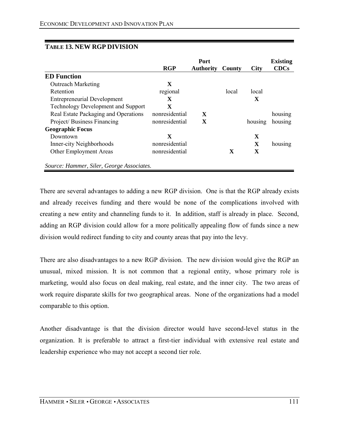|                                           | <b>RGP</b>     | Port<br><b>Authority</b> | County | <b>City</b> | <b>Existing</b><br><b>CDCs</b> |
|-------------------------------------------|----------------|--------------------------|--------|-------------|--------------------------------|
| <b>ED</b> Function                        |                |                          |        |             |                                |
| <b>Outreach Marketing</b>                 | $\mathbf X$    |                          |        |             |                                |
| Retention                                 | regional       |                          | local  | local       |                                |
| <b>Entrepreneurial Development</b>        | X              |                          |        | X           |                                |
| <b>Technology Development and Support</b> | $\mathbf x$    |                          |        |             |                                |
| Real Estate Packaging and Operations      | nonresidential | X                        |        |             | housing                        |
| Project/Business Financing                | nonresidential | X                        |        | housing     | housing                        |
| <b>Geographic Focus</b>                   |                |                          |        |             |                                |
| Downtown                                  | X              |                          |        | X           |                                |
| Inner-city Neighborhoods                  | nonresidential |                          |        | $\mathbf X$ | housing                        |
| Other Employment Areas                    | nonresidential |                          | X      | X           |                                |
| Source: Hammer, Siler, George Associates. |                |                          |        |             |                                |

## **TABLE 13. NEW RGP DIVISION**

There are several advantages to adding a new RGP division. One is that the RGP already exists and already receives funding and there would be none of the complications involved with creating a new entity and channeling funds to it. In addition, staff is already in place. Second, adding an RGP division could allow for a more politically appealing flow of funds since a new division would redirect funding to city and county areas that pay into the levy.

There are also disadvantages to a new RGP division. The new division would give the RGP an unusual, mixed mission. It is not common that a regional entity, whose primary role is marketing, would also focus on deal making, real estate, and the inner city. The two areas of work require disparate skills for two geographical areas. None of the organizations had a model comparable to this option.

Another disadvantage is that the division director would have second-level status in the organization. It is preferable to attract a first-tier individual with extensive real estate and leadership experience who may not accept a second tier role.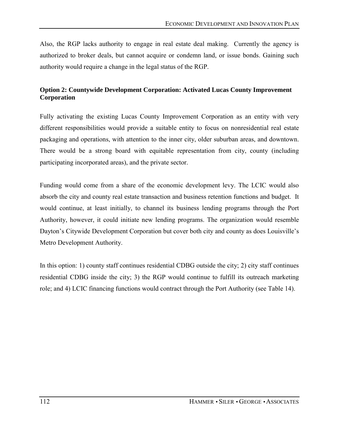Also, the RGP lacks authority to engage in real estate deal making. Currently the agency is authorized to broker deals, but cannot acquire or condemn land, or issue bonds. Gaining such authority would require a change in the legal status of the RGP.

# **Option 2: Countywide Development Corporation: Activated Lucas County Improvement Corporation**

Fully activating the existing Lucas County Improvement Corporation as an entity with very different responsibilities would provide a suitable entity to focus on nonresidential real estate packaging and operations, with attention to the inner city, older suburban areas, and downtown. There would be a strong board with equitable representation from city, county (including participating incorporated areas), and the private sector.

Funding would come from a share of the economic development levy. The LCIC would also absorb the city and county real estate transaction and business retention functions and budget. It would continue, at least initially, to channel its business lending programs through the Port Authority, however, it could initiate new lending programs. The organization would resemble Dayton's Citywide Development Corporation but cover both city and county as does Louisville's Metro Development Authority.

In this option: 1) county staff continues residential CDBG outside the city; 2) city staff continues residential CDBG inside the city; 3) the RGP would continue to fulfill its outreach marketing role; and 4) LCIC financing functions would contract through the Port Authority (see Table 14).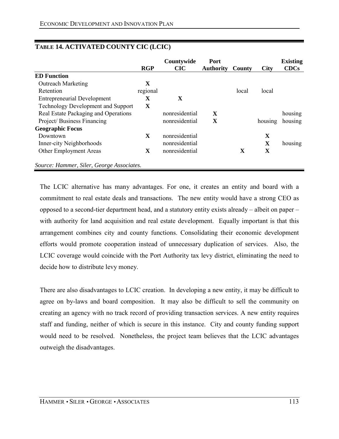|                                           | <b>RGP</b>  | Countywide<br><b>CIC</b> | <b>Port</b><br><b>Authority</b> | County      | <b>City</b> | <b>Existing</b><br><b>CDCs</b> |
|-------------------------------------------|-------------|--------------------------|---------------------------------|-------------|-------------|--------------------------------|
| <b>ED Function</b>                        |             |                          |                                 |             |             |                                |
| <b>Outreach Marketing</b>                 | X           |                          |                                 |             |             |                                |
| Retention                                 | regional    |                          |                                 | local       | local       |                                |
| <b>Entrepreneurial Development</b>        | X           | X                        |                                 |             |             |                                |
| <b>Technology Development and Support</b> | $\mathbf X$ |                          |                                 |             |             |                                |
| Real Estate Packaging and Operations      |             | nonresidential           | X                               |             |             | housing                        |
| Project/Business Financing                |             | nonresidential           | $\mathbf X$                     |             | housing     | housing                        |
| <b>Geographic Focus</b>                   |             |                          |                                 |             |             |                                |
| Downtown                                  | X           | nonresidential           |                                 |             | $\mathbf X$ |                                |
| Inner-city Neighborhoods                  |             | nonresidential           |                                 |             | X           | housing                        |
| Other Employment Areas                    | X           | nonresidential           |                                 | $\mathbf X$ | X           |                                |
| Source: Hammer, Siler, George Associates. |             |                          |                                 |             |             |                                |

# **TABLE 14. ACTIVATED COUNTY CIC (LCIC)**

The LCIC alternative has many advantages. For one, it creates an entity and board with a commitment to real estate deals and transactions. The new entity would have a strong CEO as opposed to a second-tier department head, and a statutory entity exists already  $-$  albeit on paper  $$ with authority for land acquisition and real estate development. Equally important is that this arrangement combines city and county functions. Consolidating their economic development efforts would promote cooperation instead of unnecessary duplication of services. Also, the LCIC coverage would coincide with the Port Authority tax levy district, eliminating the need to decide how to distribute levy money.

There are also disadvantages to LCIC creation. In developing a new entity, it may be difficult to agree on by-laws and board composition. It may also be difficult to sell the community on creating an agency with no track record of providing transaction services. A new entity requires staff and funding, neither of which is secure in this instance. City and county funding support would need to be resolved. Nonetheless, the project team believes that the LCIC advantages outweigh the disadvantages.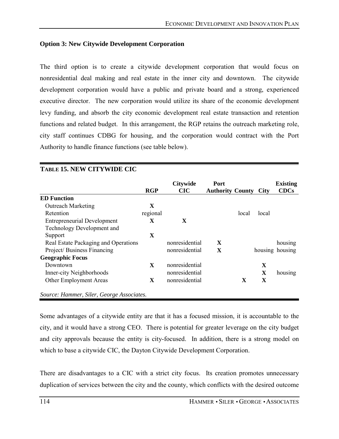## **Option 3: New Citywide Development Corporation**

The third option is to create a citywide development corporation that would focus on nonresidential deal making and real estate in the inner city and downtown. The citywide development corporation would have a public and private board and a strong, experienced executive director. The new corporation would utilize its share of the economic development levy funding, and absorb the city economic development real estate transaction and retention functions and related budget. In this arrangement, the RGP retains the outreach marketing role, city staff continues CDBG for housing, and the corporation would contract with the Port Authority to handle finance functions (see table below).

|                                           | <b>RGP</b>  | <b>Citywide</b><br><b>CIC</b> | Port<br><b>Authority County</b> |       | <b>City</b> | <b>Existing</b><br><b>CDCs</b> |
|-------------------------------------------|-------------|-------------------------------|---------------------------------|-------|-------------|--------------------------------|
| <b>ED</b> Function                        |             |                               |                                 |       |             |                                |
| <b>Outreach Marketing</b>                 | $\mathbf X$ |                               |                                 |       |             |                                |
| Retention                                 | regional    |                               |                                 | local | local       |                                |
| <b>Entrepreneurial Development</b>        | X           | X                             |                                 |       |             |                                |
| Technology Development and                |             |                               |                                 |       |             |                                |
| Support                                   | X           |                               |                                 |       |             |                                |
| Real Estate Packaging and Operations      |             | nonresidential                | X                               |       |             | housing                        |
| Project/Business Financing                |             | nonresidential                | $\mathbf X$                     |       |             | housing housing                |
| <b>Geographic Focus</b>                   |             |                               |                                 |       |             |                                |
| Downtown                                  | X           | nonresidential                |                                 |       | X           |                                |
| Inner-city Neighborhoods                  |             | nonresidential                |                                 |       | X           | housing                        |
| Other Employment Areas                    | X           | nonresidential                |                                 | X     | $\mathbf X$ |                                |
| Source: Hammer, Siler, George Associates. |             |                               |                                 |       |             |                                |

## **TABLE 15. NEW CITYWIDE CIC**

Some advantages of a citywide entity are that it has a focused mission, it is accountable to the city, and it would have a strong CEO. There is potential for greater leverage on the city budget and city approvals because the entity is city-focused. In addition, there is a strong model on which to base a citywide CIC, the Dayton Citywide Development Corporation.

There are disadvantages to a CIC with a strict city focus. Its creation promotes unnecessary duplication of services between the city and the county, which conflicts with the desired outcome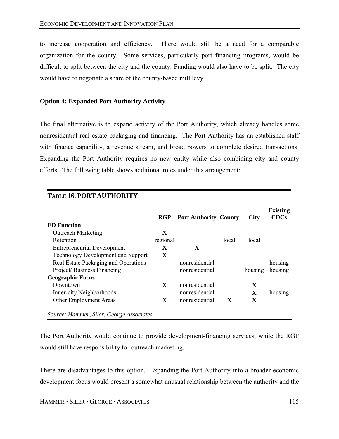to increase cooperation and efficiency. There would still be a need for a comparable organization for the county. Some services, particularly port financing programs, would be difficult to split between the city and the county. Funding would also have to be split. The city would have to negotiate a share of the county-based mill levy.

### **Option 4: Expanded Port Authority Activity**

The final alternative is to expand activity of the Port Authority, which already handles some nonresidential real estate packaging and financing. The Port Authority has an established staff with finance capability, a revenue stream, and broad powers to complete desired transactions. Expanding the Port Authority requires no new entity while also combining city and county efforts. The following table shows additional roles under this arrangement:

| <b>TABLE 16. PORT AUTHORITY</b>           |            |                              |       |              |                                |
|-------------------------------------------|------------|------------------------------|-------|--------------|--------------------------------|
|                                           | <b>RGP</b> | <b>Port Authority County</b> |       | <b>City</b>  | <b>Existing</b><br><b>CDCs</b> |
| <b>ED</b> Function                        |            |                              |       |              |                                |
| <b>Outreach Marketing</b>                 | X          |                              |       |              |                                |
| Retention                                 | regional   |                              | local | local        |                                |
| <b>Entrepreneurial Development</b>        | X          | X                            |       |              |                                |
| <b>Technology Development and Support</b> | X          |                              |       |              |                                |
| Real Estate Packaging and Operations      |            | nonresidential               |       |              | housing                        |
| Project/Business Financing                |            | nonresidential               |       | housing      | housing                        |
| <b>Geographic Focus</b>                   |            |                              |       |              |                                |
| Downtown                                  | X          | nonresidential               |       | X            |                                |
| Inner-city Neighborhoods                  |            | nonresidential               |       | $\mathbf{X}$ | housing                        |
| Other Employment Areas                    | X          | nonresidential               | X     | X            |                                |
| Source: Hammer, Siler, George Associates. |            |                              |       |              |                                |

The Port Authority would continue to provide development-financing services, while the RGP would still have responsibility for outreach marketing.

There are disadvantages to this option. Expanding the Port Authority into a broader economic development focus would present a somewhat unusual relationship between the authority and the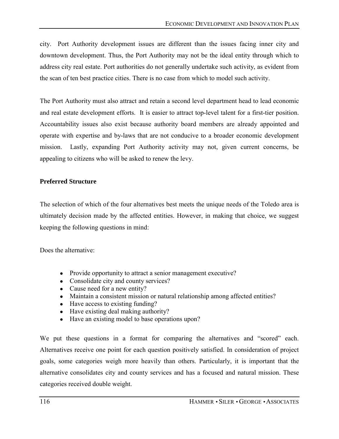city. Port Authority development issues are different than the issues facing inner city and downtown development. Thus, the Port Authority may not be the ideal entity through which to address city real estate. Port authorities do not generally undertake such activity, as evident from the scan of ten best practice cities. There is no case from which to model such activity.

The Port Authority must also attract and retain a second level department head to lead economic and real estate development efforts. It is easier to attract top-level talent for a first-tier position. Accountability issues also exist because authority board members are already appointed and operate with expertise and by-laws that are not conducive to a broader economic development mission. Lastly, expanding Port Authority activity may not, given current concerns, be appealing to citizens who will be asked to renew the levy.

# **Preferred Structure**

The selection of which of the four alternatives best meets the unique needs of the Toledo area is ultimately decision made by the affected entities. However, in making that choice, we suggest keeping the following questions in mind:

Does the alternative:

- Provide opportunity to attract a senior management executive?
- Consolidate city and county services?
- Cause need for a new entity?
- Maintain a consistent mission or natural relationship among affected entities?
- Have access to existing funding?
- Have existing deal making authority?
- Have an existing model to base operations upon?

We put these questions in a format for comparing the alternatives and "scored" each. Alternatives receive one point for each question positively satisfied. In consideration of project goals, some categories weigh more heavily than others. Particularly, it is important that the alternative consolidates city and county services and has a focused and natural mission. These categories received double weight.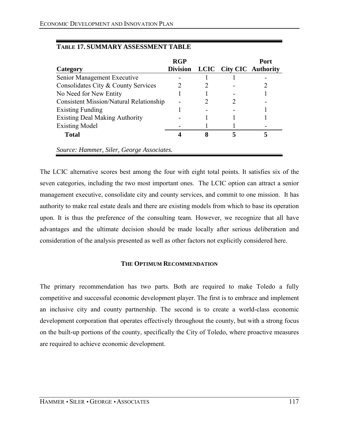|                                                | <b>RGP</b>      |   |                                | <b>Port</b> |
|------------------------------------------------|-----------------|---|--------------------------------|-------------|
| Category                                       | <b>Division</b> |   | <b>LCIC</b> City CIC Authority |             |
| Senior Management Executive                    |                 |   |                                |             |
| Consolidates City & County Services            |                 | 2 |                                |             |
| No Need for New Entity                         |                 |   |                                |             |
| <b>Consistent Mission/Natural Relationship</b> |                 |   |                                |             |
| <b>Existing Funding</b>                        |                 |   |                                |             |
| <b>Existing Deal Making Authority</b>          |                 |   |                                |             |
| <b>Existing Model</b>                          |                 |   |                                |             |
| <b>Total</b>                                   |                 | 8 |                                |             |
| Source: Hammer, Siler, George Associates.      |                 |   |                                |             |

# **TABLE 17. SUMMARY ASSESSMENT TABLE**

The LCIC alternative scores best among the four with eight total points. It satisfies six of the seven categories, including the two most important ones. The LCIC option can attract a senior management executive, consolidate city and county services, and commit to one mission. It has authority to make real estate deals and there are existing models from which to base its operation upon. It is thus the preference of the consulting team. However, we recognize that all have advantages and the ultimate decision should be made locally after serious deliberation and consideration of the analysis presented as well as other factors not explicitly considered here.

## **THE OPTIMUM RECOMMENDATION**

The primary recommendation has two parts. Both are required to make Toledo a fully competitive and successful economic development player. The first is to embrace and implement an inclusive city and county partnership. The second is to create a world-class economic development corporation that operates effectively throughout the county, but with a strong focus on the built-up portions of the county, specifically the City of Toledo, where proactive measures are required to achieve economic development.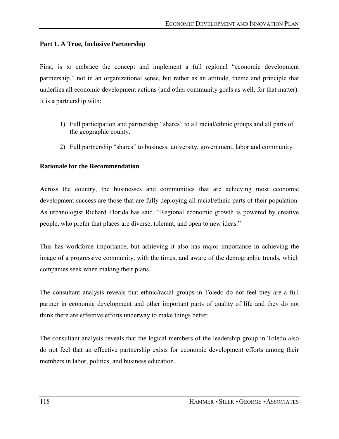## **Part 1. A True, Inclusive Partnership**

First, is to embrace the concept and implement a full regional "economic development partnership," not in an organizational sense, but rather as an attitude, theme and principle that underlies all economic development actions (and other community goals as well, for that matter). It is a partnership with:

- 1) Full participation and partnership "shares" to all racial/ethnic groups and all parts of the geographic county.
- 2) Full partnership "shares" to business, university, government, labor and community.

## **Rationale for the Recommendation**

Across the country, the businesses and communities that are achieving most economic development success are those that are fully deploying all racial/ethnic parts of their population. As urbanologist Richard Florida has said, "Regional economic growth is powered by creative people, who prefer that places are diverse, tolerant, and open to new ideas.<sup>"</sup>

This has workforce importance, but achieving it also has major importance in achieving the image of a progressive community, with the times, and aware of the demographic trends, which companies seek when making their plans.

The consultant analysis reveals that ethnic/racial groups in Toledo do not feel they are a full partner in economic development and other important parts of quality of life and they do not think there are effective efforts underway to make things better.

The consultant analysis reveals that the logical members of the leadership group in Toledo also do not feel that an effective partnership exists for economic development efforts among their members in labor, politics, and business education.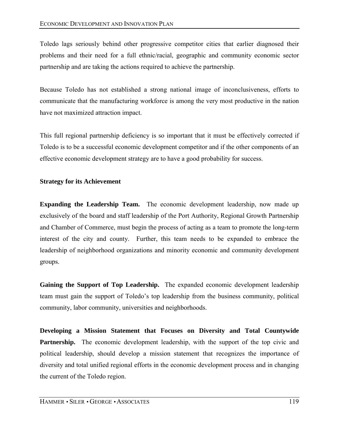Toledo lags seriously behind other progressive competitor cities that earlier diagnosed their problems and their need for a full ethnic/racial, geographic and community economic sector partnership and are taking the actions required to achieve the partnership.

Because Toledo has not established a strong national image of inconclusiveness, efforts to communicate that the manufacturing workforce is among the very most productive in the nation have not maximized attraction impact.

This full regional partnership deficiency is so important that it must be effectively corrected if Toledo is to be a successful economic development competitor and if the other components of an effective economic development strategy are to have a good probability for success.

# **Strategy for its Achievement**

**Expanding the Leadership Team.** The economic development leadership, now made up exclusively of the board and staff leadership of the Port Authority, Regional Growth Partnership and Chamber of Commerce, must begin the process of acting as a team to promote the long-term interest of the city and county. Further, this team needs to be expanded to embrace the leadership of neighborhood organizations and minority economic and community development groups.

**Gaining the Support of Top Leadership.** The expanded economic development leadership team must gain the support of Toledo's top leadership from the business community, political community, labor community, universities and neighborhoods.

**Developing a Mission Statement that Focuses on Diversity and Total Countywide Partnership.** The economic development leadership, with the support of the top civic and political leadership, should develop a mission statement that recognizes the importance of diversity and total unified regional efforts in the economic development process and in changing the current of the Toledo region.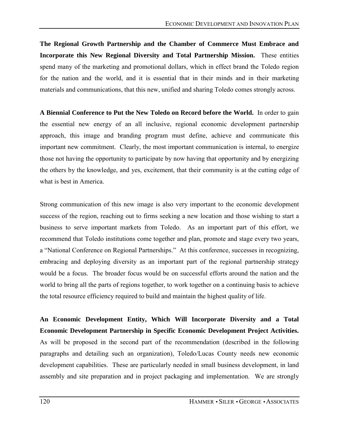**The Regional Growth Partnership and the Chamber of Commerce Must Embrace and Incorporate this New Regional Diversity and Total Partnership Mission.** These entities spend many of the marketing and promotional dollars, which in effect brand the Toledo region for the nation and the world, and it is essential that in their minds and in their marketing materials and communications, that this new, unified and sharing Toledo comes strongly across.

**A Biennial Conference to Put the New Toledo on Record before the World.** In order to gain the essential new energy of an all inclusive, regional economic development partnership approach, this image and branding program must define, achieve and communicate this important new commitment. Clearly, the most important communication is internal, to energize those not having the opportunity to participate by now having that opportunity and by energizing the others by the knowledge, and yes, excitement, that their community is at the cutting edge of what is best in America.

Strong communication of this new image is also very important to the economic development success of the region, reaching out to firms seeking a new location and those wishing to start a business to serve important markets from Toledo. As an important part of this effort, we recommend that Toledo institutions come together and plan, promote and stage every two years, a "National Conference on Regional Partnerships." At this conference, successes in recognizing, embracing and deploying diversity as an important part of the regional partnership strategy would be a focus. The broader focus would be on successful efforts around the nation and the world to bring all the parts of regions together, to work together on a continuing basis to achieve the total resource efficiency required to build and maintain the highest quality of life.

**An Economic Development Entity, Which Will Incorporate Diversity and a Total Economic Development Partnership in Specific Economic Development Project Activities.**  As will be proposed in the second part of the recommendation (described in the following paragraphs and detailing such an organization), Toledo/Lucas County needs new economic development capabilities. These are particularly needed in small business development, in land assembly and site preparation and in project packaging and implementation. We are strongly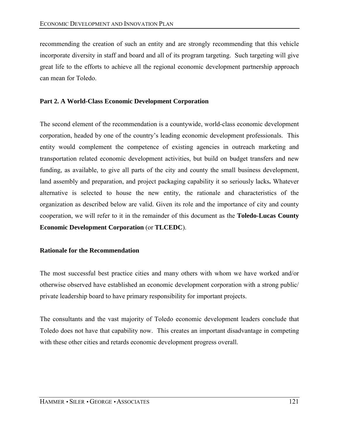recommending the creation of such an entity and are strongly recommending that this vehicle incorporate diversity in staff and board and all of its program targeting. Such targeting will give great life to the efforts to achieve all the regional economic development partnership approach can mean for Toledo.

## **Part 2. A World-Class Economic Development Corporation**

The second element of the recommendation is a countywide, world-class economic development corporation, headed by one of the country's leading economic development professionals. This entity would complement the competence of existing agencies in outreach marketing and transportation related economic development activities, but build on budget transfers and new funding, as available, to give all parts of the city and county the small business development, land assembly and preparation, and project packaging capability it so seriously lacks**.** Whatever alternative is selected to house the new entity, the rationale and characteristics of the organization as described below are valid. Given its role and the importance of city and county cooperation, we will refer to it in the remainder of this document as the **Toledo-Lucas County Economic Development Corporation** (or **TLCEDC**).

## **Rationale for the Recommendation**

The most successful best practice cities and many others with whom we have worked and/or otherwise observed have established an economic development corporation with a strong public/ private leadership board to have primary responsibility for important projects.

The consultants and the vast majority of Toledo economic development leaders conclude that Toledo does not have that capability now. This creates an important disadvantage in competing with these other cities and retards economic development progress overall.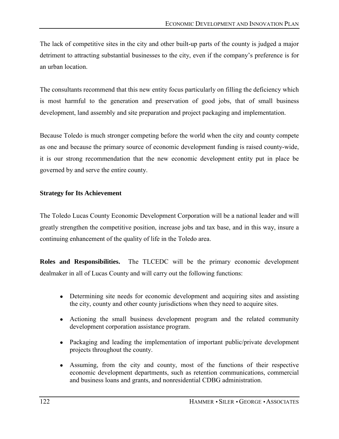The lack of competitive sites in the city and other built-up parts of the county is judged a major detriment to attracting substantial businesses to the city, even if the company's preference is for an urban location.

The consultants recommend that this new entity focus particularly on filling the deficiency which is most harmful to the generation and preservation of good jobs, that of small business development, land assembly and site preparation and project packaging and implementation.

Because Toledo is much stronger competing before the world when the city and county compete as one and because the primary source of economic development funding is raised county-wide, it is our strong recommendation that the new economic development entity put in place be governed by and serve the entire county.

## **Strategy for Its Achievement**

The Toledo Lucas County Economic Development Corporation will be a national leader and will greatly strengthen the competitive position, increase jobs and tax base, and in this way, insure a continuing enhancement of the quality of life in the Toledo area.

**Roles and Responsibilities.** The TLCEDC will be the primary economic development dealmaker in all of Lucas County and will carry out the following functions:

- Determining site needs for economic development and acquiring sites and assisting the city, county and other county jurisdictions when they need to acquire sites.
- Actioning the small business development program and the related community development corporation assistance program.
- Packaging and leading the implementation of important public/private development projects throughout the county.
- Assuming, from the city and county, most of the functions of their respective economic development departments, such as retention communications, commercial and business loans and grants, and nonresidential CDBG administration.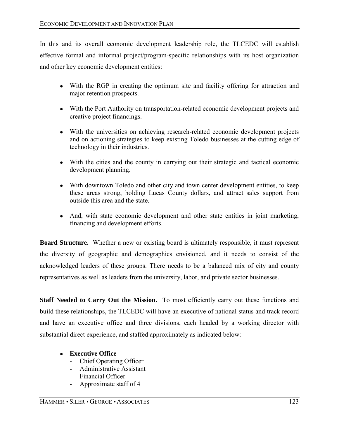In this and its overall economic development leadership role, the TLCEDC will establish effective formal and informal project/program-specific relationships with its host organization and other key economic development entities:

- With the RGP in creating the optimum site and facility offering for attraction and major retention prospects.
- With the Port Authority on transportation-related economic development projects and creative project financings.
- With the universities on achieving research-related economic development projects and on actioning strategies to keep existing Toledo businesses at the cutting edge of technology in their industries.
- With the cities and the county in carrying out their strategic and tactical economic development planning.
- With downtown Toledo and other city and town center development entities, to keep these areas strong, holding Lucas County dollars, and attract sales support from outside this area and the state.
- And, with state economic development and other state entities in joint marketing, financing and development efforts.

**Board Structure.** Whether a new or existing board is ultimately responsible, it must represent the diversity of geographic and demographics envisioned, and it needs to consist of the acknowledged leaders of these groups. There needs to be a balanced mix of city and county representatives as well as leaders from the university, labor, and private sector businesses.

**Staff Needed to Carry Out the Mission.** To most efficiently carry out these functions and build these relationships, the TLCEDC will have an executive of national status and track record and have an executive office and three divisions, each headed by a working director with substantial direct experience, and staffed approximately as indicated below:

- **Executive Office** 
	- Chief Operating Officer
	- Administrative Assistant
	- Financial Officer
	- Approximate staff of 4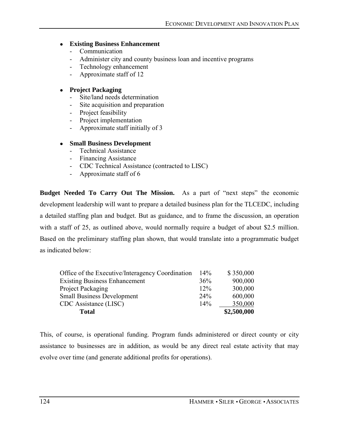## ● **Existing Business Enhancement**

- Communication
- Administer city and county business loan and incentive programs
- Technology enhancement
- Approximate staff of 12

## ● **Project Packaging**

- Site/land needs determination
- Site acquisition and preparation
- Project feasibility
- Project implementation
- Approximate staff initially of 3

## ● **Small Business Development**

- Technical Assistance
- Financing Assistance
- CDC Technical Assistance (contracted to LISC)
- Approximate staff of 6

**Budget Needed To Carry Out The Mission.** As a part of "next steps" the economic development leadership will want to prepare a detailed business plan for the TLCEDC, including a detailed staffing plan and budget. But as guidance, and to frame the discussion, an operation with a staff of 25, as outlined above, would normally require a budget of about \$2.5 million. Based on the preliminary staffing plan shown, that would translate into a programmatic budget as indicated below:

| Office of the Executive/Interagency Coordination | 14% | \$350,000   |
|--------------------------------------------------|-----|-------------|
| <b>Existing Business Enhancement</b>             | 36% | 900,000     |
| Project Packaging                                | 12% | 300,000     |
| <b>Small Business Development</b>                | 24% | 600,000     |
| CDC Assistance (LISC)                            | 14% | 350,000     |
| <b>Total</b>                                     |     | \$2,500,000 |

This, of course, is operational funding. Program funds administered or direct county or city assistance to businesses are in addition, as would be any direct real estate activity that may evolve over time (and generate additional profits for operations).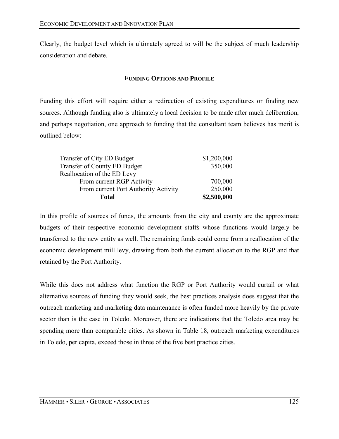Clearly, the budget level which is ultimately agreed to will be the subject of much leadership consideration and debate.

### **FUNDING OPTIONS AND PROFILE**

Funding this effort will require either a redirection of existing expenditures or finding new sources. Although funding also is ultimately a local decision to be made after much deliberation, and perhaps negotiation, one approach to funding that the consultant team believes has merit is outlined below:

| <b>Total</b>                         | \$2,500,000 |
|--------------------------------------|-------------|
| From current Port Authority Activity | 250,000     |
| From current RGP Activity            | 700,000     |
| Reallocation of the ED Levy          |             |
| Transfer of County ED Budget         | 350,000     |
| Transfer of City ED Budget           | \$1,200,000 |
|                                      |             |

In this profile of sources of funds, the amounts from the city and county are the approximate budgets of their respective economic development staffs whose functions would largely be transferred to the new entity as well. The remaining funds could come from a reallocation of the economic development mill levy, drawing from both the current allocation to the RGP and that retained by the Port Authority.

While this does not address what function the RGP or Port Authority would curtail or what alternative sources of funding they would seek, the best practices analysis does suggest that the outreach marketing and marketing data maintenance is often funded more heavily by the private sector than is the case in Toledo. Moreover, there are indications that the Toledo area may be spending more than comparable cities. As shown in Table 18, outreach marketing expenditures in Toledo, per capita, exceed those in three of the five best practice cities.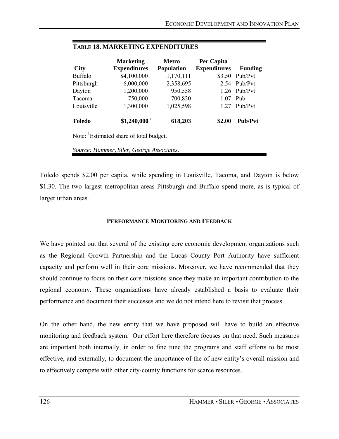| <b>City</b>   | <b>Marketing</b><br><b>Expenditures</b> | <b>Metro</b><br><b>Population</b> | Per Capita<br><b>Expenditures</b> | <b>Funding</b> |
|---------------|-----------------------------------------|-----------------------------------|-----------------------------------|----------------|
| Buffalo       | \$4,100,000                             | 1,170,111                         | \$3.50                            | Pub/Pvt        |
| Pittsburgh    | 6,000,000                               | 2,358,695                         | 2.54                              | Pub/Pvt        |
| Dayton        | 1,200,000                               | 950,558                           | 1.26                              | Pub/Pvt        |
| Tacoma        | 750,000                                 | 700,820                           | 1.07                              | Pub            |
| Louisville    | 1,300,000                               | 1,025,598                         | 1.27                              | Pub/Pvt        |
| <b>Toledo</b> | \$1,240,000 <sup>1</sup>                | 618,203                           | \$2.00                            | <b>Pub/Pvt</b> |

# **TABLE 18. MARKETING EXPENDITURES**

Note: <sup>1</sup>Estimated share of total budget.

*Source: Hammer, Siler, George Associates*.

Toledo spends \$2.00 per capita, while spending in Louisville, Tacoma, and Dayton is below \$1.30. The two largest metropolitan areas Pittsburgh and Buffalo spend more, as is typical of larger urban areas.

### **PERFORMANCE MONITORING AND FEEDBACK**

We have pointed out that several of the existing core economic development organizations such as the Regional Growth Partnership and the Lucas County Port Authority have sufficient capacity and perform well in their core missions. Moreover, we have recommended that they should continue to focus on their core missions since they make an important contribution to the regional economy. These organizations have already established a basis to evaluate their performance and document their successes and we do not intend here to revisit that process.

On the other hand, the new entity that we have proposed will have to build an effective monitoring and feedback system. Our effort here therefore focuses on that need. Such measures are important both internally, in order to fine tune the programs and staff efforts to be most effective, and externally, to document the importance of the of new entity's overall mission and to effectively compete with other city-county functions for scarce resources.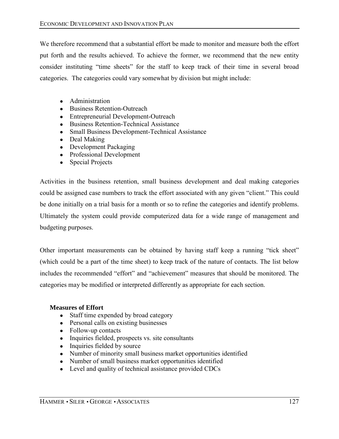We therefore recommend that a substantial effort be made to monitor and measure both the effort put forth and the results achieved. To achieve the former, we recommend that the new entity consider instituting "time sheets" for the staff to keep track of their time in several broad categories. The categories could vary somewhat by division but might include:

- Administration
- Business Retention-Outreach
- Entrepreneurial Development-Outreach
- Business Retention-Technical Assistance
- Small Business Development-Technical Assistance
- Deal Making
- Development Packaging
- Professional Development
- Special Projects

Activities in the business retention, small business development and deal making categories could be assigned case numbers to track the effort associated with any given "client." This could be done initially on a trial basis for a month or so to refine the categories and identify problems. Ultimately the system could provide computerized data for a wide range of management and budgeting purposes.

Other important measurements can be obtained by having staff keep a running "tick sheet" (which could be a part of the time sheet) to keep track of the nature of contacts. The list below includes the recommended "effort" and "achievement" measures that should be monitored. The categories may be modified or interpreted differently as appropriate for each section.

### **Measures of Effort**

- Staff time expended by broad category
- Personal calls on existing businesses
- Follow-up contacts
- Inquiries fielded, prospects vs. site consultants
- Inquiries fielded by source
- Number of minority small business market opportunities identified
- Number of small business market opportunities identified
- Level and quality of technical assistance provided CDCs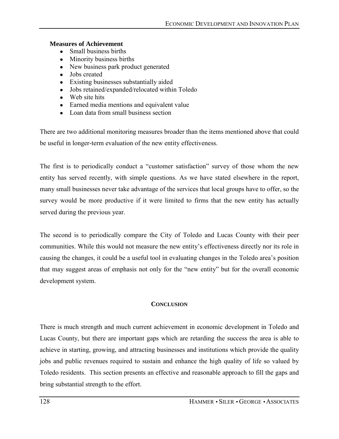#### **Measures of Achievement**

- Small business births
- Minority business births
- New business park product generated
- Jobs created
- Existing businesses substantially aided
- Jobs retained/expanded/relocated within Toledo
- Web site hits
- Earned media mentions and equivalent value
- Loan data from small business section

There are two additional monitoring measures broader than the items mentioned above that could be useful in longer-term evaluation of the new entity effectiveness.

The first is to periodically conduct a "customer satisfaction" survey of those whom the new entity has served recently, with simple questions. As we have stated elsewhere in the report, many small businesses never take advantage of the services that local groups have to offer, so the survey would be more productive if it were limited to firms that the new entity has actually served during the previous year.

The second is to periodically compare the City of Toledo and Lucas County with their peer communities. While this would not measure the new entity's effectiveness directly nor its role in causing the changes, it could be a useful tool in evaluating changes in the Toledo area's position that may suggest areas of emphasis not only for the "new entity" but for the overall economic development system.

### **CONCLUSION**

There is much strength and much current achievement in economic development in Toledo and Lucas County, but there are important gaps which are retarding the success the area is able to achieve in starting, growing, and attracting businesses and institutions which provide the quality jobs and public revenues required to sustain and enhance the high quality of life so valued by Toledo residents. This section presents an effective and reasonable approach to fill the gaps and bring substantial strength to the effort.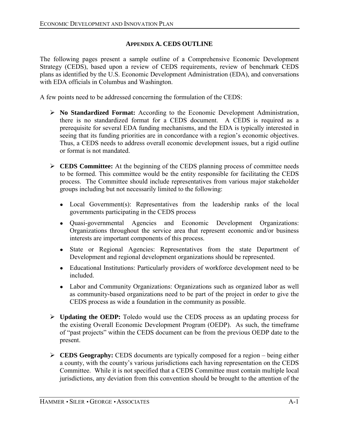# **APPENDIX A. CEDS OUTLINE**

The following pages present a sample outline of a Comprehensive Economic Development Strategy (CEDS), based upon a review of CEDS requirements, review of benchmark CEDS plans as identified by the U.S. Economic Development Administration (EDA), and conversations with EDA officials in Columbus and Washington.

A few points need to be addressed concerning the formulation of the CEDS:

- ! **No Standardized Format:** According to the Economic Development Administration, there is no standardized format for a CEDS document. A CEDS is required as a prerequisite for several EDA funding mechanisms, and the EDA is typically interested in seeing that its funding priorities are in concordance with a region's economic objectives. Thus, a CEDS needs to address overall economic development issues, but a rigid outline or format is not mandated.
- ! **CEDS Committee:** At the beginning of the CEDS planning process of committee needs to be formed. This committee would be the entity responsible for facilitating the CEDS process. The Committee should include representatives from various major stakeholder groups including but not necessarily limited to the following:
	- Local Government(s): Representatives from the leadership ranks of the local governments participating in the CEDS process
	- Quasi-governmental Agencies and Economic Development Organizations: Organizations throughout the service area that represent economic and/or business interests are important components of this process.
	- State or Regional Agencies: Representatives from the state Department of Development and regional development organizations should be represented.
	- Educational Institutions: Particularly providers of workforce development need to be included.
	- Labor and Community Organizations: Organizations such as organized labor as well as community-based organizations need to be part of the project in order to give the CEDS process as wide a foundation in the community as possible.
- ! **Updating the OEDP:** Toledo would use the CEDS process as an updating process for the existing Overall Economic Development Program (OEDP). As such, the timeframe of "past projects" within the CEDS document can be from the previous OEDP date to the present.
- $\triangleright$  **CEDS Geography:** CEDS documents are typically composed for a region being either a county, with the county's various jurisdictions each having representation on the CEDS Committee. While it is not specified that a CEDS Committee must contain multiple local jurisdictions, any deviation from this convention should be brought to the attention of the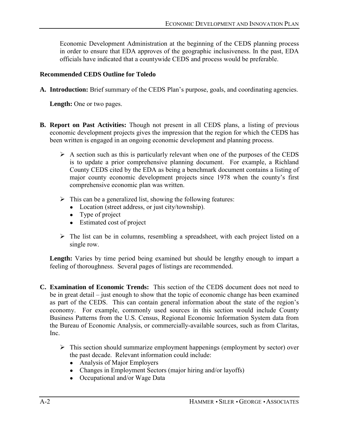Economic Development Administration at the beginning of the CEDS planning process in order to ensure that EDA approves of the geographic inclusiveness. In the past, EDA officials have indicated that a countywide CEDS and process would be preferable.

# **Recommended CEDS Outline for Toledo**

A. Introduction: Brief summary of the CEDS Plan's purpose, goals, and coordinating agencies.

**Length:** One or two pages.

- **B. Report on Past Activities:** Though not present in all CEDS plans, a listing of previous economic development projects gives the impression that the region for which the CEDS has been written is engaged in an ongoing economic development and planning process.
	- $\triangleright$  A section such as this is particularly relevant when one of the purposes of the CEDS is to update a prior comprehensive planning document. For example, a Richland County CEDS cited by the EDA as being a benchmark document contains a listing of major county economic development projects since 1978 when the county's first comprehensive economic plan was written.
	- $\triangleright$  This can be a generalized list, showing the following features:
		- Location (street address, or just city/township).
		- Type of project
		- Estimated cost of project
	- $\triangleright$  The list can be in columns, resembling a spreadsheet, with each project listed on a single row.

Length: Varies by time period being examined but should be lengthy enough to impart a feeling of thoroughness. Several pages of listings are recommended.

- **C. Examination of Economic Trends:** This section of the CEDS document does not need to be in great detail  $\overline{-}$  just enough to show that the topic of economic change has been examined as part of the CEDS. This can contain general information about the state of the region's economy. For example, commonly used sources in this section would include County Business Patterns from the U.S. Census, Regional Economic Information System data from the Bureau of Economic Analysis, or commercially-available sources, such as from Claritas, Inc.
	- $\triangleright$  This section should summarize employment happenings (employment by sector) over the past decade. Relevant information could include:
		- Analysis of Major Employers
		- Changes in Employment Sectors (major hiring and/or layoffs)
		- Occupational and/or Wage Data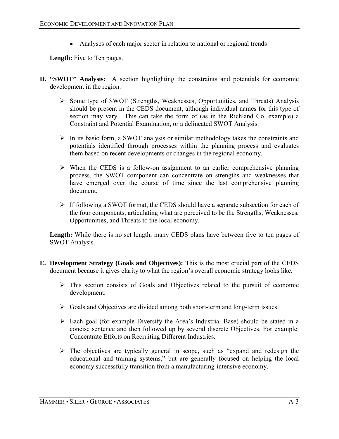• Analyses of each major sector in relation to national or regional trends

**Length:** Five to Ten pages.

- **D. "SWOT" Analysis:** A section highlighting the constraints and potentials for economic development in the region.
	- ! Some type of SWOT (Strengths, Weaknesses, Opportunities, and Threats) Analysis should be present in the CEDS document, although individual names for this type of section may vary. This can take the form of (as in the Richland Co. example) a Constraint and Potential Examination, or a delineated SWOT Analysis.
	- $\triangleright$  In its basic form, a SWOT analysis or similar methodology takes the constraints and potentials identified through processes within the planning process and evaluates them based on recent developments or changes in the regional economy.
	- $\triangleright$  When the CEDS is a follow-on assignment to an earlier comprehensive planning process, the SWOT component can concentrate on strengths and weaknesses that have emerged over the course of time since the last comprehensive planning document.
	- $\triangleright$  If following a SWOT format, the CEDS should have a separate subsection for each of the four components, articulating what are perceived to be the Strengths, Weaknesses, Opportunities, and Threats to the local economy.

Length: While there is no set length, many CEDS plans have between five to ten pages of SWOT Analysis.

- **E. Development Strategy (Goals and Objectives):** This is the most crucial part of the CEDS document because it gives clarity to what the region's overall economic strategy looks like.
	- $\triangleright$  This section consists of Goals and Objectives related to the pursuit of economic development.
	- ! Goals and Objectives are divided among both short-term and long-term issues.
	- $\triangleright$  Each goal (for example Diversify the Area's Industrial Base) should be stated in a concise sentence and then followed up by several discrete Objectives. For example: Concentrate Efforts on Recruiting Different Industries.
	- $\triangleright$  The objectives are typically general in scope, such as "expand and redesign the educational and training systems," but are generally focused on helping the local economy successfully transition from a manufacturing-intensive economy.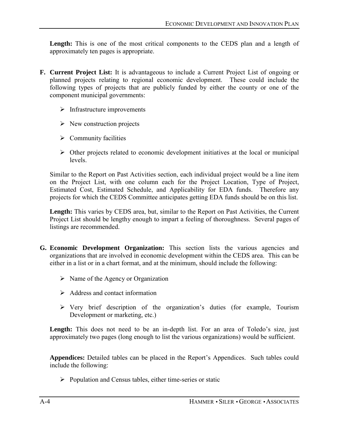Length: This is one of the most critical components to the CEDS plan and a length of approximately ten pages is appropriate.

- **F. Current Project List:** It is advantageous to include a Current Project List of ongoing or planned projects relating to regional economic development. These could include the following types of projects that are publicly funded by either the county or one of the component municipal governments:
	- $\triangleright$  Infrastructure improvements
	- $\triangleright$  New construction projects
	- $\triangleright$  Community facilities
	- $\triangleright$  Other projects related to economic development initiatives at the local or municipal levels.

Similar to the Report on Past Activities section, each individual project would be a line item on the Project List, with one column each for the Project Location, Type of Project, Estimated Cost, Estimated Schedule, and Applicability for EDA funds. Therefore any projects for which the CEDS Committee anticipates getting EDA funds should be on this list.

**Length:** This varies by CEDS area, but, similar to the Report on Past Activities, the Current Project List should be lengthy enough to impart a feeling of thoroughness. Several pages of listings are recommended.

- **G. Economic Development Organization:** This section lists the various agencies and organizations that are involved in economic development within the CEDS area. This can be either in a list or in a chart format, and at the minimum, should include the following:
	- $\triangleright$  Name of the Agency or Organization
	- $\triangleright$  Address and contact information
	- $\triangleright$  Very brief description of the organization's duties (for example, Tourism Development or marketing, etc.)

Length: This does not need to be an in-depth list. For an area of Toledo's size, just approximately two pages (long enough to list the various organizations) would be sufficient.

Appendices: Detailed tables can be placed in the Report's Appendices. Such tables could include the following:

 $\triangleright$  Population and Census tables, either time-series or static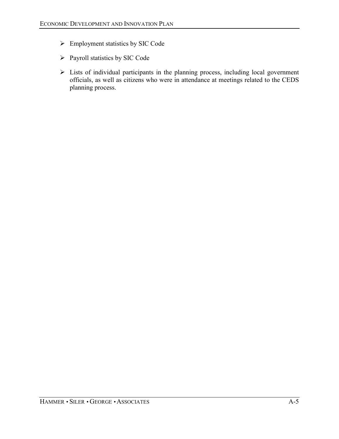- $\triangleright$  Employment statistics by SIC Code
- > Payroll statistics by SIC Code
- $\triangleright$  Lists of individual participants in the planning process, including local government officials, as well as citizens who were in attendance at meetings related to the CEDS planning process.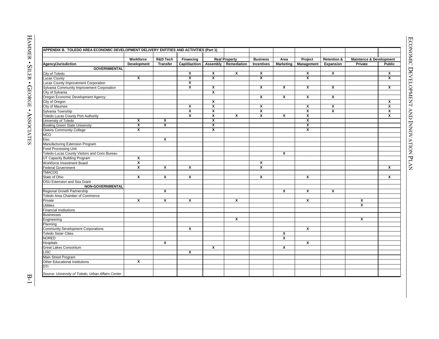|                                              | <b>Workforce</b>        | <b>R&amp;D Tech</b>     | Financing               |                         | <b>Real Property</b>    |
|----------------------------------------------|-------------------------|-------------------------|-------------------------|-------------------------|-------------------------|
| Agency/Jurisdiction                          | Development             | <b>Transfer</b>         | Capitilazition          | Assembly                | Remedia                 |
| <b>GOVERNMENTAL</b>                          |                         |                         |                         |                         |                         |
| City of Toledo                               |                         |                         | X                       | X                       | x                       |
| <b>Lucas County</b>                          | X                       |                         | $\overline{\mathbf{x}}$ | X                       |                         |
| Lucas County Improvement Corporation         |                         |                         | X                       |                         |                         |
| Sylvania Community Improvement Corporation   |                         |                         | x                       | X                       |                         |
| City of Sylvania                             |                         |                         |                         | $\overline{\mathbf{x}}$ |                         |
| Oregon Economic Development Agency           |                         |                         |                         |                         |                         |
| City of Oregon                               |                         |                         |                         | X                       |                         |
| City of Maumee                               |                         |                         | X                       | X                       |                         |
| Sylvania Township                            |                         |                         | $\overline{\mathbf{x}}$ | $\overline{\mathbf{x}}$ |                         |
| Toledo Lucas County Port Authority           |                         |                         | x                       | X                       | x                       |
| University of Toledo                         | $\overline{\mathbf{x}}$ | X                       |                         | $\overline{\mathbf{x}}$ |                         |
| <b>Bowling Green State University</b>        | X                       | X                       |                         | X                       |                         |
| Owens Community College                      | X                       |                         |                         | $\overline{\mathbf{x}}$ |                         |
| <b>MCO</b>                                   |                         |                         |                         |                         |                         |
| Eisc                                         |                         | $\overline{\mathbf{x}}$ |                         |                         |                         |
| Manufacturing Extension Program              |                         |                         |                         |                         |                         |
| <b>Food Processing Unit</b>                  |                         |                         |                         |                         |                         |
| Toledo-Lucas County Visitors and Conv Bureau |                         |                         |                         |                         |                         |
| UT Capacity Building Program                 | X                       |                         |                         |                         |                         |
| Workforce Investment Board                   | X                       |                         |                         |                         |                         |
| <b>Federal Government</b>                    | X                       | X                       | $\overline{\mathbf{x}}$ |                         |                         |
| <b>TMACOG</b>                                |                         |                         |                         |                         |                         |
| State of Ohio                                | X                       | $\overline{\mathbf{x}}$ | $\mathbf{x}$            |                         |                         |
| OSU Extension and Sea Grant                  |                         |                         |                         |                         |                         |
| <b>NON-GOVERNMENTAL</b>                      |                         |                         |                         |                         |                         |
| Regional Growth Partnership                  |                         | X                       |                         |                         |                         |
| Toledo Area Chamber of Commerce              |                         |                         |                         |                         |                         |
| Private                                      | X                       | X                       | x                       |                         | x                       |
| <b>Utilities</b>                             |                         |                         |                         |                         |                         |
| <b>Financial Institutions</b>                |                         |                         |                         |                         |                         |
| <b>Businesses</b>                            |                         |                         |                         |                         |                         |
| Engineering                                  |                         |                         |                         |                         | $\overline{\mathbf{x}}$ |
| Planning                                     |                         |                         |                         |                         |                         |
| <b>Community Development Corporations</b>    |                         |                         | X                       |                         |                         |
|                                              |                         |                         |                         |                         |                         |

ASSOCIATES B-<sup>1</sup> **APPENDIX B. TOLEDO AREA ECONOMIC DEVELOPMENT DELIVERY ENTITIES AND ACTIVITIES (Part 1) Workforce R&D Tech Financing Business Area Project Retention & Agency/Jurisdiction Development Transfer Capitilazition Assembly Remediation Incentives Marketing Management Expansion Private Public GOVERNMENTAL** City of Toledo **XXX <sup>X</sup> <sup>X</sup> <sup>X</sup> <sup>X</sup>** Lucas County **<sup>X</sup> XX <sup>X</sup> <sup>X</sup> <sup>X</sup>** Lucas County Improvement Corporation **<sup>X</sup>** Sylvania Community Improvement Corporation **<sup>X</sup> <sup>X</sup> <sup>X</sup> <sup>X</sup> <sup>X</sup> <sup>X</sup> <sup>X</sup>** City of Sylvania **<sup>X</sup>** Oregon Economic Development Agency **<sup>X</sup> <sup>X</sup> <sup>X</sup> <sup>X</sup>** City of Oregon **<sup>X</sup> <sup>X</sup>** City of Maumee **XX <sup>X</sup> <sup>X</sup> <sup>X</sup> <sup>X</sup>** Sylvania Township **XX <sup>X</sup> <sup>X</sup> <sup>X</sup> <sup>X</sup>** Toledo Lucas County Port Authority **<sup>X</sup> <sup>X</sup> <sup>X</sup> <sup>X</sup> <sup>X</sup> <sup>X</sup> <sup>X</sup>** University of Toledo **<sup>X</sup> <sup>X</sup> <sup>X</sup> <sup>X</sup>** Bowling Green State University **<sup>X</sup> <sup>X</sup> <sup>X</sup> <sup>X</sup>** Owens Community College **<sup>X</sup> <sup>X</sup> <sup>X</sup>** MCO Eisc **<sup>X</sup>** Manufacturing Extension Program Food Processing Unit Toledo-Lucas County Visitors and Conv Bureau **<sup>X</sup>** UT Capacity Building Program **<sup>X</sup>** Workforce Investment Board **<sup>X</sup> <sup>X</sup>** Federal Government **<sup>X</sup> <sup>X</sup> <sup>X</sup> <sup>X</sup> <sup>X</sup>** TMACOG State of Ohio **<sup>X</sup> XX <sup>X</sup> <sup>X</sup> <sup>X</sup>** OSU Extension and Sea Grant **NON-GOVERNMENTAL** Regional Growth Partnership **<sup>X</sup> <sup>X</sup> <sup>X</sup> <sup>X</sup>** Toledo Area Chamber of Commerce Private **<sup>X</sup> XX <sup>X</sup> <sup>X</sup> <sup>X</sup>** Utilities **<sup>X</sup>** Financial Institutions Businesses Engineering **<sup>X</sup> <sup>X</sup>** Planning Community Development Corporations **<sup>X</sup> <sup>X</sup>** Toledo Sister Cities **<sup>X</sup>** NORED **<sup>X</sup>** Hospitals **<sup>X</sup> <sup>X</sup>** Great Lakes Consortium **<sup>X</sup> <sup>X</sup>** LISC **<sup>X</sup>** Main Street Program Other Educational Institutions **<sup>X</sup>** DTI *Source: University of Toledo, Urban Affairs Center* **Real Property Maintence & Development**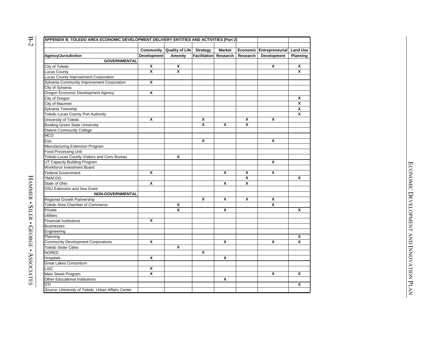|                                              | Community   | <b>Quality of Life</b> | <b>Strategy</b>       | <b>Market</b>    |          | Economic Entrepreneurial Land Use |          |
|----------------------------------------------|-------------|------------------------|-----------------------|------------------|----------|-----------------------------------|----------|
| Agency/Jurisdiction                          | Development | Amenity                | Facilitation Research |                  | Research | Development                       | Planning |
| <b>GOVERNMENTAL</b>                          |             |                        |                       |                  |          |                                   |          |
| City of Toledo                               | X           | X                      |                       |                  |          | X                                 |          |
| <b>Lucas County</b>                          | X           | X                      |                       |                  |          |                                   |          |
| Lucas County Improvement Corporation         |             |                        |                       |                  |          |                                   |          |
| Sylvania Community Improvement Corporation   | X           |                        |                       |                  |          |                                   |          |
| City of Sylvania                             |             |                        |                       |                  |          |                                   |          |
| Oregon Economic Development Agency           | X           |                        |                       |                  |          |                                   |          |
| City of Oregon                               |             |                        |                       |                  |          |                                   |          |
| City of Maumee                               |             |                        |                       |                  |          |                                   |          |
| Sylvania Township                            |             |                        |                       |                  |          |                                   |          |
| <b>Toledo Lucas County Port Authority</b>    |             |                        |                       |                  |          |                                   |          |
| University of Toledo                         | X           |                        | X                     |                  | x        | X                                 |          |
| <b>Bowling Green State University</b>        |             |                        | X                     | X                | X        |                                   |          |
| <b>Owens Community College</b>               |             |                        |                       |                  |          |                                   |          |
| <b>MCO</b>                                   |             |                        |                       |                  |          |                                   |          |
| Eisc                                         |             |                        | X                     |                  |          | X                                 |          |
| Manufacturing Extension Program              |             |                        |                       |                  |          |                                   |          |
| Food Processing Unit                         |             |                        |                       |                  |          |                                   |          |
| Toledo-Lucas County Visitors and Conv Bureau |             | X                      |                       |                  |          |                                   |          |
| UT Capacity Building Program                 |             |                        |                       |                  |          | X                                 |          |
| Workforce Investment Board                   |             |                        |                       |                  |          |                                   |          |
| <b>Federal Government</b>                    | X           |                        |                       | X                | X        | x                                 |          |
| <b>TMACOG</b>                                |             |                        |                       |                  | X        |                                   |          |
| State of Ohio                                | X           |                        |                       | X                | X        |                                   |          |
| OSU Extension and Sea Grant                  |             |                        |                       |                  |          |                                   |          |
| <b>NON-GOVERNMENTAL</b>                      |             |                        |                       |                  |          |                                   |          |
| Regional Growth Partnership                  |             |                        | X                     | $\boldsymbol{x}$ | X        | X                                 |          |
| Toledo Area Chamber of Commerce              |             | X                      |                       |                  |          | X                                 |          |
| Private                                      |             | X                      |                       | X                |          |                                   |          |
| Utilities                                    |             |                        |                       |                  |          |                                   |          |
| <b>Financial Institutions</b>                | X           |                        |                       |                  |          |                                   |          |
| <b>Businesses</b>                            |             |                        |                       |                  |          |                                   |          |
| Engineering                                  |             |                        |                       |                  |          |                                   |          |
| Planning                                     |             |                        |                       |                  |          |                                   |          |
| <b>Community Development Corporations</b>    | X           |                        |                       | X                |          | X                                 |          |
| <b>Toledo Sister Cities</b>                  |             | X                      |                       |                  |          |                                   |          |
| <b>NORED</b>                                 |             |                        | X                     |                  |          |                                   |          |
| Hospitals                                    | X           |                        |                       | X                |          |                                   |          |
| Great Lakes Consortium                       |             |                        |                       |                  |          |                                   |          |
| LISC                                         | X           |                        |                       |                  |          |                                   |          |
| Main Street Program                          | X           |                        |                       |                  |          | x                                 |          |
| <b>Other Educational Institutions</b>        |             |                        |                       | X                |          |                                   |          |

 $\mathbf{B}\text{-}\mathbf{2}$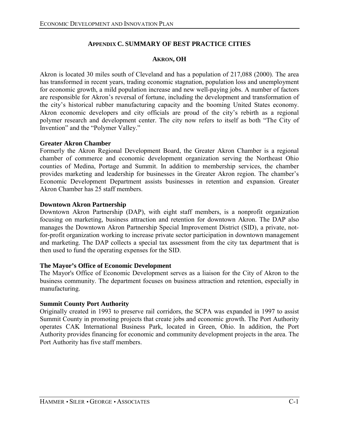# **APPENDIX C. SUMMARY OF BEST PRACTICE CITIES**

#### **AKRON, OH**

Akron is located 30 miles south of Cleveland and has a population of 217,088 (2000). The area has transformed in recent years, trading economic stagnation, population loss and unemployment for economic growth, a mild population increase and new well-paying jobs. A number of factors are responsible for Akron's reversal of fortune, including the development and transformation of the city's historical rubber manufacturing capacity and the booming United States economy. Akron economic developers and city officials are proud of the city's rebirth as a regional polymer research and development center. The city now refers to itself as both "The City of Invention" and the "Polymer Valley."

#### **Greater Akron Chamber**

Formerly the Akron Regional Development Board, the Greater Akron Chamber is a regional chamber of commerce and economic development organization serving the Northeast Ohio counties of Medina, Portage and Summit. In addition to membership services, the chamber provides marketing and leadership for businesses in the Greater Akron region. The chamber's Economic Development Department assists businesses in retention and expansion. Greater Akron Chamber has 25 staff members.

#### **Downtown Akron Partnership**

Downtown Akron Partnership (DAP), with eight staff members, is a nonprofit organization focusing on marketing, business attraction and retention for downtown Akron. The DAP also manages the Downtown Akron Partnership Special Improvement District (SID), a private, notfor-profit organization working to increase private sector participation in downtown management and marketing. The DAP collects a special tax assessment from the city tax department that is then used to fund the operating expenses for the SID.

#### **The Mayor's Office of Economic Development**

The Mayor's Office of Economic Development serves as a liaison for the City of Akron to the business community. The department focuses on business attraction and retention, especially in manufacturing.

#### **Summit County Port Authority**

Originally created in 1993 to preserve rail corridors, the SCPA was expanded in 1997 to assist Summit County in promoting projects that create jobs and economic growth. The Port Authority operates CAK International Business Park, located in Green, Ohio. In addition, the Port Authority provides financing for economic and community development projects in the area. The Port Authority has five staff members.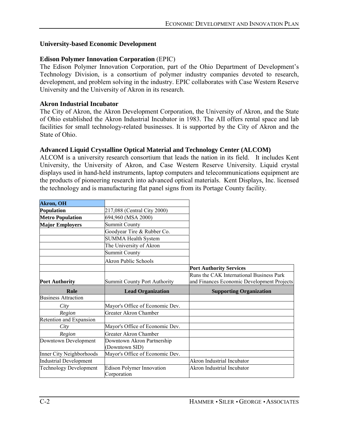#### **University-based Economic Development**

#### **Edison Polymer Innovation Corporation** (EPIC)

The Edison Polymer Innovation Corporation, part of the Ohio Department of Development's Technology Division, is a consortium of polymer industry companies devoted to research, development, and problem solving in the industry. EPIC collaborates with Case Western Reserve University and the University of Akron in its research.

#### **Akron Industrial Incubator**

The City of Akron, the Akron Development Corporation, the University of Akron, and the State of Ohio established the Akron Industrial Incubator in 1983. The AII offers rental space and lab facilities for small technology-related businesses. It is supported by the City of Akron and the State of Ohio.

#### **Advanced Liquid Crystalline Optical Material and Technology Center (ALCOM)**

ALCOM is a university research consortium that leads the nation in its field. It includes Kent University, the University of Akron, and Case Western Reserve University. Liquid crystal displays used in hand-held instruments, laptop computers and telecommunications equipment are the products of pioneering research into advanced optical materials. Kent Displays, Inc. licensed the technology and is manufacturing flat panel signs from its Portage County facility.

| <b>Akron</b> , OH             |                                     |                                            |
|-------------------------------|-------------------------------------|--------------------------------------------|
|                               |                                     |                                            |
| Population                    | 217,088 (Central City 2000)         |                                            |
| <b>Metro Population</b>       | 694,960 (MSA 2000)                  |                                            |
| <b>Major Employers</b>        | <b>Summit County</b>                |                                            |
|                               | Goodyear Tire & Rubber Co.          |                                            |
|                               | <b>SUMMA Health System</b>          |                                            |
|                               | The University of Akron             |                                            |
|                               | <b>Summit County</b>                |                                            |
|                               | <b>Akron Public Schools</b>         |                                            |
|                               |                                     | <b>Port Authority Services</b>             |
|                               |                                     | Runs the CAK International Business Park   |
| <b>Port Authority</b>         | <b>Summit County Port Authority</b> | and Finances Economic Development Projects |
| Role                          | <b>Lead Organization</b>            | <b>Supporting Organization</b>             |
| <b>Business Attraction</b>    |                                     |                                            |
|                               |                                     |                                            |
| City                          | Mayor's Office of Economic Dev.     |                                            |
| Region                        | <b>Greater Akron Chamber</b>        |                                            |
| Retention and Expansion       |                                     |                                            |
| City                          | Mayor's Office of Economic Dev.     |                                            |
| Region                        | <b>Greater Akron Chamber</b>        |                                            |
| Downtown Development          | Downtown Akron Partnership          |                                            |
|                               | (Downtown SID)                      |                                            |
| Inner City Neighborhoods      | Mayor's Office of Economic Dev.     |                                            |
| <b>Industrial Development</b> |                                     | Akron Industrial Incubator                 |
| <b>Technology Development</b> | <b>Edison Polymer Innovation</b>    | Akron Industrial Incubator                 |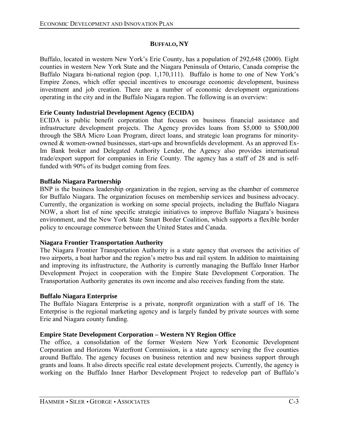## **BUFFALO, NY**

Buffalo, located in western New York's Erie County, has a population of 292,648 (2000). Eight counties in western New York State and the Niagara Peninsula of Ontario, Canada comprise the Buffalo Niagara bi-national region (pop.  $1,170,111$ ). Buffalo is home to one of New York's Empire Zones, which offer special incentives to encourage economic development, business investment and job creation. There are a number of economic development organizations operating in the city and in the Buffalo Niagara region. The following is an overview:

# **Erie County Industrial Development Agency (ECIDA)**

ECIDA is public benefit corporation that focuses on business financial assistance and infrastructure development projects. The Agency provides loans from \$5,000 to \$500,000 through the SBA Micro Loan Program, direct loans, and strategic loan programs for minorityowned & women-owned businesses, start-ups and brownfields development. As an approved Ex-Im Bank broker and Delegated Authority Lender, the Agency also provides international trade/export support for companies in Erie County. The agency has a staff of 28 and is selffunded with 90% of its budget coming from fees.

### **Buffalo Niagara Partnership**

BNP is the business leadership organization in the region, serving as the chamber of commerce for Buffalo Niagara. The organization focuses on membership services and business advocacy. Currently, the organization is working on some special projects, including the Buffalo Niagara NOW, a short list of nine specific strategic initiatives to improve Buffalo Niagara's business environment, and the New York State Smart Border Coalition, which supports a flexible border policy to encourage commerce between the United States and Canada.

### **Niagara Frontier Transportation Authority**

The Niagara Frontier Transportation Authority is a state agency that oversees the activities of two airports, a boat harbor and the region's metro bus and rail system. In addition to maintaining and improving its infrastructure, the Authority is currently managing the Buffalo Inner Harbor Development Project in cooperation with the Empire State Development Corporation. The Transportation Authority generates its own income and also receives funding from the state.

### **Buffalo Niagara Enterprise**

The Buffalo Niagara Enterprise is a private, nonprofit organization with a staff of 16. The Enterprise is the regional marketing agency and is largely funded by private sources with some Erie and Niagara county funding.

# **Empire State Development Corporation – Western NY Region Office**

The office, a consolidation of the former Western New York Economic Development Corporation and Horizons Waterfront Commission, is a state agency serving the five counties around Buffalo. The agency focuses on business retention and new business support through grants and loans. It also directs specific real estate development projects. Currently, the agency is working on the Buffalo Inner Harbor Development Project to redevelop part of Buffalo's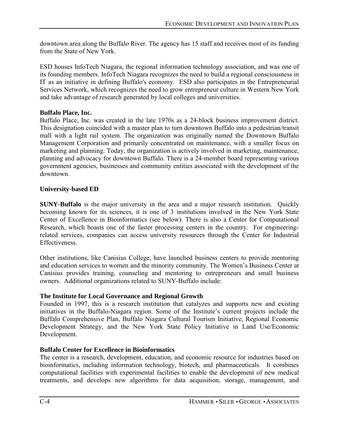downtown area along the Buffalo River. The agency has 15 staff and receives most of its funding from the State of New York.

ESD houses InfoTech Niagara, the regional information technology association, and was one of its founding members. InfoTech Niagara recognizes the need to build a regional consciousness in IT as an initiative in defining Buffalo's economy. ESD also participates in the Entrepreneurial Services Network, which recognizes the need to grow entrepreneur culture in Western New York and take advantage of research generated by local colleges and universities.

## **Buffalo Place, Inc.**

Buffalo Place, Inc. was created in the late 1970s as a 24-block business improvement district. This designation coincided with a master plan to turn downtown Buffalo into a pedestrian/transit mall with a light rail system. The organization was originally named the Downtown Buffalo Management Corporation and primarily concentrated on maintenance, with a smaller focus on marketing and planning. Today, the organization is actively involved in marketing, maintenance, planning and advocacy for downtown Buffalo. There is a 24-member board representing various government agencies, businesses and community entities associated with the development of the downtown.

## **University-based ED**

**SUNY-Buffalo** is the major university in the area and a major research institution. Quickly becoming known for its sciences, it is one of 3 institutions involved in the New York State Center of Excellence in Bioinformatics (see below). There is also a Center for Computational Research, which boasts one of the faster processing centers in the country. For engineeringrelated services, companies can access university resources through the Center for Industrial Effectiveness.

Other institutions, like Canisius College, have launched business centers to provide mentoring and education services to women and the minority community. The Women's Business Center at Canisius provides training, counseling and mentoring to entrepreneurs and small business owners. Additional organizations related to SUNY-Buffalo include:

# **The Institute for Local Governance and Regional Growth**

Founded in 1997, this is a research institution that catalyzes and supports new and existing initiatives in the Buffalo-Niagara region. Some of the Institute's current projects include the Buffalo Comprehensive Plan, Buffalo Niagara Cultural Tourism Initiative, Regional Economic Development Strategy, and the New York State Policy Initiative in Land Use/Economic Development.

# **Buffalo Center for Excellence in Bioinformatics**

The center is a research, development, education, and economic resource for industries based on bioinformatics, including information technology, biotech, and pharmaceuticals. It combines computational facilities with experimental facilities to enable the development of new medical treatments, and develops new algorithms for data acquisition, storage, management, and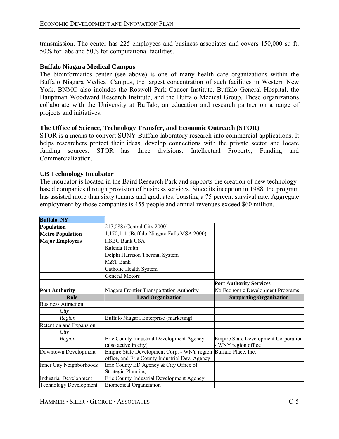transmission. The center has 225 employees and business associates and covers 150,000 sq ft, 50% for labs and 50% for computational facilities.

#### **Buffalo Niagara Medical Campus**

The bioinformatics center (see above) is one of many health care organizations within the Buffalo Niagara Medical Campus, the largest concentration of such facilities in Western New York. BNMC also includes the Roswell Park Cancer Institute, Buffalo General Hospital, the Hauptman Woodward Research Institute, and the Buffalo Medical Group. These organizations collaborate with the University at Buffalo, an education and research partner on a range of projects and initiatives.

#### **The Office of Science, Technology Transfer, and Economic Outreach (STOR)**

STOR is a means to convert SUNY Buffalo laboratory research into commercial applications. It helps researchers protect their ideas, develop connections with the private sector and locate funding sources. STOR has three divisions: Intellectual Property, Funding and Commercialization.

#### **UB Technology Incubator**

The incubator is located in the Baird Research Park and supports the creation of new technologybased companies through provision of business services. Since its inception in 1988, the program has assisted more than sixty tenants and graduates, boasting a 75 percent survival rate. Aggregate employment by those companies is 455 people and annual revenues exceed \$60 million.

| <b>Buffalo, NY</b>            |                                                                 |                                             |
|-------------------------------|-----------------------------------------------------------------|---------------------------------------------|
| Population                    | 217,088 (Central City 2000)                                     |                                             |
| <b>Metro Population</b>       | 1,170,111 (Buffalo-Niagara Falls MSA 2000)                      |                                             |
| <b>Major Employers</b>        | <b>HSBC Bank USA</b>                                            |                                             |
|                               | Kaleida Health                                                  |                                             |
|                               | Delphi Harrison Thermal System                                  |                                             |
|                               | M&T Bank                                                        |                                             |
|                               | Catholic Health System                                          |                                             |
|                               | <b>General Motors</b>                                           |                                             |
|                               |                                                                 | <b>Port Authority Services</b>              |
| <b>Port Authority</b>         | Niagara Frontier Transportation Authority                       | No Economic Development Programs            |
| Role                          | <b>Lead Organization</b>                                        | <b>Supporting Organization</b>              |
| <b>Business Attraction</b>    |                                                                 |                                             |
| City                          |                                                                 |                                             |
| Region                        | Buffalo Niagara Enterprise (marketing)                          |                                             |
| Retention and Expansion       |                                                                 |                                             |
| City                          |                                                                 |                                             |
| Region                        | Erie County Industrial Development Agency                       | <b>Empire State Development Corporation</b> |
|                               | (also active in city)                                           | WNY region office                           |
| Downtown Development          | Empire State Development Corp. - WNY region Buffalo Place, Inc. |                                             |
|                               | office, and Erie County Industrial Dev. Agency                  |                                             |
| Inner City Neighborhoods      | Erie County ED Agency & City Office of                          |                                             |
|                               | <b>Strategic Planning</b>                                       |                                             |
| <b>Industrial Development</b> | Erie County Industrial Development Agency                       |                                             |
| <b>Technology Development</b> | <b>Biomedical Organization</b>                                  |                                             |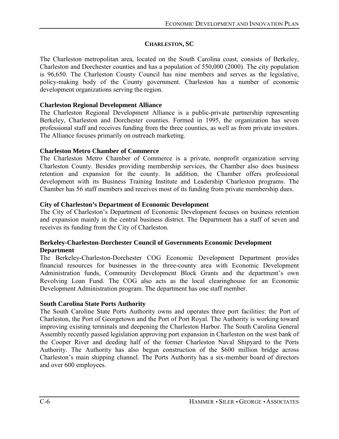# **CHARLESTON, SC**

The Charleston metropolitan area, located on the South Carolina coast, consists of Berkeley, Charleston and Dorchester counties and has a population of 550,000 (2000). The city population is 96,650. The Charleston County Council has nine members and serves as the legislative, policy-making body of the County government. Charleston has a number of economic development organizations serving the region.

### **Charleston Regional Development Alliance**

The Charleston Regional Development Alliance is a public-private partnership representing Berkeley, Charleston and Dorchester counties. Formed in 1995, the organization has seven professional staff and receives funding from the three counties, as well as from private investors. The Alliance focuses primarily on outreach marketing.

## **Charleston Metro Chamber of Commerce**

The Charleston Metro Chamber of Commerce is a private, nonprofit organization serving Charleston County. Besides providing membership services, the Chamber also does business retention and expansion for the county. In addition, the Chamber offers professional development with its Business Training Institute and Leadership Charleston programs. The Chamber has 56 staff members and receives most of its funding from private membership dues.

## **City of Charleston's Department of Economic Development**

The City of Charleston's Department of Economic Development focuses on business retention and expansion mainly in the central business district. The Department has a staff of seven and receives its funding from the City of Charleston.

## **Berkeley-Charleston-Dorchester Council of Governments Economic Development Department**

The Berkeley-Charleston-Dorchester COG Economic Development Department provides financial resources for businesses in the three-county area with Economic Development Administration funds, Community Development Block Grants and the department's own Revolving Loan Fund. The COG also acts as the local clearinghouse for an Economic Development Administration program. The department has one staff member.

# **South Carolina State Ports Authority**

The South Caroline State Ports Authority owns and operates three port facilities: the Port of Charleston, the Port of Georgetown and the Port of Port Royal. The Authority is working toward improving existing terminals and deepening the Charleston Harbor. The South Carolina General Assembly recently passed legislation approving port expansion in Charleston on the west bank of the Cooper River and deeding half of the former Charleston Naval Shipyard to the Ports Authority. The Authority has also begun construction of the \$600 million bridge across Charleston's main shipping channel. The Ports Authority has a six-member board of directors and over 600 employees.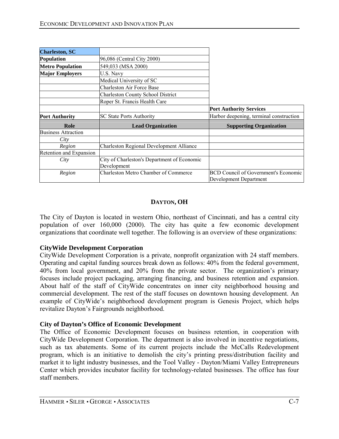| <b>Charleston, SC</b>      |                                                            |                                                                       |
|----------------------------|------------------------------------------------------------|-----------------------------------------------------------------------|
| <b>Population</b>          | 96,086 (Central City 2000)                                 |                                                                       |
| <b>Metro Population</b>    | 549,033 (MSA 2000)                                         |                                                                       |
| <b>Major Employers</b>     | U.S. Navy                                                  |                                                                       |
|                            | Medical University of SC                                   |                                                                       |
|                            | Charleston Air Force Base                                  |                                                                       |
|                            | <b>Charleston County School District</b>                   |                                                                       |
|                            | Roper St. Francis Health Care                              |                                                                       |
|                            |                                                            | <b>Port Authority Services</b>                                        |
| <b>Port Authority</b>      | <b>SC State Ports Authority</b>                            | Harbor deepening, terminal construction                               |
| Role                       | <b>Lead Organization</b>                                   | <b>Supporting Organization</b>                                        |
| <b>Business Attraction</b> |                                                            |                                                                       |
| City                       |                                                            |                                                                       |
| Region                     | <b>Charleston Regional Development Alliance</b>            |                                                                       |
| Retention and Expansion    |                                                            |                                                                       |
| City                       | City of Charleston's Department of Economic<br>Development |                                                                       |
| Region                     | <b>Charleston Metro Chamber of Commerce</b>                | <b>BCD Council of Government's Economic</b><br>Development Department |

# **DAYTON, OH**

The City of Dayton is located in western Ohio, northeast of Cincinnati, and has a central city population of over 160,000 (2000). The city has quite a few economic development organizations that coordinate well together. The following is an overview of these organizations:

### **CityWide Development Corporation**

CityWide Development Corporation is a private, nonprofit organization with 24 staff members. Operating and capital funding sources break down as follows: 40% from the federal government, 40% from local government, and 20% from the private sector. The organization's primary focuses include project packaging, arranging financing, and business retention and expansion. About half of the staff of CityWide concentrates on inner city neighborhood housing and commercial development. The rest of the staff focuses on downtown housing development. An example of CityWide's neighborhood development program is Genesis Project, which helps revitalize Dayton's Fairgrounds neighborhood.

### **City of Dayton's Office of Economic Development**

The Office of Economic Development focuses on business retention, in cooperation with CityWide Development Corporation. The department is also involved in incentive negotiations, such as tax abatements. Some of its current projects include the McCalls Redevelopment program, which is an initiative to demolish the city's printing press/distribution facility and market it to light industry businesses, and the Tool Valley - Dayton/Miami Valley Entrepreneurs Center which provides incubator facility for technology-related businesses. The office has four staff members.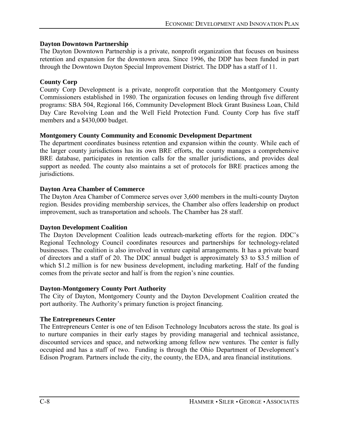# **Dayton Downtown Partnership**

The Dayton Downtown Partnership is a private, nonprofit organization that focuses on business retention and expansion for the downtown area. Since 1996, the DDP has been funded in part through the Downtown Dayton Special Improvement District. The DDP has a staff of 11.

## **County Corp**

County Corp Development is a private, nonprofit corporation that the Montgomery County Commissioners established in 1980. The organization focuses on lending through five different programs: SBA 504, Regional 166, Community Development Block Grant Business Loan, Child Day Care Revolving Loan and the Well Field Protection Fund. County Corp has five staff members and a \$430,000 budget.

## **Montgomery County Community and Economic Development Department**

The department coordinates business retention and expansion within the county. While each of the larger county jurisdictions has its own BRE efforts, the county manages a comprehensive BRE database, participates in retention calls for the smaller jurisdictions, and provides deal support as needed. The county also maintains a set of protocols for BRE practices among the jurisdictions.

## **Dayton Area Chamber of Commerce**

The Dayton Area Chamber of Commerce serves over 3,600 members in the multi-county Dayton region. Besides providing membership services, the Chamber also offers leadership on product improvement, such as transportation and schools. The Chamber has 28 staff.

### **Dayton Development Coalition**

The Dayton Development Coalition leads outreach-marketing efforts for the region. DDC's Regional Technology Council coordinates resources and partnerships for technology-related businesses. The coalition is also involved in venture capital arrangements. It has a private board of directors and a staff of 20. The DDC annual budget is approximately \$3 to \$3.5 million of which \$1.2 million is for new business development, including marketing. Half of the funding comes from the private sector and half is from the region's nine counties.

### **Dayton-Montgomery County Port Authority**

The City of Dayton, Montgomery County and the Dayton Development Coalition created the port authority. The Authority's primary function is project financing.

### **The Entrepreneurs Center**

The Entrepreneurs Center is one of ten Edison Technology Incubators across the state. Its goal is to nurture companies in their early stages by providing managerial and technical assistance, discounted services and space, and networking among fellow new ventures. The center is fully occupied and has a staff of two. Funding is through the Ohio Department of Development's Edison Program. Partners include the city, the county, the EDA, and area financial institutions.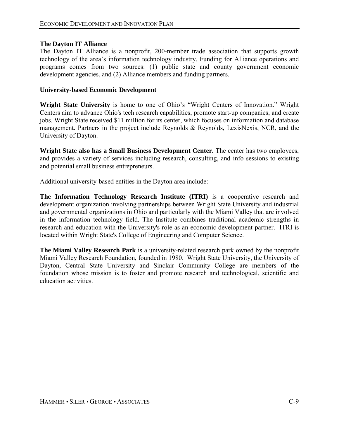## **The Dayton IT Alliance**

The Dayton IT Alliance is a nonprofit, 200-member trade association that supports growth technology of the area's information technology industry. Funding for Alliance operations and programs comes from two sources: (1) public state and county government economic development agencies, and (2) Alliance members and funding partners.

### **University-based Economic Development**

Wright State University is home to one of Ohio's "Wright Centers of Innovation." Wright Centers aim to advance Ohio's tech research capabilities, promote start-up companies, and create jobs. Wright State received \$11 million for its center, which focuses on information and database management. Partners in the project include Reynolds & Reynolds, LexisNexis, NCR, and the University of Dayton.

**Wright State also has a Small Business Development Center.** The center has two employees, and provides a variety of services including research, consulting, and info sessions to existing and potential small business entrepreneurs.

Additional university-based entities in the Dayton area include:

**The Information Technology Research Institute (ITRI)** is a cooperative research and development organization involving partnerships between Wright State University and industrial and governmental organizations in Ohio and particularly with the Miami Valley that are involved in the information technology field. The Institute combines traditional academic strengths in research and education with the University's role as an economic development partner. ITRI is located within Wright State's College of Engineering and Computer Science.

**The Miami Valley Research Park** is a university-related research park owned by the nonprofit Miami Valley Research Foundation, founded in 1980. Wright State University, the University of Dayton, Central State University and Sinclair Community College are members of the foundation whose mission is to foster and promote research and technological, scientific and education activities.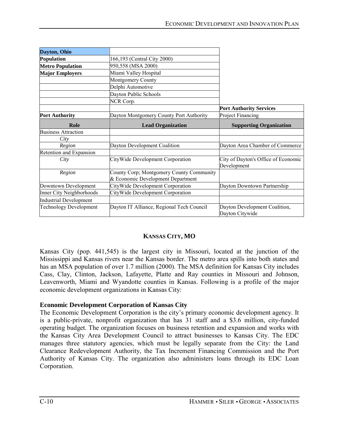| Dayton, Ohio                  |                                                                               |                                                    |
|-------------------------------|-------------------------------------------------------------------------------|----------------------------------------------------|
| Population                    | 166,193 (Central City 2000)                                                   |                                                    |
| <b>Metro Population</b>       | 950,558 (MSA 2000)                                                            |                                                    |
| <b>Major Employers</b>        | Miami Valley Hospital                                                         |                                                    |
|                               | Montgomery County                                                             |                                                    |
|                               | Delphi Automotive                                                             |                                                    |
|                               | Dayton Public Schools                                                         |                                                    |
|                               | NCR Corp.                                                                     |                                                    |
|                               |                                                                               | <b>Port Authority Services</b>                     |
| <b>Port Authority</b>         | Dayton Montgomery County Port Authority                                       | Project Financing                                  |
| Role                          | <b>Lead Organization</b>                                                      | <b>Supporting Organization</b>                     |
| <b>Business Attraction</b>    |                                                                               |                                                    |
| City                          |                                                                               |                                                    |
| Region                        | Dayton Development Coalition                                                  | Dayton Area Chamber of Commerce                    |
| Retention and Expansion       |                                                                               |                                                    |
| City                          | CityWide Development Corporation                                              | City of Dayton's Office of Economic<br>Development |
| Region                        | County Corp; Montgomery County Community<br>& Economic Development Department |                                                    |
| Downtown Development          | CityWide Development Corporation                                              | Dayton Downtown Partnership                        |
| Inner City Neighborhoods      | CityWide Development Corporation                                              |                                                    |
| <b>Industrial Development</b> |                                                                               |                                                    |
| <b>Technology Development</b> | Dayton IT Alliance, Regional Tech Council                                     | Dayton Development Coalition,<br>Dayton Citywide   |

# **KANSAS CITY, MO**

Kansas City (pop. 441,545) is the largest city in Missouri, located at the junction of the Mississippi and Kansas rivers near the Kansas border. The metro area spills into both states and has an MSA population of over 1.7 million (2000). The MSA definition for Kansas City includes Cass, Clay, Clinton, Jackson, Lafayette, Platte and Ray counties in Missouri and Johnson, Leavenworth, Miami and Wyandotte counties in Kansas. Following is a profile of the major economic development organizations in Kansas City:

### **Economic Development Corporation of Kansas City**

The Economic Development Corporation is the city's primary economic development agency. It is a public-private, nonprofit organization that has 31 staff and a \$3.6 million, city-funded operating budget. The organization focuses on business retention and expansion and works with the Kansas City Area Development Council to attract businesses to Kansas City. The EDC manages three statutory agencies, which must be legally separate from the City: the Land Clearance Redevelopment Authority, the Tax Increment Financing Commission and the Port Authority of Kansas City. The organization also administers loans through its EDC Loan Corporation.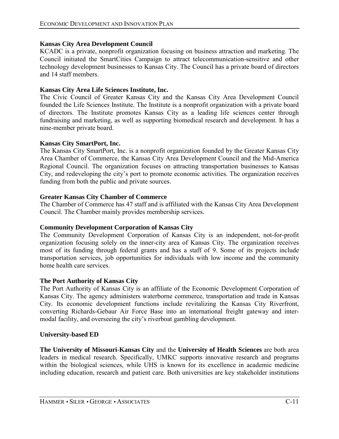#### **Kansas City Area Development Council**

KCADC is a private, nonprofit organization focusing on business attraction and marketing. The Council initiated the SmartCities Campaign to attract telecommunication-sensitive and other technology development businesses to Kansas City. The Council has a private board of directors and 14 staff members.

#### **Kansas City Area Life Sciences Institute, Inc.**

The Civic Council of Greater Kansas City and the Kansas City Area Development Council founded the Life Sciences Institute. The Institute is a nonprofit organization with a private board of directors. The Institute promotes Kansas City as a leading life sciences center through fundraising and marketing, as well as supporting biomedical research and development. It has a nine-member private board.

#### **Kansas City SmartPort, Inc.**

The Kansas City SmartPort, Inc. is a nonprofit organization founded by the Greater Kansas City Area Chamber of Commerce, the Kansas City Area Development Council and the Mid-America Regional Council. The organization focuses on attracting transportation businesses to Kansas City, and redeveloping the city's port to promote economic activities. The organization receives funding from both the public and private sources.

#### **Greater Kansas City Chamber of Commerce**

The Chamber of Commerce has 47 staff and is affiliated with the Kansas City Area Development Council. The Chamber mainly provides membership services.

### **Community Development Corporation of Kansas City**

The Community Development Corporation of Kansas City is an independent, not-for-profit organization focusing solely on the inner-city area of Kansas City. The organization receives most of its funding through federal grants and has a staff of 9. Some of its projects include transportation services, job opportunities for individuals with low income and the community home health care services.

#### **The Port Authority of Kansas City**

The Port Authority of Kansas City is an affiliate of the Economic Development Corporation of Kansas City. The agency administers waterborne commerce, transportation and trade in Kansas City. Its economic development functions include revitalizing the Kansas City Riverfront, converting Richards-Gebaur Air Force Base into an international freight gateway and intermodal facility, and overseeing the city's riverboat gambling development.

#### **University-based ED**

**The University of Missouri-Kansas City** and the **University of Health Sciences** are both area leaders in medical research. Specifically, UMKC supports innovative research and programs within the biological sciences, while UHS is known for its excellence in academic medicine including education, research and patient care. Both universities are key stakeholder institutions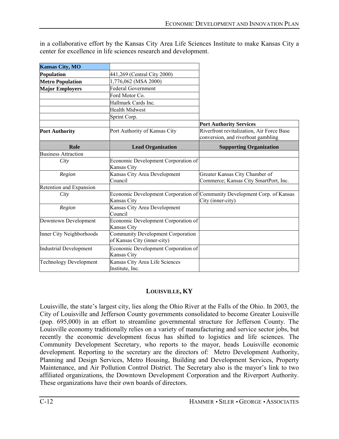| <b>Kansas City, MO</b>        |                                                                         |                                                                                                |
|-------------------------------|-------------------------------------------------------------------------|------------------------------------------------------------------------------------------------|
| Population                    | 441,269 (Central City 2000)                                             |                                                                                                |
| <b>Metro Population</b>       | 1,776,062 (MSA 2000)                                                    |                                                                                                |
| <b>Major Employers</b>        | <b>Federal Government</b>                                               |                                                                                                |
|                               | Ford Motor Co.                                                          |                                                                                                |
|                               | Hallmark Cards Inc.                                                     |                                                                                                |
|                               | <b>Health Midwest</b>                                                   |                                                                                                |
|                               | Sprint Corp.                                                            |                                                                                                |
|                               |                                                                         | <b>Port Authority Services</b>                                                                 |
| <b>Port Authority</b>         | Port Authority of Kansas City                                           | Riverfront revitalization, Air Force Base<br>conversion, and riverboat gambling                |
| Role                          | <b>Lead Organization</b>                                                | <b>Supporting Organization</b>                                                                 |
| <b>Business Attraction</b>    |                                                                         |                                                                                                |
| City                          | Economic Development Corporation of<br>Kansas City                      |                                                                                                |
| Region                        | Kansas City Area Development<br>Council                                 | Greater Kansas City Chamber of<br>Commerce; Kansas City SmartPort, Inc.                        |
| Retention and Expansion       |                                                                         |                                                                                                |
| City                          | Kansas City                                                             | Economic Development Corporation of Community Development Corp. of Kansas<br>City (inner-city) |
| Region                        | Kansas City Area Development<br>Council                                 |                                                                                                |
| Downtown Development          | Economic Development Corporation of<br>Kansas City                      |                                                                                                |
| Inner City Neighborhoods      | <b>Community Development Corporation</b><br>of Kansas City (inner-city) |                                                                                                |
| <b>Industrial Development</b> | Economic Development Corporation of<br><b>Kansas City</b>               |                                                                                                |
| <b>Technology Development</b> | Kansas City Area Life Sciences<br>Institute, Inc.                       |                                                                                                |

in a collaborative effort by the Kansas City Area Life Sciences Institute to make Kansas City a center for excellence in life sciences research and development.

# **LOUISVILLE, KY**

Louisville, the state's largest city, lies along the Ohio River at the Falls of the Ohio. In 2003, the City of Louisville and Jefferson County governments consolidated to become Greater Louisville (pop. 695,000) in an effort to streamline governmental structure for Jefferson County. The Louisville economy traditionally relies on a variety of manufacturing and service sector jobs, but recently the economic development focus has shifted to logistics and life sciences. The Community Development Secretary, who reports to the mayor, heads Louisville economic development. Reporting to the secretary are the directors of: Metro Development Authority, Planning and Design Services, Metro Housing, Building and Development Services, Property Maintenance, and Air Pollution Control District. The Secretary also is the mayor's link to two affiliated organizations, the Downtown Development Corporation and the Riverport Authority. These organizations have their own boards of directors.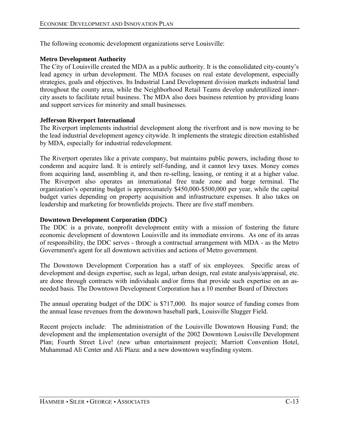The following economic development organizations serve Louisville:

# **Metro Development Authority**

The City of Louisville created the MDA as a public authority. It is the consolidated city-county's lead agency in urban development. The MDA focuses on real estate development, especially strategies, goals and objectives. Its Industrial Land Development division markets industrial land throughout the county area, while the Neighborhood Retail Teams develop underutilized innercity assets to facilitate retail business. The MDA also does business retention by providing loans and support services for minority and small businesses.

## **Jefferson Riverport International**

The Riverport implements industrial development along the riverfront and is now moving to be the lead industrial development agency citywide. It implements the strategic direction established by MDA, especially for industrial redevelopment.

The Riverport operates like a private company, but maintains public powers, including those to condemn and acquire land. It is entirely self-funding, and it cannot levy taxes. Money comes from acquiring land, assembling it, and then re-selling, leasing, or renting it at a higher value. The Riverport also operates an international free trade zone and barge terminal. The organization's operating budget is approximately \$450,000-\$500,000 per year, while the capital budget varies depending on property acquisition and infrastructure expenses. It also takes on leadership and marketing for brownfields projects. There are five staff members.

### **Downtown Development Corporation (DDC)**

The DDC is a private, nonprofit development entity with a mission of fostering the future economic development of downtown Louisville and its immediate environs. As one of its areas of responsibility, the DDC serves - through a contractual arrangement with MDA - as the Metro Government's agent for all downtown activities and actions of Metro government.

The Downtown Development Corporation has a staff of six employees. Specific areas of development and design expertise, such as legal, urban design, real estate analysis/appraisal, etc. are done through contracts with individuals and/or firms that provide such expertise on an asneeded basis. The Downtown Development Corporation has a 10 member Board of Directors

The annual operating budget of the DDC is \$717,000. Its major source of funding comes from the annual lease revenues from the downtown baseball park, Louisville Slugger Field.

Recent projects include: The administration of the Louisville Downtown Housing Fund; the development and the implementation oversight of the 2002 Downtown Louisville Development Plan; Fourth Street Live! (new urban entertainment project); Marriott Convention Hotel, Muhammad Ali Center and Ali Plaza: and a new downtown wayfinding system.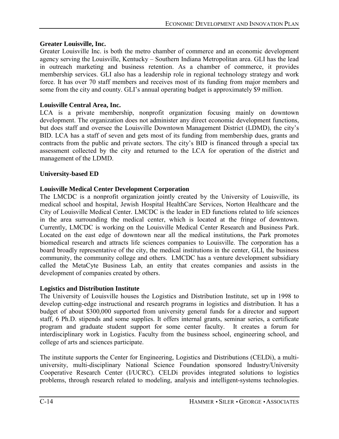# **Greater Louisville, Inc.**

Greater Louisville Inc. is both the metro chamber of commerce and an economic development agency serving the Louisville, Kentucky – Southern Indiana Metropolitan area. GLI has the lead in outreach marketing and business retention. As a chamber of commerce, it provides membership services. GLI also has a leadership role in regional technology strategy and work force. It has over 70 staff members and receives most of its funding from major members and some from the city and county. GLI's annual operating budget is approximately \$9 million.

# **Louisville Central Area, Inc.**

LCA is a private membership, nonprofit organization focusing mainly on downtown development. The organization does not administer any direct economic development functions, but does staff and oversee the Louisville Downtown Management District (LDMD), the city's BID. LCA has a staff of seven and gets most of its funding from membership dues, grants and contracts from the public and private sectors. The city's BID is financed through a special tax assessment collected by the city and returned to the LCA for operation of the district and management of the LDMD.

# **University-based ED**

# **Louisville Medical Center Development Corporation**

The LMCDC is a nonprofit organization jointly created by the University of Louisville, its medical school and hospital, Jewish Hospital HealthCare Services, Norton Healthcare and the City of Louisville Medical Center. LMCDC is the leader in ED functions related to life sciences in the area surrounding the medical center, which is located at the fringe of downtown. Currently, LMCDC is working on the Louisville Medical Center Research and Business Park. Located on the east edge of downtown near all the medical institutions, the Park promotes biomedical research and attracts life sciences companies to Louisville. The corporation has a board broadly representative of the city, the medical institutions in the center, GLI, the business community, the community college and others. LMCDC has a venture development subsidiary called the MetaCyte Business Lab, an entity that creates companies and assists in the development of companies created by others.

# **Logistics and Distribution Institute**

The University of Louisville houses the Logistics and Distribution Institute, set up in 1998 to develop cutting-edge instructional and research programs in logistics and distribution. It has a budget of about \$300,000 supported from university general funds for a director and support staff, 6 Ph.D. stipends and some supplies. It offers internal grants, seminar series, a certificate program and graduate student support for some center faculty. It creates a forum for interdisciplinary work in Logistics. Faculty from the business school, engineering school, and college of arts and sciences participate.

The institute supports the Center for Engineering, Logistics and Distributions (CELDi), a multiuniversity, multi-disciplinary National Science Foundation sponsored Industry/University Cooperative Research Center (I/UCRC). CELDi provides integrated solutions to logistics problems, through research related to modeling, analysis and intelligent-systems technologies.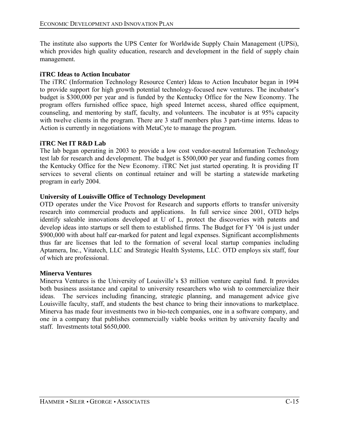The institute also supports the UPS Center for Worldwide Supply Chain Management (UPSi), which provides high quality education, research and development in the field of supply chain management.

# **iTRC Ideas to Action Incubator**

The iTRC (Information Technology Resource Center) Ideas to Action Incubator began in 1994 to provide support for high growth potential technology-focused new ventures. The incubator's budget is \$300,000 per year and is funded by the Kentucky Office for the New Economy. The program offers furnished office space, high speed Internet access, shared office equipment, counseling, and mentoring by staff, faculty, and volunteers. The incubator is at 95% capacity with twelve clients in the program. There are 3 staff members plus 3 part-time interns. Ideas to Action is currently in negotiations with MetaCyte to manage the program.

# **iTRC Net IT R&D Lab**

The lab began operating in 2003 to provide a low cost vendor-neutral Information Technology test lab for research and development. The budget is \$500,000 per year and funding comes from the Kentucky Office for the New Economy. iTRC Net just started operating. It is providing IT services to several clients on continual retainer and will be starting a statewide marketing program in early 2004.

# **University of Louisville Office of Technology Development**

OTD operates under the Vice Provost for Research and supports efforts to transfer university research into commercial products and applications. In full service since 2001, OTD helps identify saleable innovations developed at U of L, protect the discoveries with patents and develop ideas into startups or sell them to established firms. The Budget for FY '04 is just under \$900,000 with about half ear-marked for patent and legal expenses. Significant accomplishments thus far are licenses that led to the formation of several local startup companies including Aptamera, Inc., Vitatech, LLC and Strategic Health Systems, LLC. OTD employs six staff, four of which are professional.

# **Minerva Ventures**

Minerva Ventures is the University of Louisville's \$3 million venture capital fund. It provides both business assistance and capital to university researchers who wish to commercialize their ideas. The services including financing, strategic planning, and management advice give Louisville faculty, staff, and students the best chance to bring their innovations to marketplace. Minerva has made four investments two in bio-tech companies, one in a software company, and one in a company that publishes commercially viable books written by university faculty and staff. Investments total \$650,000.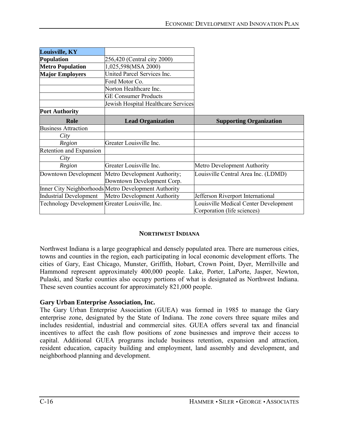| Louisville, KY                                  |                                                      |                                       |
|-------------------------------------------------|------------------------------------------------------|---------------------------------------|
| Population                                      | 256,420 (Central city 2000)                          |                                       |
| <b>Metro Population</b>                         | 1,025,598(MSA 2000)                                  |                                       |
| <b>Major Employers</b>                          | United Parcel Services Inc.                          |                                       |
|                                                 | Ford Motor Co.                                       |                                       |
|                                                 | Norton Healthcare Inc.                               |                                       |
|                                                 | <b>GE Consumer Products</b>                          |                                       |
|                                                 | Jewish Hospital Healthcare Services                  |                                       |
| <b>Port Authority</b>                           |                                                      |                                       |
| Role                                            | <b>Lead Organization</b>                             | <b>Supporting Organization</b>        |
| <b>Business Attraction</b>                      |                                                      |                                       |
| City                                            |                                                      |                                       |
| Region                                          | Greater Louisville Inc.                              |                                       |
| Retention and Expansion                         |                                                      |                                       |
| City                                            |                                                      |                                       |
| Region                                          | Greater Louisville Inc.                              | Metro Development Authority           |
| Downtown Development                            | Metro Development Authority;                         | Louisville Central Area Inc. (LDMD)   |
|                                                 | Downtown Development Corp.                           |                                       |
|                                                 | Inner City Neighborhoods Metro Development Authority |                                       |
| <b>Industrial Development</b>                   | Metro Development Authority                          | Jefferson Riverport International     |
| Technology Development Greater Louisville, Inc. |                                                      | Louisville Medical Center Development |
|                                                 |                                                      | Corporation (life sciences)           |

### **NORTHWEST INDIANA**

Northwest Indiana is a large geographical and densely populated area. There are numerous cities, towns and counties in the region, each participating in local economic development efforts. The cities of Gary, East Chicago, Munster, Griffith, Hobart, Crown Point, Dyer, Merrillville and Hammond represent approximately 400,000 people. Lake, Porter, LaPorte, Jasper, Newton, Pulaski, and Starke counties also occupy portions of what is designated as Northwest Indiana. These seven counties account for approximately 821,000 people.

### **Gary Urban Enterprise Association, Inc.**

The Gary Urban Enterprise Association (GUEA) was formed in 1985 to manage the Gary enterprise zone, designated by the State of Indiana. The zone covers three square miles and includes residential, industrial and commercial sites. GUEA offers several tax and financial incentives to affect the cash flow positions of zone businesses and improve their access to capital. Additional GUEA programs include business retention, expansion and attraction, resident education, capacity building and employment, land assembly and development, and neighborhood planning and development.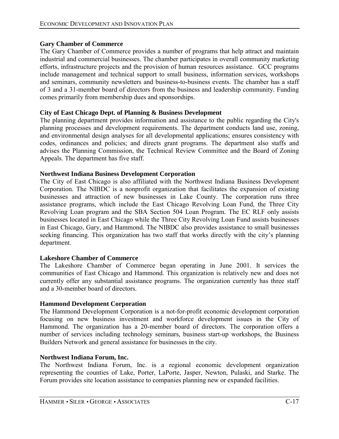# **Gary Chamber of Commerce**

The Gary Chamber of Commerce provides a number of programs that help attract and maintain industrial and commercial businesses. The chamber participates in overall community marketing efforts, infrastructure projects and the provision of human resources assistance. GCC programs include management and technical support to small business, information services, workshops and seminars, community newsletters and business-to-business events. The chamber has a staff of 3 and a 31-member board of directors from the business and leadership community. Funding comes primarily from membership dues and sponsorships.

# **City of East Chicago Dept. of Planning & Business Development**

The planning department provides information and assistance to the public regarding the City's planning processes and development requirements. The department conducts land use, zoning, and environmental design analyses for all developmental applications; ensures consistency with codes, ordinances and policies; and directs grant programs. The department also staffs and advises the Planning Commission, the Technical Review Committee and the Board of Zoning Appeals. The department has five staff.

### **Northwest Indiana Business Development Corporation**

The City of East Chicago is also affiliated with the Northwest Indiana Business Development Corporation. The NIBDC is a nonprofit organization that facilitates the expansion of existing businesses and attraction of new businesses in Lake County. The corporation runs three assistance programs, which include the East Chicago Revolving Loan Fund, the Three City Revolving Loan program and the SBA Section 504 Loan Program. The EC RLF only assists businesses located in East Chicago while the Three City Revolving Loan Fund assists businesses in East Chicago, Gary, and Hammond. The NIBDC also provides assistance to small businesses seeking financing. This organization has two staff that works directly with the city's planning department.

### **Lakeshore Chamber of Commerce**

The Lakeshore Chamber of Commerce began operating in June 2001. It services the communities of East Chicago and Hammond. This organization is relatively new and does not currently offer any substantial assistance programs. The organization currently has three staff and a 30-member board of directors.

### **Hammond Development Corporation**

The Hammond Development Corporation is a not-for-profit economic development corporation focusing on new business investment and workforce development issues in the City of Hammond. The organization has a 20-member board of directors. The corporation offers a number of services including technology seminars, business start-up workshops, the Business Builders Network and general assistance for businesses in the city.

### **Northwest Indiana Forum, Inc.**

The Northwest Indiana Forum, Inc. is a regional economic development organization representing the counties of Lake, Porter, LaPorte, Jasper, Newton, Pulaski, and Starke. The Forum provides site location assistance to companies planning new or expanded facilities.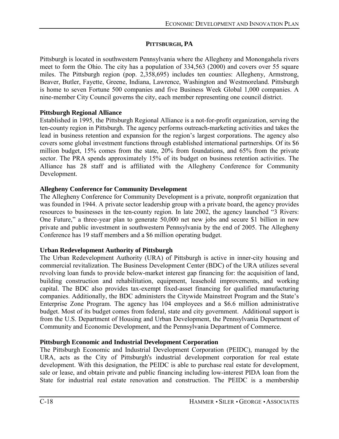# **PITTSBURGH, PA**

Pittsburgh is located in southwestern Pennsylvania where the Allegheny and Monongahela rivers meet to form the Ohio. The city has a population of 334,563 (2000) and covers over 55 square miles. The Pittsburgh region (pop. 2,358,695) includes ten counties: Allegheny, Armstrong, Beaver, Butler, Fayette, Greene, Indiana, Lawrence, Washington and Westmoreland. Pittsburgh is home to seven Fortune 500 companies and five Business Week Global 1,000 companies. A nine-member City Council governs the city, each member representing one council district.

## **Pittsburgh Regional Alliance**

Established in 1995, the Pittsburgh Regional Alliance is a not-for-profit organization, serving the ten-county region in Pittsburgh. The agency performs outreach-marketing activities and takes the lead in business retention and expansion for the region's largest corporations. The agency also covers some global investment functions through established international partnerships. Of its \$6 million budget, 15% comes from the state, 20% from foundations, and 65% from the private sector. The PRA spends approximately 15% of its budget on business retention activities. The Alliance has 28 staff and is affiliated with the Allegheny Conference for Community Development.

# **Allegheny Conference for Community Development**

The Allegheny Conference for Community Development is a private, nonprofit organization that was founded in 1944. A private sector leadership group with a private board, the agency provides resources to businesses in the ten-county region. In late 2002, the agency launched "3 Rivers: One Future," a three-year plan to generate 50,000 net new jobs and secure \$1 billion in new private and public investment in southwestern Pennsylvania by the end of 2005. The Allegheny Conference has 19 staff members and a \$6 million operating budget.

# **Urban Redevelopment Authority of Pittsburgh**

The Urban Redevelopment Authority (URA) of Pittsburgh is active in inner-city housing and commercial revitalization. The Business Development Center (BDC) of the URA utilizes several revolving loan funds to provide below-market interest gap financing for: the acquisition of land, building construction and rehabilitation, equipment, leasehold improvements, and working capital. The BDC also provides tax-exempt fixed-asset financing for qualified manufacturing companies. Additionally, the BDC administers the Citywide Mainstreet Program and the State's Enterprise Zone Program. The agency has 104 employees and a \$6.6 million administrative budget. Most of its budget comes from federal, state and city government. Additional support is from the U.S. Department of Housing and Urban Development, the Pennsylvania Department of Community and Economic Development, and the Pennsylvania Department of Commerce.

# **Pittsburgh Economic and Industrial Development Corporation**

The Pittsburgh Economic and Industrial Development Corporation (PEIDC), managed by the URA, acts as the City of Pittsburgh's industrial development corporation for real estate development. With this designation, the PEIDC is able to purchase real estate for development, sale or lease, and obtain private and public financing including low-interest PIDA loan from the State for industrial real estate renovation and construction. The PEIDC is a membership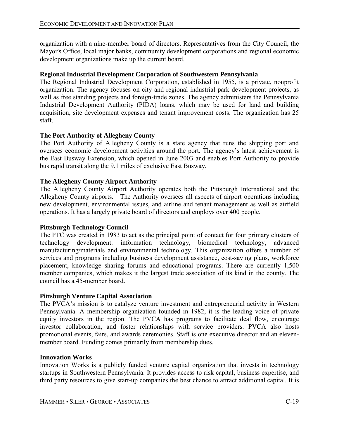organization with a nine-member board of directors. Representatives from the City Council, the Mayor's Office, local major banks, community development corporations and regional economic development organizations make up the current board.

## **Regional Industrial Development Corporation of Southwestern Pennsylvania**

The Regional Industrial Development Corporation, established in 1955, is a private, nonprofit organization. The agency focuses on city and regional industrial park development projects, as well as free standing projects and foreign-trade zones. The agency administers the Pennsylvania Industrial Development Authority (PIDA) loans, which may be used for land and building acquisition, site development expenses and tenant improvement costs. The organization has 25 staff.

# **The Port Authority of Allegheny County**

The Port Authority of Allegheny County is a state agency that runs the shipping port and oversees economic development activities around the port. The agency's latest achievement is the East Busway Extension, which opened in June 2003 and enables Port Authority to provide bus rapid transit along the 9.1 miles of exclusive East Busway.

## **The Allegheny County Airport Authority**

The Allegheny County Airport Authority operates both the Pittsburgh International and the Allegheny County airports. The Authority oversees all aspects of airport operations including new development, environmental issues, and airline and tenant management as well as airfield operations. It has a largely private board of directors and employs over 400 people.

### **Pittsburgh Technology Council**

The PTC was created in 1983 to act as the principal point of contact for four primary clusters of technology development: information technology, biomedical technology, advanced manufacturing/materials and environmental technology. This organization offers a number of services and programs including business development assistance, cost-saving plans, workforce placement, knowledge sharing forums and educational programs. There are currently 1,500 member companies, which makes it the largest trade association of its kind in the county. The council has a 45-member board.

### **Pittsburgh Venture Capital Association**

The PVCA's mission is to catalyze venture investment and entrepreneurial activity in Western Pennsylvania. A membership organization founded in 1982, it is the leading voice of private equity investors in the region. The PVCA has programs to facilitate deal flow, encourage investor collaboration, and foster relationships with service providers. PVCA also hosts promotional events, fairs, and awards ceremonies. Staff is one executive director and an elevenmember board. Funding comes primarily from membership dues.

### **Innovation Works**

Innovation Works is a publicly funded venture capital organization that invests in technology startups in Southwestern Pennsylvania. It provides access to risk capital, business expertise, and third party resources to give start-up companies the best chance to attract additional capital. It is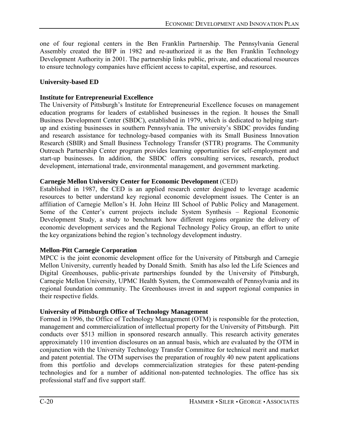one of four regional centers in the Ben Franklin Partnership. The Pennsylvania General Assembly created the BFP in 1982 and re-authorized it as the Ben Franklin Technology Development Authority in 2001. The partnership links public, private, and educational resources to ensure technology companies have efficient access to capital, expertise, and resources.

### **University-based ED**

### **Institute for Entrepreneurial Excellence**

The University of Pittsburgh's Institute for Entrepreneurial Excellence focuses on management education programs for leaders of established businesses in the region. It houses the Small Business Development Center (SBDC), established in 1979, which is dedicated to helping startup and existing businesses in southern Pennsylvania. The university's SBDC provides funding and research assistance for technology-based companies with its Small Business Innovation Research (SBIR) and Small Business Technology Transfer (STTR) programs. The Community Outreach Partnership Center program provides learning opportunities for self-employment and start-up businesses. In addition, the SBDC offers consulting services, research, product development, international trade, environmental management, and government marketing.

### **Carnegie Mellon University Center for Economic Development** (CED)

Established in 1987, the CED is an applied research center designed to leverage academic resources to better understand key regional economic development issues. The Center is an affiliation of Carnegie Mellon's H. John Heinz III School of Public Policy and Management. Some of the Center's current projects include System Synthesis  $-$  Regional Economic Development Study, a study to benchmark how different regions organize the delivery of economic development services and the Regional Technology Policy Group, an effort to unite the key organizations behind the region's technology development industry.

# **Mellon-Pitt Carnegie Corporation**

MPCC is the joint economic development office for the University of Pittsburgh and Carnegie Mellon University, currently headed by Donald Smith. Smith has also led the Life Sciences and Digital Greenhouses, public-private partnerships founded by the University of Pittsburgh, Carnegie Mellon University, UPMC Health System, the Commonwealth of Pennsylvania and its regional foundation community. The Greenhouses invest in and support regional companies in their respective fields.

## **University of Pittsburgh Office of Technology Management**

Formed in 1996, the Office of Technology Management (OTM) is responsible for the protection, management and commercialization of intellectual property for the University of Pittsburgh. Pitt conducts over \$513 million in sponsored research annually. This research activity generates approximately 110 invention disclosures on an annual basis, which are evaluated by the OTM in conjunction with the University Technology Transfer Committee for technical merit and market and patent potential. The OTM supervises the preparation of roughly 40 new patent applications from this portfolio and develops commercialization strategies for these patent-pending technologies and for a number of additional non-patented technologies. The office has six professional staff and five support staff.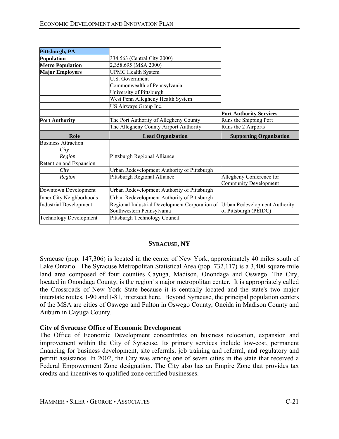| Pittsburgh, PA                |                                                |                                      |
|-------------------------------|------------------------------------------------|--------------------------------------|
| Population                    | 334,563 (Central City 2000)                    |                                      |
| <b>Metro Population</b>       | 2,358,695 (MSA 2000)                           |                                      |
| <b>Major Employers</b>        | <b>UPMC Health System</b>                      |                                      |
|                               | <b>U.S. Government</b>                         |                                      |
|                               | Commonwealth of Pennsylvania                   |                                      |
|                               | University of Pittsburgh                       |                                      |
|                               | West Penn Allegheny Health System              |                                      |
|                               | US Airways Group Inc.                          |                                      |
|                               |                                                | <b>Port Authority Services</b>       |
| <b>Port Authority</b>         | The Port Authority of Allegheny County         | Runs the Shipping Port               |
|                               | The Allegheny County Airport Authority         | Runs the 2 Airports                  |
| Role                          | <b>Lead Organization</b>                       | <b>Supporting Organization</b>       |
| <b>Business Attraction</b>    |                                                |                                      |
| City                          |                                                |                                      |
| Region                        | Pittsburgh Regional Alliance                   |                                      |
| Retention and Expansion       |                                                |                                      |
| City                          | Urban Redevelopment Authority of Pittsburgh    |                                      |
| Region                        | Pittsburgh Regional Alliance                   | Allegheny Conference for             |
|                               |                                                | <b>Community Development</b>         |
| Downtown Development          | Urban Redevelopment Authority of Pittsburgh    |                                      |
| Inner City Neighborhoods      | Urban Redevelopment Authority of Pittsburgh    |                                      |
| <b>Industrial Development</b> | Regional Industrial Development Corporation of | <b>Urban Redevelopment Authority</b> |
|                               | Southwestern Pennsylvania                      | of Pittsburgh (PEIDC)                |
| <b>Technology Development</b> | Pittsburgh Technology Council                  |                                      |

### **SYRACUSE, NY**

Syracuse (pop. 147,306) is located in the center of New York, approximately 40 miles south of Lake Ontario. The Syracuse Metropolitan Statistical Area (pop. 732,117) is a 3,400-square-mile land area composed of four counties Cayuga, Madison, Onondaga and Oswego. The City, located in Onondaga County, is the region' s major metropolitan center. It is appropriately called the Crossroads of New York State because it is centrally located and the state's two major interstate routes, I-90 and I-81, intersect here. Beyond Syracuse, the principal population centers of the MSA are cities of Oswego and Fulton in Oswego County, Oneida in Madison County and Auburn in Cayuga County.

### **City of Syracuse Office of Economic Development**

The Office of Economic Development concentrates on business relocation, expansion and improvement within the City of Syracuse. Its primary services include low-cost, permanent financing for business development, site referrals, job training and referral, and regulatory and permit assistance. In 2002, the City was among one of seven cities in the state that received a Federal Empowerment Zone designation. The City also has an Empire Zone that provides tax credits and incentives to qualified zone certified businesses.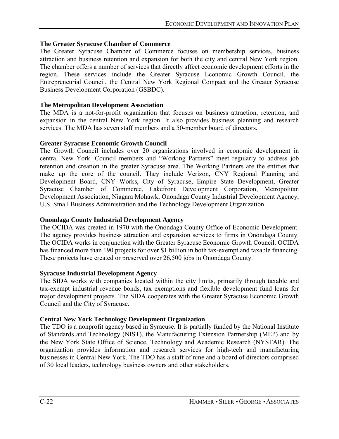## **The Greater Syracuse Chamber of Commerce**

The Greater Syracuse Chamber of Commerce focuses on membership services, business attraction and business retention and expansion for both the city and central New York region. The chamber offers a number of services that directly affect economic development efforts in the region. These services include the Greater Syracuse Economic Growth Council, the Entrepreneurial Council, the Central New York Regional Compact and the Greater Syracuse Business Development Corporation (GSBDC).

### **The Metropolitan Development Association**

The MDA is a not-for-profit organization that focuses on business attraction, retention, and expansion in the central New York region. It also provides business planning and research services. The MDA has seven staff members and a 50-member board of directors.

## **Greater Syracuse Economic Growth Council**

The Growth Council includes over 20 organizations involved in economic development in central New York. Council members and "Working Partners" meet regularly to address job retention and creation in the greater Syracuse area. The Working Partners are the entities that make up the core of the council. They include Verizon, CNY Regional Planning and Development Board, CNY Works, City of Syracuse, Empire State Development, Greater Syracuse Chamber of Commerce, Lakefront Development Corporation, Metropolitan Development Association, Niagara Mohawk, Onondaga County Industrial Development Agency, U.S. Small Business Administration and the Technology Development Organization.

### **Onondaga County Industrial Development Agency**

The OCIDA was created in 1970 with the Onondaga County Office of Economic Development. The agency provides business attraction and expansion services to firms in Onondaga County. The OCIDA works in conjunction with the Greater Syracuse Economic Growth Council. OCIDA has financed more than 190 projects for over \$1 billion in both tax-exempt and taxable financing. These projects have created or preserved over 26,500 jobs in Onondaga County.

### **Syracuse Industrial Development Agency**

The SIDA works with companies located within the city limits, primarily through taxable and tax-exempt industrial revenue bonds, tax exemptions and flexible development fund loans for major development projects. The SIDA cooperates with the Greater Syracuse Economic Growth Council and the City of Syracuse.

### **Central New York Technology Development Organization**

The TDO is a nonprofit agency based in Syracuse. It is partially funded by the National Institute of Standards and Technology (NIST), the Manufacturing Extension Partnership (MEP) and by the New York State Office of Science, Technology and Academic Research (NYSTAR). The organization provides information and research services for high-tech and manufacturing businesses in Central New York. The TDO has a staff of nine and a board of directors comprised of 30 local leaders, technology business owners and other stakeholders.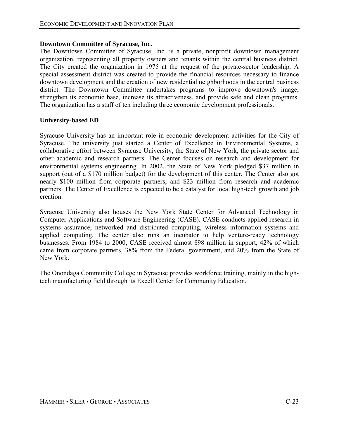#### **Downtown Committee of Syracuse, Inc.**

The Downtown Committee of Syracuse, Inc. is a private, nonprofit downtown management organization, representing all property owners and tenants within the central business district. The City created the organization in 1975 at the request of the private-sector leadership. A special assessment district was created to provide the financial resources necessary to finance downtown development and the creation of new residential neighborhoods in the central business district. The Downtown Committee undertakes programs to improve downtown's image, strengthen its economic base, increase its attractiveness, and provide safe and clean programs. The organization has a staff of ten including three economic development professionals.

#### **University-based ED**

Syracuse University has an important role in economic development activities for the City of Syracuse. The university just started a Center of Excellence in Environmental Systems, a collaborative effort between Syracuse University, the State of New York, the private sector and other academic and research partners. The Center focuses on research and development for environmental systems engineering. In 2002, the State of New York pledged \$37 million in support (out of a \$170 million budget) for the development of this center. The Center also got nearly \$100 million from corporate partners, and \$23 million from research and academic partners. The Center of Excellence is expected to be a catalyst for local high-tech growth and job creation.

Syracuse University also houses the New York State Center for Advanced Technology in Computer Applications and Software Engineering (CASE). CASE conducts applied research in systems assurance, networked and distributed computing, wireless information systems and applied computing. The center also runs an incubator to help venture-ready technology businesses. From 1984 to 2000, CASE received almost \$98 million in support, 42% of which came from corporate partners, 38% from the Federal government, and 20% from the State of New York.

The Onondaga Community College in Syracuse provides workforce training, mainly in the hightech manufacturing field through its Excell Center for Community Education.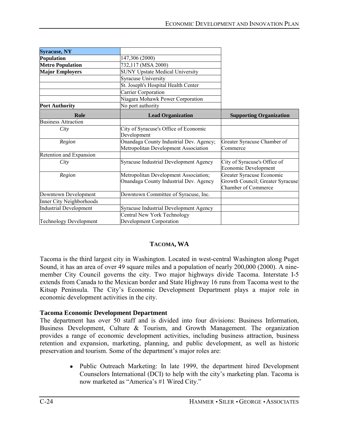| <b>Syracuse, NY</b>           |                                                                                 |                                                                                             |
|-------------------------------|---------------------------------------------------------------------------------|---------------------------------------------------------------------------------------------|
| Population                    | 147,306 (2000)                                                                  |                                                                                             |
| <b>Metro Population</b>       | 732,117 (MSA 2000)                                                              |                                                                                             |
| <b>Major Employers</b>        | <b>SUNY Upstate Medical University</b>                                          |                                                                                             |
|                               | <b>Syracuse University</b>                                                      |                                                                                             |
|                               | St. Joseph's Hospital Health Center                                             |                                                                                             |
|                               | Carrier Corporation                                                             |                                                                                             |
|                               | Niagara Mohawk Power Corporation                                                |                                                                                             |
| <b>Port Authority</b>         | No port authority                                                               |                                                                                             |
| Role                          | <b>Lead Organization</b>                                                        | <b>Supporting Organization</b>                                                              |
| <b>Business Attraction</b>    |                                                                                 |                                                                                             |
| City                          | City of Syracuse's Office of Economic<br>Development                            |                                                                                             |
| Region                        | Onandaga County Industrial Dev. Agency;                                         | Greater Syracuse Chamber of                                                                 |
|                               | Metropolitan Development Association                                            | Commerce                                                                                    |
| Retention and Expansion       |                                                                                 |                                                                                             |
| City                          | Syracuse Industrial Development Agency                                          | City of Syracuse's Office of<br>Economic Development                                        |
| Region                        | Metropolitan Development Association;<br>Onandaga County Industrial Dev. Agency | Greater Syracuse Economic<br>Growth Council; Greater Syracuse<br><b>Chamber of Commerce</b> |
| Downtown Development          | Downtown Committee of Syracuse, Inc.                                            |                                                                                             |
| Inner City Neighborhoods      |                                                                                 |                                                                                             |
| <b>Industrial Development</b> | Syracuse Industrial Development Agency                                          |                                                                                             |
|                               | Central New York Technology                                                     |                                                                                             |
| <b>Technology Development</b> | Development Corporation                                                         |                                                                                             |

# **TACOMA, WA**

Tacoma is the third largest city in Washington. Located in west-central Washington along Puget Sound, it has an area of over 49 square miles and a population of nearly 200,000 (2000). A ninemember City Council governs the city. Two major highways divide Tacoma. Interstate I-5 extends from Canada to the Mexican border and State Highway 16 runs from Tacoma west to the Kitsap Peninsula. The City's Economic Development Department plays a major role in economic development activities in the city.

# **Tacoma Economic Development Department**

The department has over 50 staff and is divided into four divisions: Business Information, Business Development, Culture & Tourism, and Growth Management. The organization provides a range of economic development activities, including business attraction, business retention and expansion, marketing, planning, and public development, as well as historic preservation and tourism. Some of the department's major roles are:

> • Public Outreach Marketing: In late 1999, the department hired Development Counselors International (DCI) to help with the city's marketing plan. Tacoma is now marketed as "America's #1 Wired City."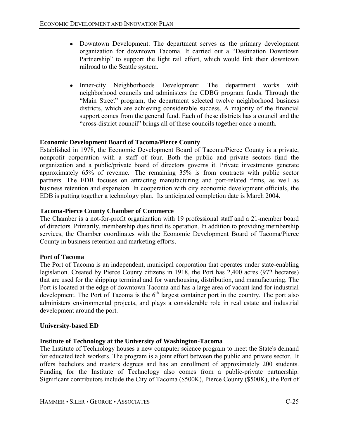- Downtown Development: The department serves as the primary development organization for downtown Tacoma. It carried out a "Destination Downtown" Partnership" to support the light rail effort, which would link their downtown railroad to the Seattle system.
- Inner-city Neighborhoods Development: The department works with neighborhood councils and administers the CDBG program funds. Through the "Main Street" program, the department selected twelve neighborhood business districts, which are achieving considerable success. A majority of the financial support comes from the general fund. Each of these districts has a council and the ìcross-district councilî brings all of these councils together once a month.

# **Economic Development Board of Tacoma/Pierce County**

Established in 1978, the Economic Development Board of Tacoma/Pierce County is a private, nonprofit corporation with a staff of four. Both the public and private sectors fund the organization and a public/private board of directors governs it. Private investments generate approximately 65% of revenue. The remaining 35% is from contracts with public sector partners. The EDB focuses on attracting manufacturing and port-related firms, as well as business retention and expansion. In cooperation with city economic development officials, the EDB is putting together a technology plan. Its anticipated completion date is March 2004.

## **Tacoma-Pierce County Chamber of Commerce**

The Chamber is a not-for-profit organization with 19 professional staff and a 21-member board of directors. Primarily, membership dues fund its operation. In addition to providing membership services, the Chamber coordinates with the Economic Development Board of Tacoma/Pierce County in business retention and marketing efforts.

### **Port of Tacoma**

The Port of Tacoma is an independent, municipal corporation that operates under state-enabling legislation. Created by Pierce County citizens in 1918, the Port has 2,400 acres (972 hectares) that are used for the shipping terminal and for warehousing, distribution, and manufacturing. The Port is located at the edge of downtown Tacoma and has a large area of vacant land for industrial development. The Port of Tacoma is the  $6<sup>th</sup>$  largest container port in the country. The port also administers environmental projects, and plays a considerable role in real estate and industrial development around the port.

### **University-based ED**

# **Institute of Technology at the University of Washington-Tacoma**

The Institute of Technology houses a new computer science program to meet the State's demand for educated tech workers. The program is a joint effort between the public and private sector. It offers bachelors and masters degrees and has an enrollment of approximately 200 students. Funding for the Institute of Technology also comes from a public-private partnership. Significant contributors include the City of Tacoma (\$500K), Pierce County (\$500K), the Port of